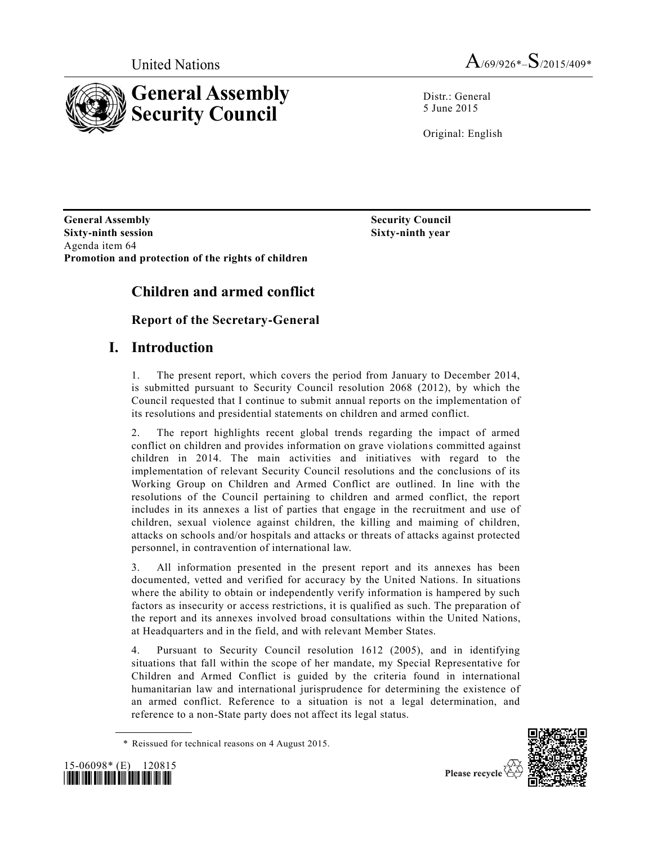

Distr.: General 5 June 2015

Original: English

**General Assembly Sixty-ninth session** Agenda item 64 **Promotion and protection of the rights of children**

**Sixty-ninth year**

**Security Council**

# **Children and armed conflict**

## **Report of the Secretary-General**

## **I. Introduction**

1. The present report, which covers the period from January to December 2014, is submitted pursuant to Security Council resolution 2068 (2012), by which the Council requested that I continue to submit annual reports on the implementation of its resolutions and presidential statements on children and armed conflict.

2. The report highlights recent global trends regarding the impact of armed conflict on children and provides information on grave violations committed against children in 2014. The main activities and initiatives with regard to the implementation of relevant Security Council resolutions and the conclusions of its Working Group on Children and Armed Conflict are outlined. In line with the resolutions of the Council pertaining to children and armed conflict, the report includes in its annexes a list of parties that engage in the recruitment and use of children, sexual violence against children, the killing and maiming of children, attacks on schools and/or hospitals and attacks or threats of attacks against protected personnel, in contravention of international law.

3. All information presented in the present report and its annexes has been documented, vetted and verified for accuracy by the United Nations. In situations where the ability to obtain or independently verify information is hampered by such factors as insecurity or access restrictions, it is qualified as such. The preparation of the report and its annexes involved broad consultations within the United Nations, at Headquarters and in the field, and with relevant Member States.

4. Pursuant to Security Council resolution 1612 (2005), and in identifying situations that fall within the scope of her mandate, my Special Representative for Children and Armed Conflict is guided by the criteria found in international humanitarian law and international jurisprudence for determining the existence of an armed conflict. Reference to a situation is not a legal determination, and reference to a non-State party does not affect its legal status.

<sup>\*</sup> Reissued for technical reasons on 4 August 2015.





Please recycle  $\forall$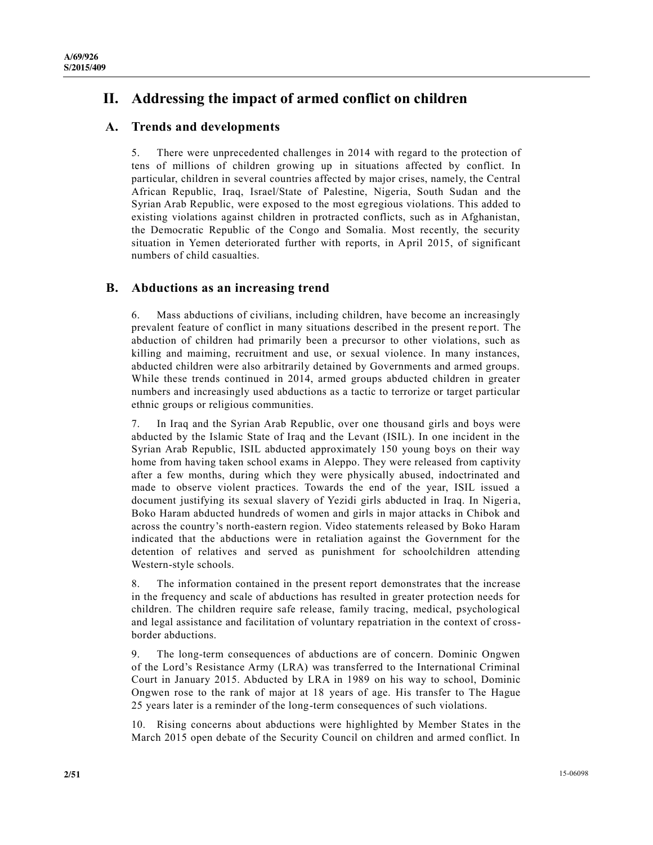# **II. Addressing the impact of armed conflict on children**

## **A. Trends and developments**

5. There were unprecedented challenges in 2014 with regard to the protection of tens of millions of children growing up in situations affected by conflict. In particular, children in several countries affected by major crises, namely, the Central African Republic, Iraq, Israel/State of Palestine, Nigeria, South Sudan and the Syrian Arab Republic, were exposed to the most egregious violations. This added to existing violations against children in protracted conflicts, such as in Afghanistan, the Democratic Republic of the Congo and Somalia. Most recently, the security situation in Yemen deteriorated further with reports, in April 2015, of significant numbers of child casualties.

### **B. Abductions as an increasing trend**

6. Mass abductions of civilians, including children, have become an increasingly prevalent feature of conflict in many situations described in the present re port. The abduction of children had primarily been a precursor to other violations, such as killing and maiming, recruitment and use, or sexual violence. In many instances, abducted children were also arbitrarily detained by Governments and armed groups. While these trends continued in 2014, armed groups abducted children in greater numbers and increasingly used abductions as a tactic to terrorize or target particular ethnic groups or religious communities.

7. In Iraq and the Syrian Arab Republic, over one thousand girls and boys were abducted by the Islamic State of Iraq and the Levant (ISIL). In one incident in the Syrian Arab Republic, ISIL abducted approximately 150 young boys on their way home from having taken school exams in Aleppo. They were released from captivity after a few months, during which they were physically abused, indoctrinated and made to observe violent practices. Towards the end of the year, ISIL issued a document justifying its sexual slavery of Yezidi girls abducted in Iraq. In Nigeria, Boko Haram abducted hundreds of women and girls in major attacks in Chibok and across the country's north-eastern region. Video statements released by Boko Haram indicated that the abductions were in retaliation against the Government for the detention of relatives and served as punishment for schoolchildren attending Western-style schools.

8. The information contained in the present report demonstrates that the increase in the frequency and scale of abductions has resulted in greater protection needs for children. The children require safe release, family tracing, medical, psychological and legal assistance and facilitation of voluntary repatriation in the context of crossborder abductions.

9. The long-term consequences of abductions are of concern. Dominic Ongwen of the Lord's Resistance Army (LRA) was transferred to the International Criminal Court in January 2015. Abducted by LRA in 1989 on his way to school, Dominic Ongwen rose to the rank of major at 18 years of age. His transfer to The Hague 25 years later is a reminder of the long-term consequences of such violations.

10. Rising concerns about abductions were highlighted by Member States in the March 2015 open debate of the Security Council on children and armed conflict. In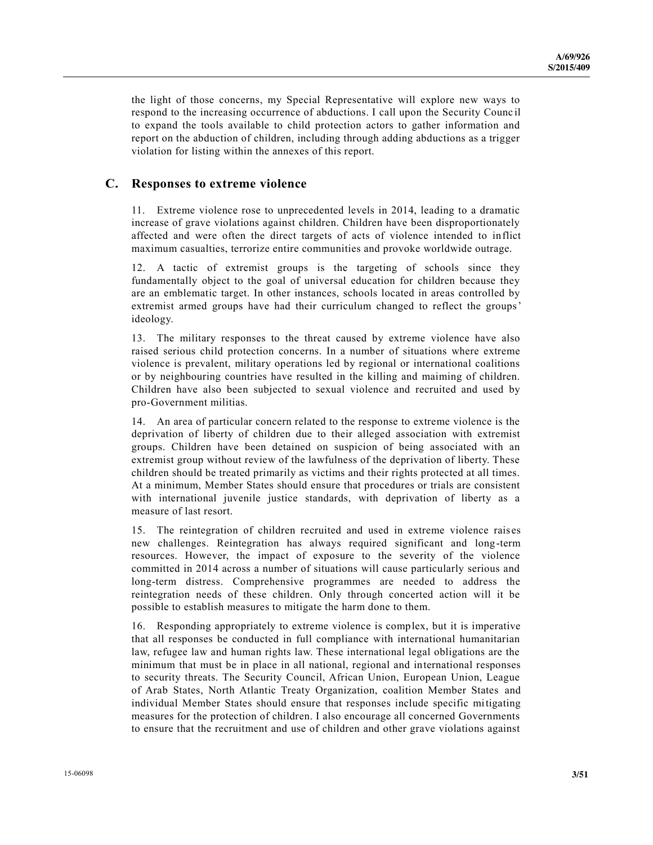the light of those concerns, my Special Representative will explore new ways to respond to the increasing occurrence of abductions. I call upon the Security Counc il to expand the tools available to child protection actors to gather information and report on the abduction of children, including through adding abductions as a trigger violation for listing within the annexes of this report.

### **C. Responses to extreme violence**

11. Extreme violence rose to unprecedented levels in 2014, leading to a dramatic increase of grave violations against children. Children have been disproportionately affected and were often the direct targets of acts of violence intended to inflict maximum casualties, terrorize entire communities and provoke worldwide outrage.

12. A tactic of extremist groups is the targeting of schools since they fundamentally object to the goal of universal education for children because they are an emblematic target. In other instances, schools located in areas controlled by extremist armed groups have had their curriculum changed to reflect the groups' ideology.

13. The military responses to the threat caused by extreme violence have also raised serious child protection concerns. In a number of situations where extreme violence is prevalent, military operations led by regional or international coalitions or by neighbouring countries have resulted in the killing and maiming of children. Children have also been subjected to sexual violence and recruited and used by pro-Government militias.

14. An area of particular concern related to the response to extreme violence is the deprivation of liberty of children due to their alleged association with extremist groups. Children have been detained on suspicion of being associated with an extremist group without review of the lawfulness of the deprivation of liberty. These children should be treated primarily as victims and their rights protected at all times. At a minimum, Member States should ensure that procedures or trials are consistent with international juvenile justice standards, with deprivation of liberty as a measure of last resort.

15. The reintegration of children recruited and used in extreme violence rais es new challenges. Reintegration has always required significant and long-term resources. However, the impact of exposure to the severity of the violence committed in 2014 across a number of situations will cause particularly serious and long-term distress. Comprehensive programmes are needed to address the reintegration needs of these children. Only through concerted action will it be possible to establish measures to mitigate the harm done to them.

16. Responding appropriately to extreme violence is complex, but it is imperative that all responses be conducted in full compliance with international humanitarian law, refugee law and human rights law. These international legal obligations are the minimum that must be in place in all national, regional and international responses to security threats. The Security Council, African Union, European Union, League of Arab States, North Atlantic Treaty Organization, coalition Member States and individual Member States should ensure that responses include specific mitigating measures for the protection of children. I also encourage all concerned Governments to ensure that the recruitment and use of children and other grave violations against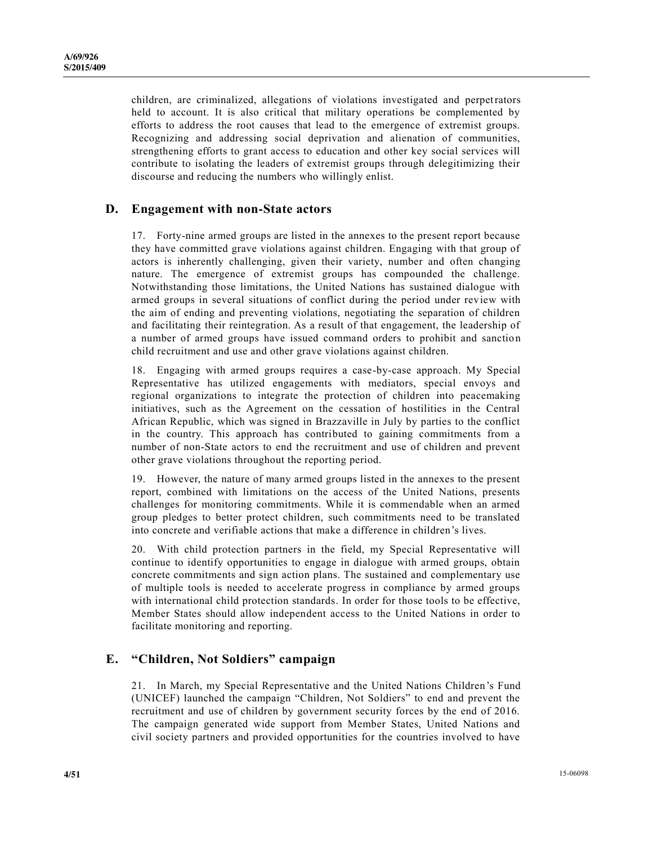children, are criminalized, allegations of violations investigated and perpetrators held to account. It is also critical that military operations be complemented by efforts to address the root causes that lead to the emergence of extremist groups. Recognizing and addressing social deprivation and alienation of communities, strengthening efforts to grant access to education and other key social services will contribute to isolating the leaders of extremist groups through delegitimizing their discourse and reducing the numbers who willingly enlist.

### **D. Engagement with non-State actors**

17. Forty-nine armed groups are listed in the annexes to the present report because they have committed grave violations against children. Engaging with that group of actors is inherently challenging, given their variety, number and often changing nature. The emergence of extremist groups has compounded the challenge. Notwithstanding those limitations, the United Nations has sustained dialogue with armed groups in several situations of conflict during the period under review with the aim of ending and preventing violations, negotiating the separation of children and facilitating their reintegration. As a result of that engagement, the leadership of a number of armed groups have issued command orders to prohibit and sanction child recruitment and use and other grave violations against children.

18. Engaging with armed groups requires a case-by-case approach. My Special Representative has utilized engagements with mediators, special envoys and regional organizations to integrate the protection of children into peacemaking initiatives, such as the Agreement on the cessation of hostilities in the Central African Republic, which was signed in Brazzaville in July by parties to the conflict in the country. This approach has contributed to gaining commitments from a number of non-State actors to end the recruitment and use of children and prevent other grave violations throughout the reporting period.

19. However, the nature of many armed groups listed in the annexes to the present report, combined with limitations on the access of the United Nations, presents challenges for monitoring commitments. While it is commendable when an armed group pledges to better protect children, such commitments need to be translated into concrete and verifiable actions that make a difference in children's lives.

20. With child protection partners in the field, my Special Representative will continue to identify opportunities to engage in dialogue with armed groups, obtain concrete commitments and sign action plans. The sustained and complementary use of multiple tools is needed to accelerate progress in compliance by armed groups with international child protection standards. In order for those tools to be effective, Member States should allow independent access to the United Nations in order to facilitate monitoring and reporting.

### **E. "Children, Not Soldiers" campaign**

21. In March, my Special Representative and the United Nations Children's Fund (UNICEF) launched the campaign "Children, Not Soldiers" to end and prevent the recruitment and use of children by government security forces by the end of 2016. The campaign generated wide support from Member States, United Nations and civil society partners and provided opportunities for the countries involved to have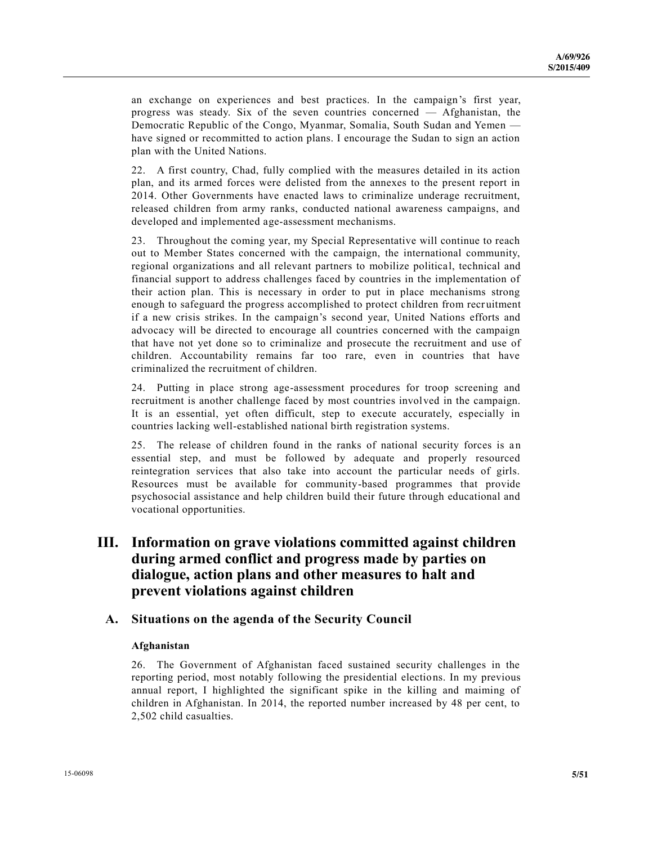an exchange on experiences and best practices. In the campaign's first year, progress was steady. Six of the seven countries concerned — Afghanistan, the Democratic Republic of the Congo, Myanmar, Somalia, South Sudan and Yemen have signed or recommitted to action plans. I encourage the Sudan to sign an action plan with the United Nations.

22. A first country, Chad, fully complied with the measures detailed in its action plan, and its armed forces were delisted from the annexes to the present report in 2014. Other Governments have enacted laws to criminalize underage recruitment, released children from army ranks, conducted national awareness campaigns, and developed and implemented age-assessment mechanisms.

23. Throughout the coming year, my Special Representative will continue to reach out to Member States concerned with the campaign, the international community, regional organizations and all relevant partners to mobilize political, technical and financial support to address challenges faced by countries in the implementation of their action plan. This is necessary in order to put in place mechanisms strong enough to safeguard the progress accomplished to protect children from recr uitment if a new crisis strikes. In the campaign's second year, United Nations efforts and advocacy will be directed to encourage all countries concerned with the campaign that have not yet done so to criminalize and prosecute the recruitment and use of children. Accountability remains far too rare, even in countries that have criminalized the recruitment of children.

24. Putting in place strong age-assessment procedures for troop screening and recruitment is another challenge faced by most countries involved in the campaign. It is an essential, yet often difficult, step to execute accurately, especially in countries lacking well-established national birth registration systems.

25. The release of children found in the ranks of national security forces is an essential step, and must be followed by adequate and properly resourced reintegration services that also take into account the particular needs of girls. Resources must be available for community-based programmes that provide psychosocial assistance and help children build their future through educational and vocational opportunities.

## **III. Information on grave violations committed against children during armed conflict and progress made by parties on dialogue, action plans and other measures to halt and prevent violations against children**

### **A. Situations on the agenda of the Security Council**

#### **Afghanistan**

26. The Government of Afghanistan faced sustained security challenges in the reporting period, most notably following the presidential elections. In my previous annual report, I highlighted the significant spike in the killing and maiming of children in Afghanistan. In 2014, the reported number increased by 48 per cent, to 2,502 child casualties.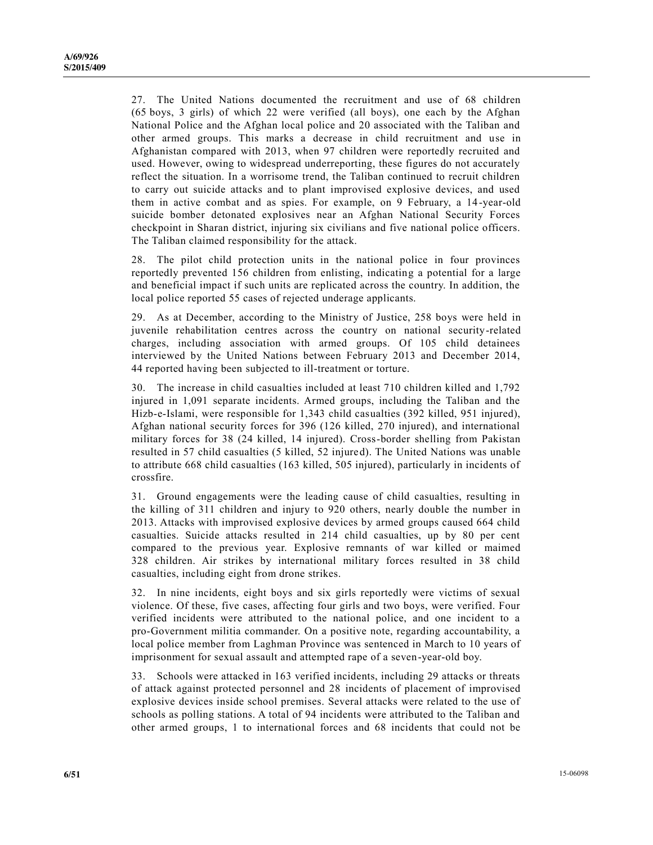27. The United Nations documented the recruitment and use of 68 children (65 boys, 3 girls) of which 22 were verified (all boys), one each by the Afghan National Police and the Afghan local police and 20 associated with the Taliban and other armed groups. This marks a decrease in child recruitment and use in Afghanistan compared with 2013, when 97 children were reportedly recruited and used. However, owing to widespread underreporting, these figures do not accurately reflect the situation. In a worrisome trend, the Taliban continued to recruit children to carry out suicide attacks and to plant improvised explosive devices, and used them in active combat and as spies. For example, on 9 February, a 14-year-old suicide bomber detonated explosives near an Afghan National Security Forces checkpoint in Sharan district, injuring six civilians and five national police officers. The Taliban claimed responsibility for the attack.

28. The pilot child protection units in the national police in four provinces reportedly prevented 156 children from enlisting, indicating a potential for a large and beneficial impact if such units are replicated across the country. In addition, the local police reported 55 cases of rejected underage applicants.

29. As at December, according to the Ministry of Justice, 258 boys were held in juvenile rehabilitation centres across the country on national security-related charges, including association with armed groups. Of 105 child detainees interviewed by the United Nations between February 2013 and December 2014, 44 reported having been subjected to ill-treatment or torture.

30. The increase in child casualties included at least 710 children killed and 1,792 injured in 1,091 separate incidents. Armed groups, including the Taliban and the Hizb-e-Islami, were responsible for 1,343 child casualties (392 killed, 951 injured), Afghan national security forces for 396 (126 killed, 270 injured), and international military forces for 38 (24 killed, 14 injured). Cross-border shelling from Pakistan resulted in 57 child casualties (5 killed, 52 injured). The United Nations was unable to attribute 668 child casualties (163 killed, 505 injured), particularly in incidents of crossfire.

31. Ground engagements were the leading cause of child casualties, resulting in the killing of 311 children and injury to 920 others, nearly double the number in 2013. Attacks with improvised explosive devices by armed groups caused 664 child casualties. Suicide attacks resulted in 214 child casualties, up by 80 per cent compared to the previous year. Explosive remnants of war killed or maimed 328 children. Air strikes by international military forces resulted in 38 child casualties, including eight from drone strikes.

32. In nine incidents, eight boys and six girls reportedly were victims of sexual violence. Of these, five cases, affecting four girls and two boys, were verified. Four verified incidents were attributed to the national police, and one incident to a pro-Government militia commander. On a positive note, regarding accountability, a local police member from Laghman Province was sentenced in March to 10 years of imprisonment for sexual assault and attempted rape of a seven-year-old boy.

33. Schools were attacked in 163 verified incidents, including 29 attacks or threats of attack against protected personnel and 28 incidents of placement of improvised explosive devices inside school premises. Several attacks were related to the use of schools as polling stations. A total of 94 incidents were attributed to the Taliban and other armed groups, 1 to international forces and 68 incidents that could not be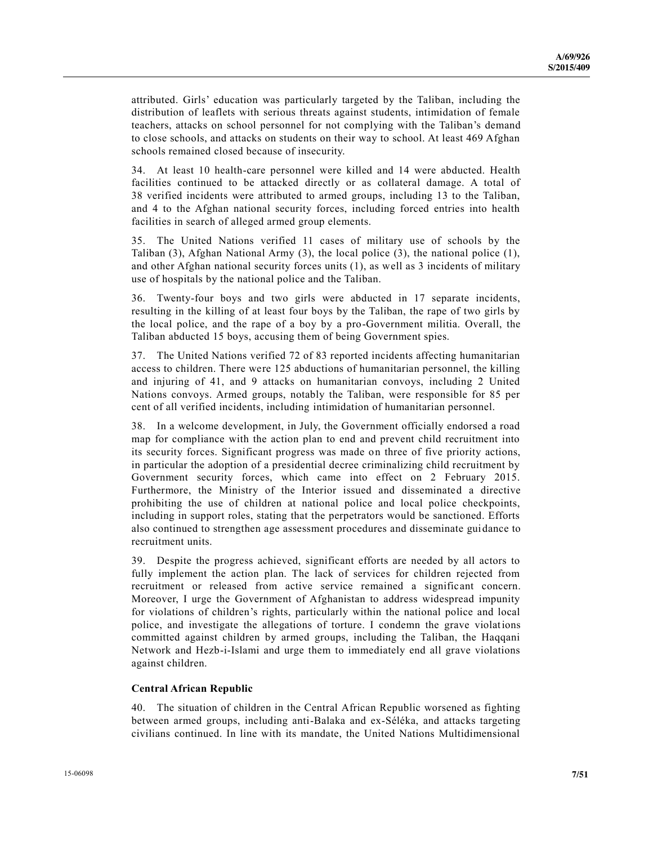attributed. Girls' education was particularly targeted by the Taliban, including the distribution of leaflets with serious threats against students, intimidation of female teachers, attacks on school personnel for not complying with the Taliban's demand to close schools, and attacks on students on their way to school. At least 469 Afghan schools remained closed because of insecurity.

34. At least 10 health-care personnel were killed and 14 were abducted. Health facilities continued to be attacked directly or as collateral damage. A total of 38 verified incidents were attributed to armed groups, including 13 to the Taliban, and 4 to the Afghan national security forces, including forced entries into health facilities in search of alleged armed group elements.

35. The United Nations verified 11 cases of military use of schools by the Taliban (3), Afghan National Army (3), the local police (3), the national police (1), and other Afghan national security forces units (1), as well as 3 incidents of military use of hospitals by the national police and the Taliban.

36. Twenty-four boys and two girls were abducted in 17 separate incidents, resulting in the killing of at least four boys by the Taliban, the rape of two girls by the local police, and the rape of a boy by a pro-Government militia. Overall, the Taliban abducted 15 boys, accusing them of being Government spies.

37. The United Nations verified 72 of 83 reported incidents affecting humanitarian access to children. There were 125 abductions of humanitarian personnel, the killing and injuring of 41, and 9 attacks on humanitarian convoys, including 2 United Nations convoys. Armed groups, notably the Taliban, were responsible for 85 per cent of all verified incidents, including intimidation of humanitarian personnel.

38. In a welcome development, in July, the Government officially endorsed a road map for compliance with the action plan to end and prevent child recruitment into its security forces. Significant progress was made on three of five priority actions, in particular the adoption of a presidential decree criminalizing child recruitment by Government security forces, which came into effect on 2 February 2015. Furthermore, the Ministry of the Interior issued and disseminated a directive prohibiting the use of children at national police and local police checkpoints, including in support roles, stating that the perpetrators would be sanctioned. Efforts also continued to strengthen age assessment procedures and disseminate guidance to recruitment units.

39. Despite the progress achieved, significant efforts are needed by all actors to fully implement the action plan. The lack of services for children rejected from recruitment or released from active service remained a significant concern. Moreover, I urge the Government of Afghanistan to address widespread impunity for violations of children's rights, particularly within the national police and local police, and investigate the allegations of torture. I condemn the grave violations committed against children by armed groups, including the Taliban, the Haqqani Network and Hezb-i-Islami and urge them to immediately end all grave violations against children.

#### **Central African Republic**

40. The situation of children in the Central African Republic worsened as fighting between armed groups, including anti-Balaka and ex-Séléka, and attacks targeting civilians continued. In line with its mandate, the United Nations Multidimensional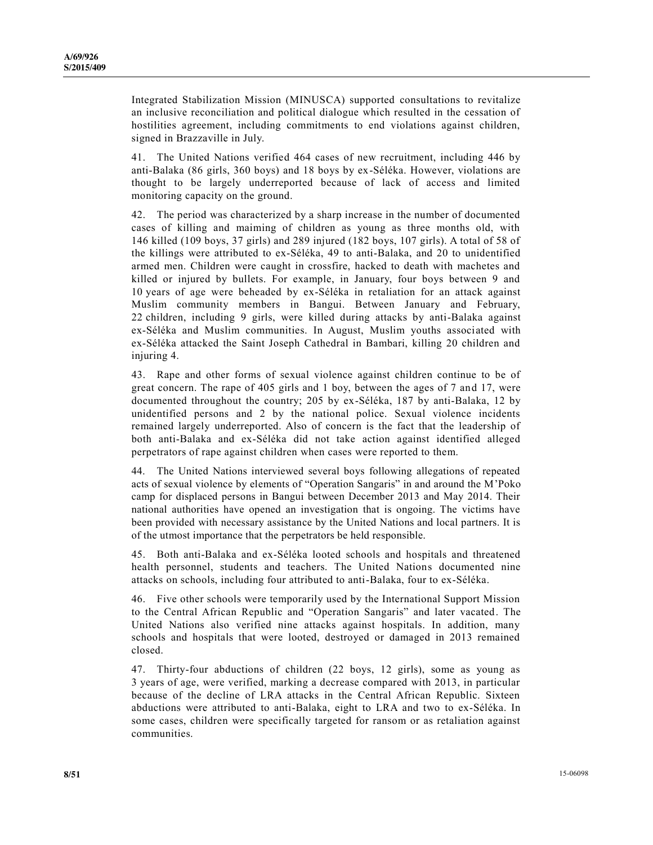Integrated Stabilization Mission (MINUSCA) supported consultations to revitalize an inclusive reconciliation and political dialogue which resulted in the cessation of hostilities agreement, including commitments to end violations against children, signed in Brazzaville in July.

41. The United Nations verified 464 cases of new recruitment, including 446 by anti-Balaka (86 girls, 360 boys) and 18 boys by ex-Séléka. However, violations are thought to be largely underreported because of lack of access and limited monitoring capacity on the ground.

42. The period was characterized by a sharp increase in the number of documented cases of killing and maiming of children as young as three months old, with 146 killed (109 boys, 37 girls) and 289 injured (182 boys, 107 girls). A total of 58 of the killings were attributed to ex-Séléka, 49 to anti-Balaka, and 20 to unidentified armed men. Children were caught in crossfire, hacked to death with machetes and killed or injured by bullets. For example, in January, four boys between 9 and 10 years of age were beheaded by ex-Séléka in retaliation for an attack against Muslim community members in Bangui. Between January and February, 22 children, including 9 girls, were killed during attacks by anti-Balaka against ex-Séléka and Muslim communities. In August, Muslim youths associated with ex-Séléka attacked the Saint Joseph Cathedral in Bambari, killing 20 children and injuring 4.

43. Rape and other forms of sexual violence against children continue to be of great concern. The rape of 405 girls and 1 boy, between the ages of 7 and 17, were documented throughout the country; 205 by ex-Séléka, 187 by anti-Balaka, 12 by unidentified persons and 2 by the national police. Sexual violence incidents remained largely underreported. Also of concern is the fact that the leadership of both anti-Balaka and ex-Séléka did not take action against identified alleged perpetrators of rape against children when cases were reported to them.

44. The United Nations interviewed several boys following allegations of repeated acts of sexual violence by elements of "Operation Sangaris" in and around the M'Poko camp for displaced persons in Bangui between December 2013 and May 2014. Their national authorities have opened an investigation that is ongoing. The victims have been provided with necessary assistance by the United Nations and local partners. It is of the utmost importance that the perpetrators be held responsible.

45. Both anti-Balaka and ex-Séléka looted schools and hospitals and threatened health personnel, students and teachers. The United Nations documented nine attacks on schools, including four attributed to anti-Balaka, four to ex-Séléka.

46. Five other schools were temporarily used by the International Support Mission to the Central African Republic and "Operation Sangaris" and later vacated. The United Nations also verified nine attacks against hospitals. In addition, many schools and hospitals that were looted, destroyed or damaged in 2013 remained closed.

47. Thirty-four abductions of children (22 boys, 12 girls), some as young as 3 years of age, were verified, marking a decrease compared with 2013, in particular because of the decline of LRA attacks in the Central African Republic. Sixteen abductions were attributed to anti-Balaka, eight to LRA and two to ex-Séléka. In some cases, children were specifically targeted for ransom or as retaliation against communities.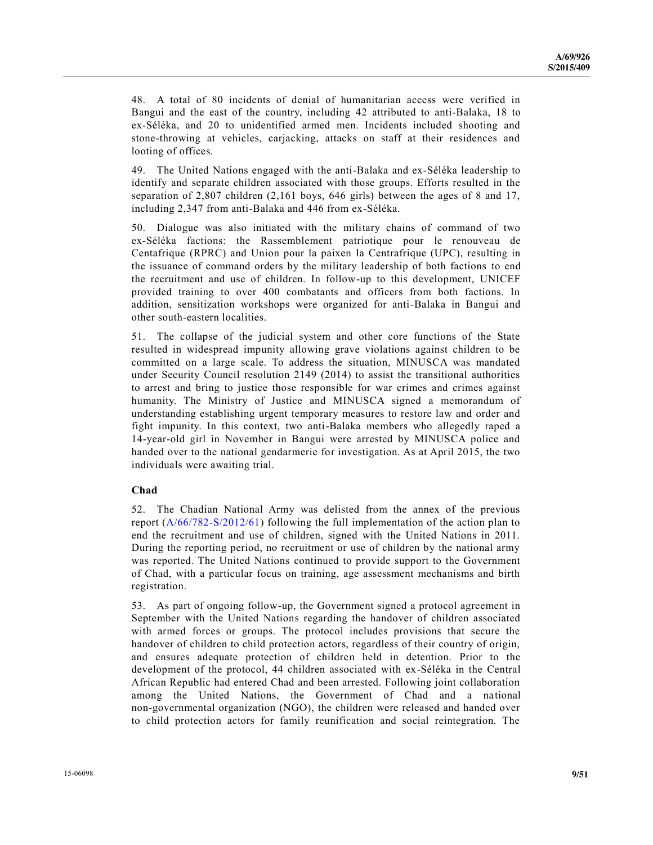48. A total of 80 incidents of denial of humanitarian access were verified in Bangui and the east of the country, including 42 attributed to anti-Balaka, 18 to ex-Séléka, and 20 to unidentified armed men. Incidents included shooting and stone-throwing at vehicles, carjacking, attacks on staff at their residences and looting of offices.

49. The United Nations engaged with the anti-Balaka and ex-Séléka leadership to identify and separate children associated with those groups. Efforts resulted in the separation of 2,807 children (2,161 boys, 646 girls) between the ages of 8 and 17, including 2,347 from anti-Balaka and 446 from ex-Séléka.

50. Dialogue was also initiated with the military chains of command of two ex-Séléka factions: the Rassemblement patriotique pour le renouveau de Centafrique (RPRC) and Union pour la paixen la Centrafrique (UPC), resulting in the issuance of command orders by the military leadership of both factions to end the recruitment and use of children. In follow-up to this development, UNICEF provided training to over 400 combatants and officers from both factions. In addition, sensitization workshops were organized for anti-Balaka in Bangui and other south-eastern localities.

51. The collapse of the judicial system and other core functions of the State resulted in widespread impunity allowing grave violations against children to be committed on a large scale. To address the situation, MINUSCA was mandated under Security Council resolution 2149 (2014) to assist the transitional authorities to arrest and bring to justice those responsible for war crimes and crimes against humanity. The Ministry of Justice and MINUSCA signed a memorandum of understanding establishing urgent temporary measures to restore law and order and fight impunity. In this context, two anti-Balaka members who allegedly raped a 14-year-old girl in November in Bangui were arrested by MINUSCA police and handed over to the national gendarmerie for investigation. As at April 2015, the two individuals were awaiting trial.

#### **Chad**

52. The Chadian National Army was delisted from the annex of the previous report (A/66/782-[S/2012/61\)](http://undocs.org/A/66/782) following the full implementation of the action plan to end the recruitment and use of children, signed with the United Nations in 2011. During the reporting period, no recruitment or use of children by the national army was reported. The United Nations continued to provide support to the Government of Chad, with a particular focus on training, age assessment mechanisms and birth registration.

53. As part of ongoing follow-up, the Government signed a protocol agreement in September with the United Nations regarding the handover of children associated with armed forces or groups. The protocol includes provisions that secure the handover of children to child protection actors, regardless of their country of origin, and ensures adequate protection of children held in detention. Prior to the development of the protocol, 44 children associated with ex-Séléka in the Central African Republic had entered Chad and been arrested. Following joint collaboration among the United Nations, the Government of Chad and a national non-governmental organization (NGO), the children were released and handed over to child protection actors for family reunification and social reintegration. The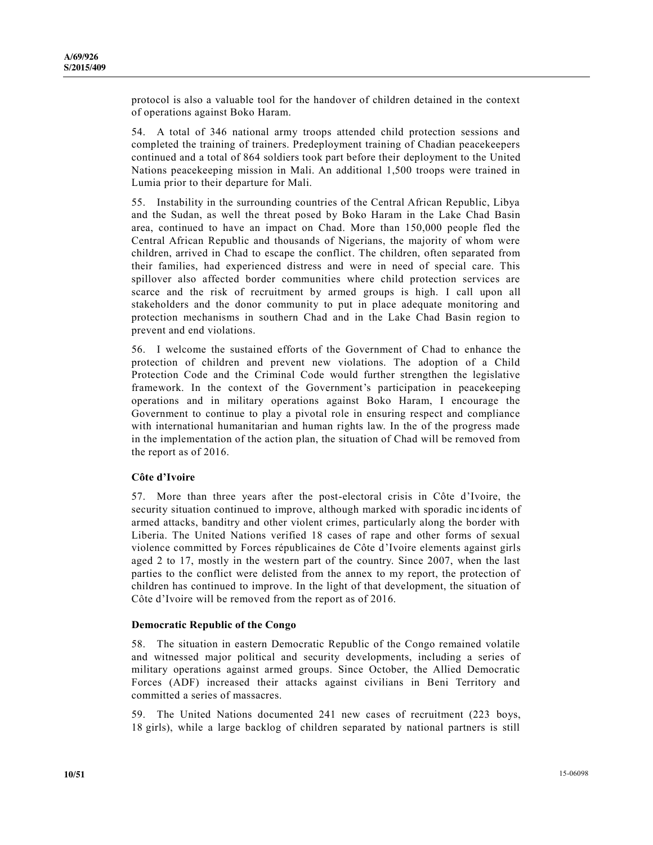protocol is also a valuable tool for the handover of children detained in the context of operations against Boko Haram.

54. A total of 346 national army troops attended child protection sessions and completed the training of trainers. Predeployment training of Chadian peacekeepers continued and a total of 864 soldiers took part before their deployment to the United Nations peacekeeping mission in Mali. An additional 1,500 troops were trained in Lumia prior to their departure for Mali.

55. Instability in the surrounding countries of the Central African Republic, Libya and the Sudan, as well the threat posed by Boko Haram in the Lake Chad Basin area, continued to have an impact on Chad. More than 150,000 people fled the Central African Republic and thousands of Nigerians, the majority of whom were children, arrived in Chad to escape the conflict. The children, often separated from their families, had experienced distress and were in need of special care. This spillover also affected border communities where child protection services are scarce and the risk of recruitment by armed groups is high. I call upon all stakeholders and the donor community to put in place adequate monitoring and protection mechanisms in southern Chad and in the Lake Chad Basin region to prevent and end violations.

56. I welcome the sustained efforts of the Government of Chad to enhance the protection of children and prevent new violations. The adoption of a Child Protection Code and the Criminal Code would further strengthen the legislative framework. In the context of the Government's participation in peacekeeping operations and in military operations against Boko Haram, I encourage the Government to continue to play a pivotal role in ensuring respect and compliance with international humanitarian and human rights law. In the of the progress made in the implementation of the action plan, the situation of Chad will be removed from the report as of 2016.

#### **Côte d'Ivoire**

57. More than three years after the post-electoral crisis in Côte d'Ivoire, the security situation continued to improve, although marked with sporadic inc idents of armed attacks, banditry and other violent crimes, particularly along the border with Liberia. The United Nations verified 18 cases of rape and other forms of sexual violence committed by Forces républicaines de Côte d'Ivoire elements against girls aged 2 to 17, mostly in the western part of the country. Since 2007, when the last parties to the conflict were delisted from the annex to my report, the protection of children has continued to improve. In the light of that development, the situation of Côte d'Ivoire will be removed from the report as of 2016.

#### **Democratic Republic of the Congo**

58. The situation in eastern Democratic Republic of the Congo remained volatile and witnessed major political and security developments, including a series of military operations against armed groups. Since October, the Allied Democratic Forces (ADF) increased their attacks against civilians in Beni Territory and committed a series of massacres.

59. The United Nations documented 241 new cases of recruitment (223 boys, 18 girls), while a large backlog of children separated by national partners is still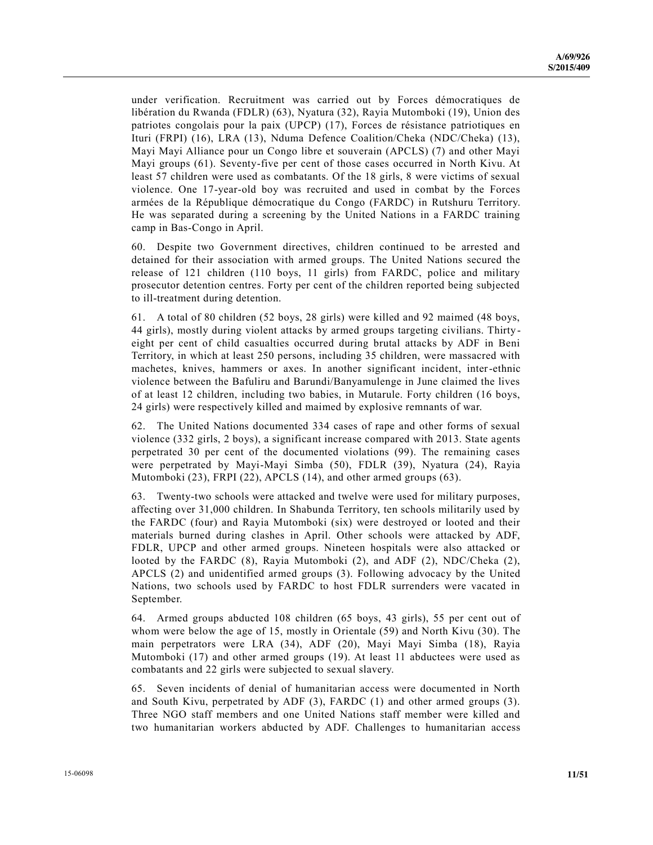under verification. Recruitment was carried out by Forces démocratiques de libération du Rwanda (FDLR) (63), Nyatura (32), Rayia Mutomboki (19), Union des patriotes congolais pour la paix (UPCP) (17), Forces de résistance patriotiques en Ituri (FRPI) (16), LRA (13), Nduma Defence Coalition/Cheka (NDC/Cheka) (13), Mayi Mayi Alliance pour un Congo libre et souverain (APCLS) (7) and other Mayi Mayi groups (61). Seventy-five per cent of those cases occurred in North Kivu. At least 57 children were used as combatants. Of the 18 girls, 8 were victims of sexual violence. One 17-year-old boy was recruited and used in combat by the Forces armées de la République démocratique du Congo (FARDC) in Rutshuru Territory. He was separated during a screening by the United Nations in a FARDC training camp in Bas-Congo in April.

60. Despite two Government directives, children continued to be arrested and detained for their association with armed groups. The United Nations secured the release of 121 children (110 boys, 11 girls) from FARDC, police and military prosecutor detention centres. Forty per cent of the children reported being subjected to ill-treatment during detention.

61. A total of 80 children (52 boys, 28 girls) were killed and 92 maimed (48 boys, 44 girls), mostly during violent attacks by armed groups targeting civilians. Thirty eight per cent of child casualties occurred during brutal attacks by ADF in Beni Territory, in which at least 250 persons, including 35 children, were massacred with machetes, knives, hammers or axes. In another significant incident, inter-ethnic violence between the Bafuliru and Barundi/Banyamulenge in June claimed the lives of at least 12 children, including two babies, in Mutarule. Forty children (16 boys, 24 girls) were respectively killed and maimed by explosive remnants of war.

62. The United Nations documented 334 cases of rape and other forms of sexual violence (332 girls, 2 boys), a significant increase compared with 2013. State agents perpetrated 30 per cent of the documented violations (99). The remaining cases were perpetrated by Mayi-Mayi Simba (50), FDLR (39), Nyatura (24), Rayia Mutomboki (23), FRPI (22), APCLS (14), and other armed groups (63).

63. Twenty-two schools were attacked and twelve were used for military purposes, affecting over 31,000 children. In Shabunda Territory, ten schools militarily used by the FARDC (four) and Rayia Mutomboki (six) were destroyed or looted and their materials burned during clashes in April. Other schools were attacked by ADF, FDLR, UPCP and other armed groups. Nineteen hospitals were also attacked or looted by the FARDC (8), Rayia Mutomboki (2), and ADF (2), NDC/Cheka (2), APCLS (2) and unidentified armed groups (3). Following advocacy by the United Nations, two schools used by FARDC to host FDLR surrenders were vacated in September.

64. Armed groups abducted 108 children (65 boys, 43 girls), 55 per cent out of whom were below the age of 15, mostly in Orientale (59) and North Kivu (30). The main perpetrators were LRA (34), ADF (20), Mayi Mayi Simba (18), Rayia Mutomboki (17) and other armed groups (19). At least 11 abductees were used as combatants and 22 girls were subjected to sexual slavery.

65. Seven incidents of denial of humanitarian access were documented in North and South Kivu, perpetrated by ADF (3), FARDC (1) and other armed groups (3). Three NGO staff members and one United Nations staff member were killed and two humanitarian workers abducted by ADF. Challenges to humanitarian access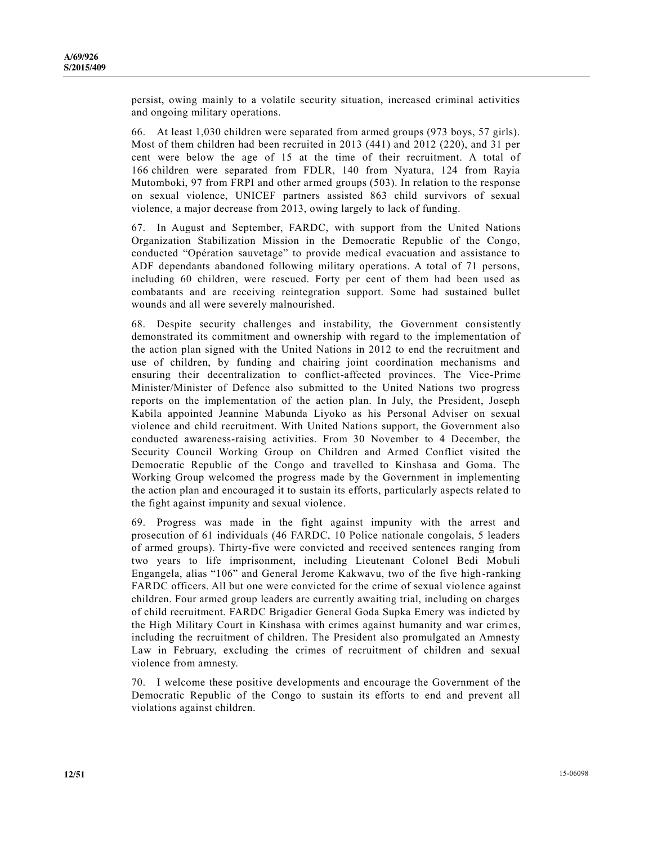persist, owing mainly to a volatile security situation, increased criminal activities and ongoing military operations.

66. At least 1,030 children were separated from armed groups (973 boys, 57 girls). Most of them children had been recruited in 2013 (441) and 2012 (220), and 31 per cent were below the age of 15 at the time of their recruitment. A total of 166 children were separated from FDLR, 140 from Nyatura, 124 from Rayia Mutomboki, 97 from FRPI and other armed groups (503). In relation to the response on sexual violence, UNICEF partners assisted 863 child survivors of sexual violence, a major decrease from 2013, owing largely to lack of funding.

67. In August and September, FARDC, with support from the United Nations Organization Stabilization Mission in the Democratic Republic of the Congo, conducted "Opération sauvetage" to provide medical evacuation and assistance to ADF dependants abandoned following military operations. A total of 71 persons, including 60 children, were rescued. Forty per cent of them had been used as combatants and are receiving reintegration support. Some had sustained bullet wounds and all were severely malnourished.

68. Despite security challenges and instability, the Government consistently demonstrated its commitment and ownership with regard to the implementation of the action plan signed with the United Nations in 2012 to end the recruitment and use of children, by funding and chairing joint coordination mechanisms and ensuring their decentralization to conflict-affected provinces. The Vice-Prime Minister/Minister of Defence also submitted to the United Nations two progress reports on the implementation of the action plan. In July, the President, Joseph Kabila appointed Jeannine Mabunda Liyoko as his Personal Adviser on sexual violence and child recruitment. With United Nations support, the Government also conducted awareness-raising activities. From 30 November to 4 December, the Security Council Working Group on Children and Armed Conflict visited the Democratic Republic of the Congo and travelled to Kinshasa and Goma. The Working Group welcomed the progress made by the Government in implementing the action plan and encouraged it to sustain its efforts, particularly aspects relate d to the fight against impunity and sexual violence.

69. Progress was made in the fight against impunity with the arrest and prosecution of 61 individuals (46 FARDC, 10 Police nationale congolais, 5 leaders of armed groups). Thirty-five were convicted and received sentences ranging from two years to life imprisonment, including Lieutenant Colonel Bedi Mobuli Engangela, alias "106" and General Jerome Kakwavu, two of the five high -ranking FARDC officers. All but one were convicted for the crime of sexual violence against children. Four armed group leaders are currently awaiting trial, including on charges of child recruitment. FARDC Brigadier General Goda Supka Emery was indicted by the High Military Court in Kinshasa with crimes against humanity and war crimes, including the recruitment of children. The President also promulgated an Amnesty Law in February, excluding the crimes of recruitment of children and sexual violence from amnesty.

70. I welcome these positive developments and encourage the Government of the Democratic Republic of the Congo to sustain its efforts to end and prevent all violations against children.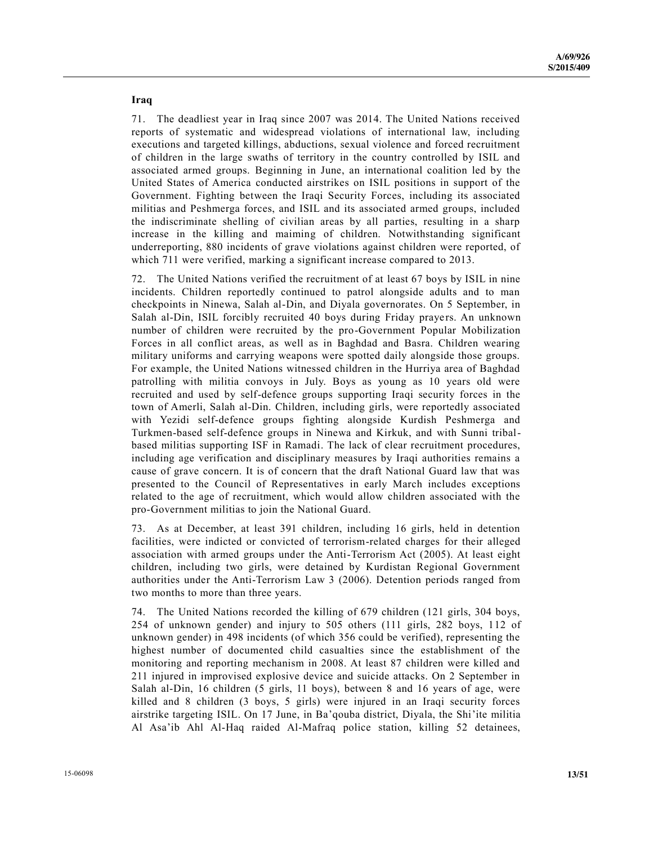**Iraq** 

71. The deadliest year in Iraq since 2007 was 2014. The United Nations received reports of systematic and widespread violations of international law, including executions and targeted killings, abductions, sexual violence and forced recruitment of children in the large swaths of territory in the country controlled by ISIL and associated armed groups. Beginning in June, an international coalition led by the United States of America conducted airstrikes on ISIL positions in support of the Government. Fighting between the Iraqi Security Forces, including its associated militias and Peshmerga forces, and ISIL and its associated armed groups, included the indiscriminate shelling of civilian areas by all parties, resulting in a sharp increase in the killing and maiming of children. Notwithstanding significant underreporting, 880 incidents of grave violations against children were reported, of which 711 were verified, marking a significant increase compared to 2013.

72. The United Nations verified the recruitment of at least 67 boys by ISIL in nine incidents. Children reportedly continued to patrol alongside adults and to man checkpoints in Ninewa, Salah al-Din, and Diyala governorates. On 5 September, in Salah al-Din, ISIL forcibly recruited 40 boys during Friday prayers. An unknown number of children were recruited by the pro-Government Popular Mobilization Forces in all conflict areas, as well as in Baghdad and Basra. Children wearing military uniforms and carrying weapons were spotted daily alongside those groups. For example, the United Nations witnessed children in the Hurriya area of Baghdad patrolling with militia convoys in July. Boys as young as 10 years old were recruited and used by self-defence groups supporting Iraqi security forces in the town of Amerli, Salah al-Din. Children, including girls, were reportedly associated with Yezidi self-defence groups fighting alongside Kurdish Peshmerga and Turkmen-based self-defence groups in Ninewa and Kirkuk, and with Sunni tribalbased militias supporting ISF in Ramadi. The lack of clear recruitment procedures, including age verification and disciplinary measures by Iraqi authorities remains a cause of grave concern. It is of concern that the draft National Guard law that was presented to the Council of Representatives in early March includes exceptions related to the age of recruitment, which would allow children associated with the pro-Government militias to join the National Guard.

73. As at December, at least 391 children, including 16 girls, held in detention facilities, were indicted or convicted of terrorism-related charges for their alleged association with armed groups under the Anti-Terrorism Act (2005). At least eight children, including two girls, were detained by Kurdistan Regional Government authorities under the Anti-Terrorism Law 3 (2006). Detention periods ranged from two months to more than three years.

74. The United Nations recorded the killing of 679 children (121 girls, 304 boys, 254 of unknown gender) and injury to 505 others (111 girls, 282 boys, 112 of unknown gender) in 498 incidents (of which 356 could be verified), representing the highest number of documented child casualties since the establishment of the monitoring and reporting mechanism in 2008. At least 87 children were killed and 211 injured in improvised explosive device and suicide attacks. On 2 September in Salah al-Din, 16 children (5 girls, 11 boys), between 8 and 16 years of age, were killed and 8 children (3 boys, 5 girls) were injured in an Iraqi security forces airstrike targeting ISIL. On 17 June, in Ba'qouba district, Diyala, the Shi'ite militia Al Asa'ib Ahl Al-Haq raided Al-Mafraq police station, killing 52 detainees,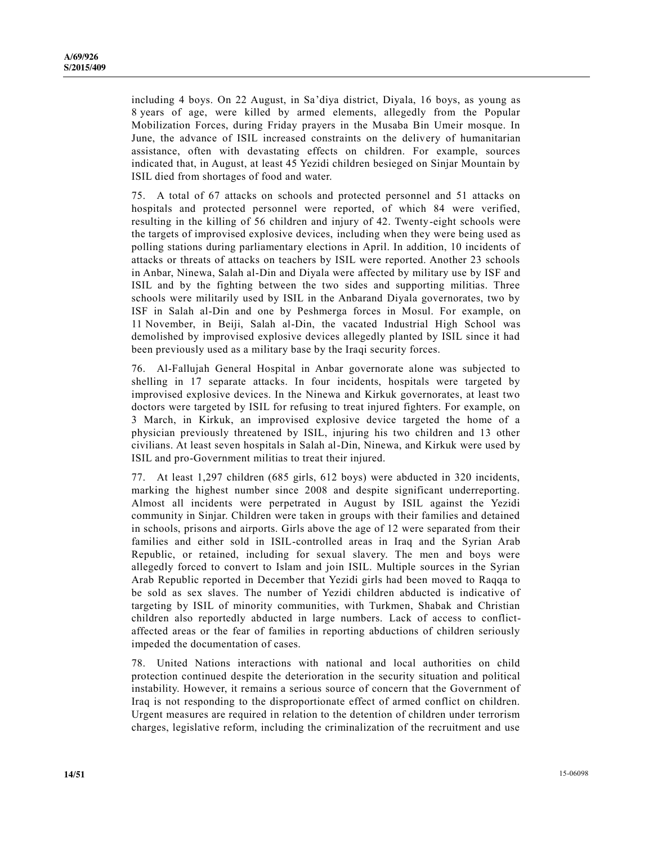including 4 boys. On 22 August, in Sa'diya district, Diyala, 16 boys, as young as 8 years of age, were killed by armed elements, allegedly from the Popular Mobilization Forces, during Friday prayers in the Musaba Bin Umeir mosque. In June, the advance of ISIL increased constraints on the delivery of humanitarian assistance, often with devastating effects on children. For example, sources indicated that, in August, at least 45 Yezidi children besieged on Sinjar Mountain by ISIL died from shortages of food and water.

75. A total of 67 attacks on schools and protected personnel and 51 attacks on hospitals and protected personnel were reported, of which 84 were verified, resulting in the killing of 56 children and injury of 42. Twenty-eight schools were the targets of improvised explosive devices, including when they were being used as polling stations during parliamentary elections in April. In addition, 10 incidents of attacks or threats of attacks on teachers by ISIL were reported. Another 23 schools in Anbar, Ninewa, Salah al-Din and Diyala were affected by military use by ISF and ISIL and by the fighting between the two sides and supporting militias. Three schools were militarily used by ISIL in the Anbarand Diyala governorates, two by ISF in Salah al-Din and one by Peshmerga forces in Mosul. For example, on 11 November, in Beiji, Salah al-Din, the vacated Industrial High School was demolished by improvised explosive devices allegedly planted by ISIL since it had been previously used as a military base by the Iraqi security forces.

76. Al-Fallujah General Hospital in Anbar governorate alone was subjected to shelling in 17 separate attacks. In four incidents, hospitals were targeted by improvised explosive devices. In the Ninewa and Kirkuk governorates, at least two doctors were targeted by ISIL for refusing to treat injured fighters. For example, on 3 March, in Kirkuk, an improvised explosive device targeted the home of a physician previously threatened by ISIL, injuring his two children and 13 other civilians. At least seven hospitals in Salah al-Din, Ninewa, and Kirkuk were used by ISIL and pro-Government militias to treat their injured.

77. At least 1,297 children (685 girls, 612 boys) were abducted in 320 incidents, marking the highest number since 2008 and despite significant underreporting. Almost all incidents were perpetrated in August by ISIL against the Yezidi community in Sinjar. Children were taken in groups with their families and detained in schools, prisons and airports. Girls above the age of 12 were separated from their families and either sold in ISIL-controlled areas in Iraq and the Syrian Arab Republic, or retained, including for sexual slavery. The men and boys were allegedly forced to convert to Islam and join ISIL. Multiple sources in the Syrian Arab Republic reported in December that Yezidi girls had been moved to Raqqa to be sold as sex slaves. The number of Yezidi children abducted is indicative of targeting by ISIL of minority communities, with Turkmen, Shabak and Christian children also reportedly abducted in large numbers. Lack of access to conflictaffected areas or the fear of families in reporting abductions of children seriously impeded the documentation of cases.

78. United Nations interactions with national and local authorities on child protection continued despite the deterioration in the security situation and political instability. However, it remains a serious source of concern that the Government of Iraq is not responding to the disproportionate effect of armed conflict on children. Urgent measures are required in relation to the detention of children under terrorism charges, legislative reform, including the criminalization of the recruitment and use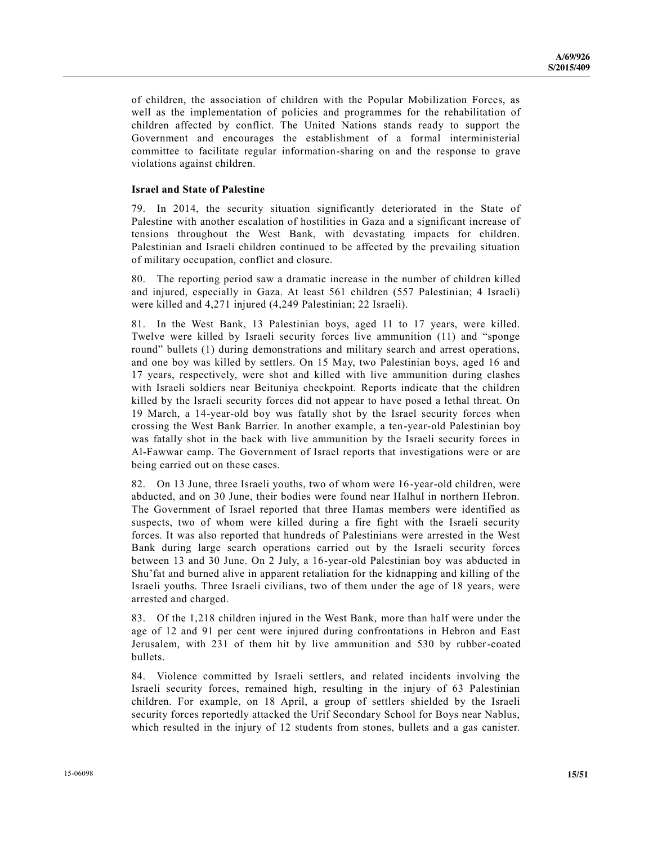of children, the association of children with the Popular Mobilization Forces, as well as the implementation of policies and programmes for the rehabilitation of children affected by conflict. The United Nations stands ready to support the Government and encourages the establishment of a formal interministerial committee to facilitate regular information-sharing on and the response to grave violations against children.

#### **Israel and State of Palestine**

79. In 2014, the security situation significantly deteriorated in the State of Palestine with another escalation of hostilities in Gaza and a significant increase of tensions throughout the West Bank, with devastating impacts for children. Palestinian and Israeli children continued to be affected by the prevailing situation of military occupation, conflict and closure.

80. The reporting period saw a dramatic increase in the number of children killed and injured, especially in Gaza. At least 561 children (557 Palestinian; 4 Israeli) were killed and 4,271 injured (4,249 Palestinian; 22 Israeli).

81. In the West Bank, 13 Palestinian boys, aged 11 to 17 years, were killed. Twelve were killed by Israeli security forces live ammunition (11) and "sponge round" bullets (1) during demonstrations and military search and arrest operations, and one boy was killed by settlers. On 15 May, two Palestinian boys, aged 16 and 17 years, respectively, were shot and killed with live ammunition during clashes with Israeli soldiers near Beituniya checkpoint. Reports indicate that the children killed by the Israeli security forces did not appear to have posed a lethal threat. On 19 March, a 14-year-old boy was fatally shot by the Israel security forces when crossing the West Bank Barrier. In another example, a ten-year-old Palestinian boy was fatally shot in the back with live ammunition by the Israeli security forces in Al-Fawwar camp. The Government of Israel reports that investigations were or are being carried out on these cases.

82. On 13 June, three Israeli youths, two of whom were 16-year-old children, were abducted, and on 30 June, their bodies were found near Halhul in northern Hebron. The Government of Israel reported that three Hamas members were identified as suspects, two of whom were killed during a fire fight with the Israeli security forces. It was also reported that hundreds of Palestinians were arrested in the West Bank during large search operations carried out by the Israeli security forces between 13 and 30 June. On 2 July, a 16-year-old Palestinian boy was abducted in Shu'fat and burned alive in apparent retaliation for the kidnapping and killing of the Israeli youths. Three Israeli civilians, two of them under the age of 18 years, were arrested and charged.

83. Of the 1,218 children injured in the West Bank, more than half were under the age of 12 and 91 per cent were injured during confrontations in Hebron and East Jerusalem, with 231 of them hit by live ammunition and 530 by rubber-coated bullets.

84. Violence committed by Israeli settlers, and related incidents involving the Israeli security forces, remained high, resulting in the injury of 63 Palestinian children. For example, on 18 April, a group of settlers shielded by the Israeli security forces reportedly attacked the Urif Secondary School for Boys near Nablus, which resulted in the injury of 12 students from stones, bullets and a gas canister.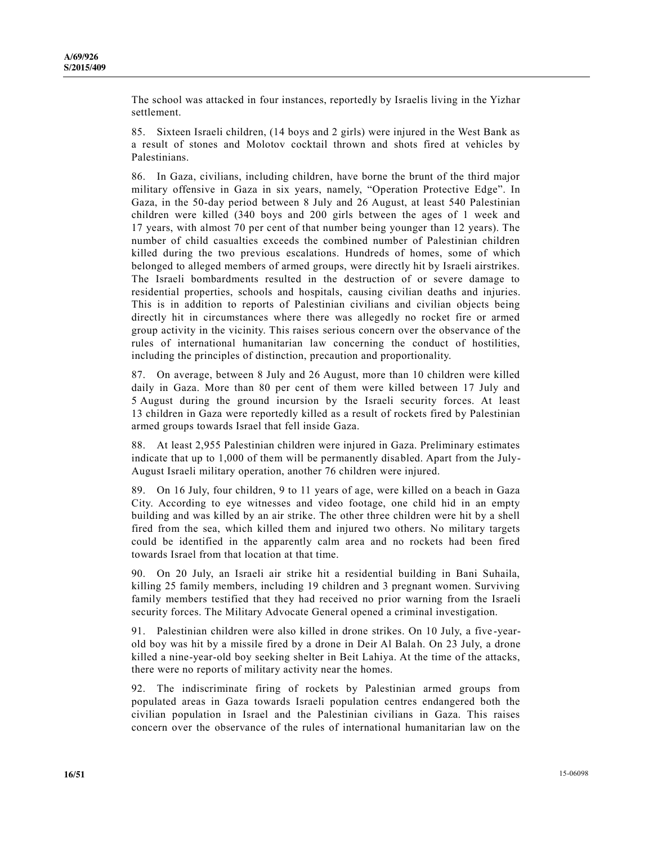The school was attacked in four instances, reportedly by Israelis living in the Yizhar settlement.

85. Sixteen Israeli children, (14 boys and 2 girls) were injured in the West Bank as a result of stones and Molotov cocktail thrown and shots fired at vehicles by Palestinians.

86. In Gaza, civilians, including children, have borne the brunt of the third major military offensive in Gaza in six years, namely, "Operation Protective Edge". In Gaza, in the 50-day period between 8 July and 26 August, at least 540 Palestinian children were killed (340 boys and 200 girls between the ages of 1 week and 17 years, with almost 70 per cent of that number being younger than 12 years). The number of child casualties exceeds the combined number of Palestinian children killed during the two previous escalations. Hundreds of homes, some of which belonged to alleged members of armed groups, were directly hit by Israeli airstrikes. The Israeli bombardments resulted in the destruction of or severe damage to residential properties, schools and hospitals, causing civilian deaths and injuries. This is in addition to reports of Palestinian civilians and civilian objects being directly hit in circumstances where there was allegedly no rocket fire or armed group activity in the vicinity. This raises serious concern over the observance of the rules of international humanitarian law concerning the conduct of hostilities, including the principles of distinction, precaution and proportionality.

87. On average, between 8 July and 26 August, more than 10 children were killed daily in Gaza. More than 80 per cent of them were killed between 17 July and 5 August during the ground incursion by the Israeli security forces. At least 13 children in Gaza were reportedly killed as a result of rockets fired by Palestinian armed groups towards Israel that fell inside Gaza.

88. At least 2,955 Palestinian children were injured in Gaza. Preliminary estimates indicate that up to 1,000 of them will be permanently disabled. Apart from the July-August Israeli military operation, another 76 children were injured.

89. On 16 July, four children, 9 to 11 years of age, were killed on a beach in Gaza City. According to eye witnesses and video footage, one child hid in an empty building and was killed by an air strike. The other three children were hit by a shell fired from the sea, which killed them and injured two others. No military targets could be identified in the apparently calm area and no rockets had been fired towards Israel from that location at that time.

90. On 20 July, an Israeli air strike hit a residential building in Bani Suhaila, killing 25 family members, including 19 children and 3 pregnant women. Surviving family members testified that they had received no prior warning from the Israeli security forces. The Military Advocate General opened a criminal investigation.

91. Palestinian children were also killed in drone strikes. On 10 July, a five -yearold boy was hit by a missile fired by a drone in Deir Al Balah. On 23 July, a drone killed a nine-year-old boy seeking shelter in Beit Lahiya. At the time of the attacks, there were no reports of military activity near the homes.

92. The indiscriminate firing of rockets by Palestinian armed groups from populated areas in Gaza towards Israeli population centres endangered both the civilian population in Israel and the Palestinian civilians in Gaza. This raises concern over the observance of the rules of international humanitarian law on the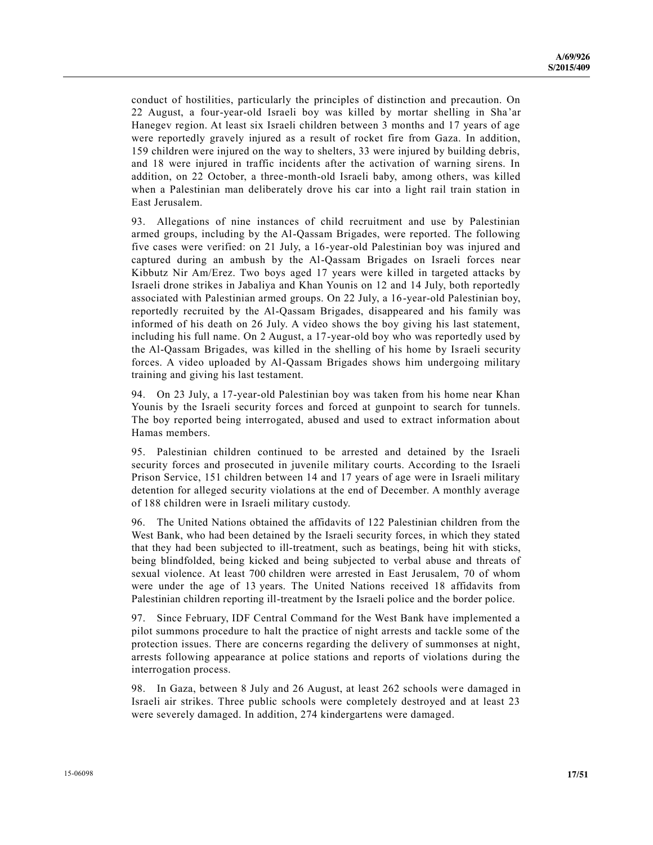conduct of hostilities, particularly the principles of distinction and precaution. On 22 August, a four-year-old Israeli boy was killed by mortar shelling in Sha'ar Hanegev region. At least six Israeli children between 3 months and 17 years of age were reportedly gravely injured as a result of rocket fire from Gaza. In addition, 159 children were injured on the way to shelters, 33 were injured by building debris, and 18 were injured in traffic incidents after the activation of warning sirens. In addition, on 22 October, a three-month-old Israeli baby, among others, was killed when a Palestinian man deliberately drove his car into a light rail train station in East Jerusalem.

93. Allegations of nine instances of child recruitment and use by Palestinian armed groups, including by the Al-Qassam Brigades, were reported. The following five cases were verified: on 21 July, a 16-year-old Palestinian boy was injured and captured during an ambush by the Al-Qassam Brigades on Israeli forces near Kibbutz Nir Am/Erez. Two boys aged 17 years were killed in targeted attacks by Israeli drone strikes in Jabaliya and Khan Younis on 12 and 14 July, both reportedly associated with Palestinian armed groups. On 22 July, a 16-year-old Palestinian boy, reportedly recruited by the Al-Qassam Brigades, disappeared and his family was informed of his death on 26 July. A video shows the boy giving his last statement, including his full name. On 2 August, a 17-year-old boy who was reportedly used by the Al-Qassam Brigades, was killed in the shelling of his home by Israeli security forces. A video uploaded by Al-Qassam Brigades shows him undergoing military training and giving his last testament.

94. On 23 July, a 17-year-old Palestinian boy was taken from his home near Khan Younis by the Israeli security forces and forced at gunpoint to search for tunnels. The boy reported being interrogated, abused and used to extract information about Hamas members.

95. Palestinian children continued to be arrested and detained by the Israeli security forces and prosecuted in juvenile military courts. According to the Israeli Prison Service, 151 children between 14 and 17 years of age were in Israeli military detention for alleged security violations at the end of December. A monthly average of 188 children were in Israeli military custody.

96. The United Nations obtained the affidavits of 122 Palestinian children from the West Bank, who had been detained by the Israeli security forces, in which they stated that they had been subjected to ill-treatment, such as beatings, being hit with sticks, being blindfolded, being kicked and being subjected to verbal abuse and threats of sexual violence. At least 700 children were arrested in East Jerusalem, 70 of whom were under the age of 13 years. The United Nations received 18 affidavits from Palestinian children reporting ill-treatment by the Israeli police and the border police.

97. Since February, IDF Central Command for the West Bank have implemented a pilot summons procedure to halt the practice of night arrests and tackle some of the protection issues. There are concerns regarding the delivery of summonses at night, arrests following appearance at police stations and reports of violations during the interrogation process.

98. In Gaza, between 8 July and 26 August, at least 262 schools were damaged in Israeli air strikes. Three public schools were completely destroyed and at least 23 were severely damaged. In addition, 274 kindergartens were damaged.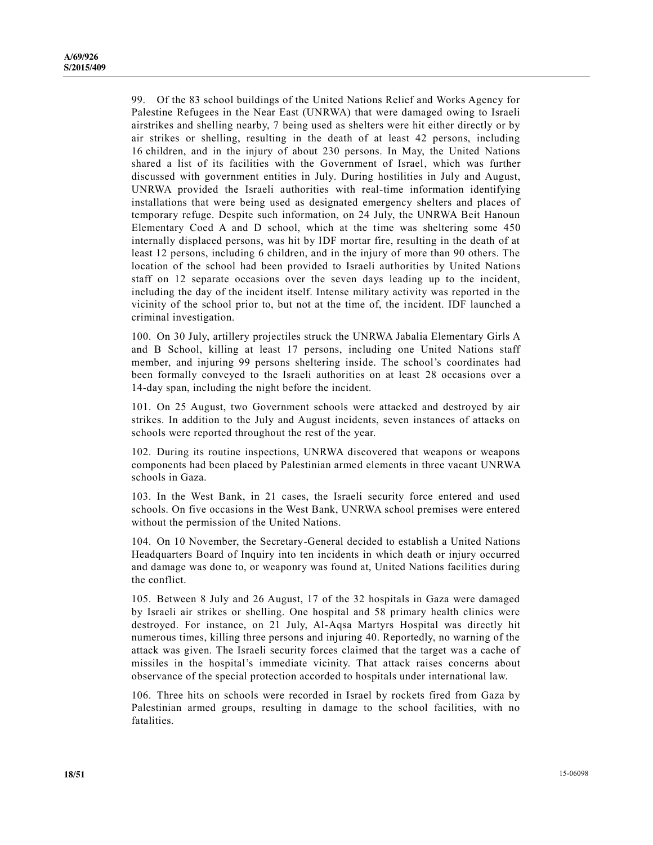99. Of the 83 school buildings of the United Nations Relief and Works Agency for Palestine Refugees in the Near East (UNRWA) that were damaged owing to Israeli airstrikes and shelling nearby, 7 being used as shelters were hit either directly or by air strikes or shelling, resulting in the death of at least 42 persons, including 16 children, and in the injury of about 230 persons. In May, the United Nations shared a list of its facilities with the Government of Israel, which was further discussed with government entities in July. During hostilities in July and August, UNRWA provided the Israeli authorities with real-time information identifying installations that were being used as designated emergency shelters and places of temporary refuge. Despite such information, on 24 July, the UNRWA Beit Hanoun Elementary Coed A and D school, which at the time was sheltering some 450 internally displaced persons, was hit by IDF mortar fire, resulting in the death of at least 12 persons, including 6 children, and in the injury of more than 90 others. The location of the school had been provided to Israeli authorities by United Nations staff on 12 separate occasions over the seven days leading up to the incident, including the day of the incident itself. Intense military activity was reported in the vicinity of the school prior to, but not at the time of, the incident. IDF launched a criminal investigation.

100. On 30 July, artillery projectiles struck the UNRWA Jabalia Elementary Girls A and B School, killing at least 17 persons, including one United Nations staff member, and injuring 99 persons sheltering inside. The school's coordinates had been formally conveyed to the Israeli authorities on at least 28 occasions over a 14-day span, including the night before the incident.

101. On 25 August, two Government schools were attacked and destroyed by air strikes. In addition to the July and August incidents, seven instances of attacks on schools were reported throughout the rest of the year.

102. During its routine inspections, UNRWA discovered that weapons or weapons components had been placed by Palestinian armed elements in three vacant UNRWA schools in Gaza.

103. In the West Bank, in 21 cases, the Israeli security force entered and used schools. On five occasions in the West Bank, UNRWA school premises were entered without the permission of the United Nations.

104. On 10 November, the Secretary-General decided to establish a United Nations Headquarters Board of Inquiry into ten incidents in which death or injury occurred and damage was done to, or weaponry was found at, United Nations facilities during the conflict.

105. Between 8 July and 26 August, 17 of the 32 hospitals in Gaza were damaged by Israeli air strikes or shelling. One hospital and 58 primary health clinics were destroyed. For instance, on 21 July, Al-Aqsa Martyrs Hospital was directly hit numerous times, killing three persons and injuring 40. Reportedly, no warning of the attack was given. The Israeli security forces claimed that the target was a cache of missiles in the hospital's immediate vicinity. That attack raises concerns about observance of the special protection accorded to hospitals under international law.

106. Three hits on schools were recorded in Israel by rockets fired from Gaza by Palestinian armed groups, resulting in damage to the school facilities, with no fatalities.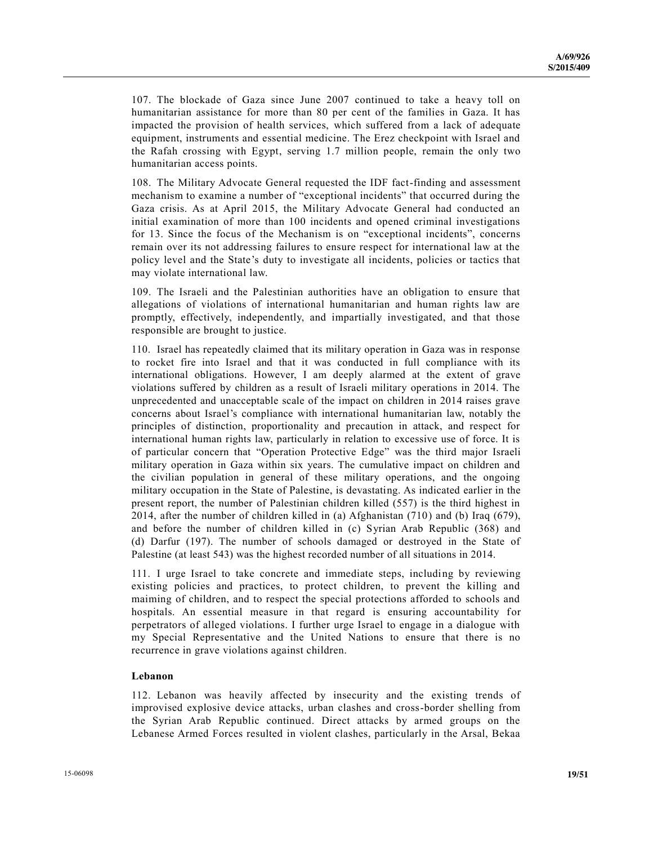107. The blockade of Gaza since June 2007 continued to take a heavy toll on humanitarian assistance for more than 80 per cent of the families in Gaza. It has impacted the provision of health services, which suffered from a lack of adequate equipment, instruments and essential medicine. The Erez checkpoint with Israel and the Rafah crossing with Egypt, serving 1.7 million people, remain the only two humanitarian access points.

108. The Military Advocate General requested the IDF fact-finding and assessment mechanism to examine a number of "exceptional incidents" that occurred during the Gaza crisis. As at April 2015, the Military Advocate General had conducted an initial examination of more than 100 incidents and opened criminal investigations for 13. Since the focus of the Mechanism is on "exceptional incidents", concerns remain over its not addressing failures to ensure respect for international law at the policy level and the State's duty to investigate all incidents, policies or tactics that may violate international law.

109. The Israeli and the Palestinian authorities have an obligation to ensure that allegations of violations of international humanitarian and human rights law are promptly, effectively, independently, and impartially investigated, and that those responsible are brought to justice.

110. Israel has repeatedly claimed that its military operation in Gaza was in response to rocket fire into Israel and that it was conducted in full compliance with its international obligations. However, I am deeply alarmed at the extent of grave violations suffered by children as a result of Israeli military operations in 2014. The unprecedented and unacceptable scale of the impact on children in 2014 raises grave concerns about Israel's compliance with international humanitarian law, notably the principles of distinction, proportionality and precaution in attack, and respect for international human rights law, particularly in relation to excessive use of force. It is of particular concern that "Operation Protective Edge" was the third major Israeli military operation in Gaza within six years. The cumulative impact on children and the civilian population in general of these military operations, and the ongoing military occupation in the State of Palestine, is devastating. As indicated earlier in the present report, the number of Palestinian children killed (557) is the third highest in 2014, after the number of children killed in (a) Afghanistan (710) and (b) Iraq (679), and before the number of children killed in (c) Syrian Arab Republic (368) and (d) Darfur (197). The number of schools damaged or destroyed in the State of Palestine (at least 543) was the highest recorded number of all situations in 2014.

111. I urge Israel to take concrete and immediate steps, including by reviewing existing policies and practices, to protect children, to prevent the killing and maiming of children, and to respect the special protections afforded to schools and hospitals. An essential measure in that regard is ensuring accountability for perpetrators of alleged violations. I further urge Israel to engage in a dialogue with my Special Representative and the United Nations to ensure that there is no recurrence in grave violations against children.

#### **Lebanon**

112. Lebanon was heavily affected by insecurity and the existing trends of improvised explosive device attacks, urban clashes and cross-border shelling from the Syrian Arab Republic continued. Direct attacks by armed groups on the Lebanese Armed Forces resulted in violent clashes, particularly in the Arsal, Bekaa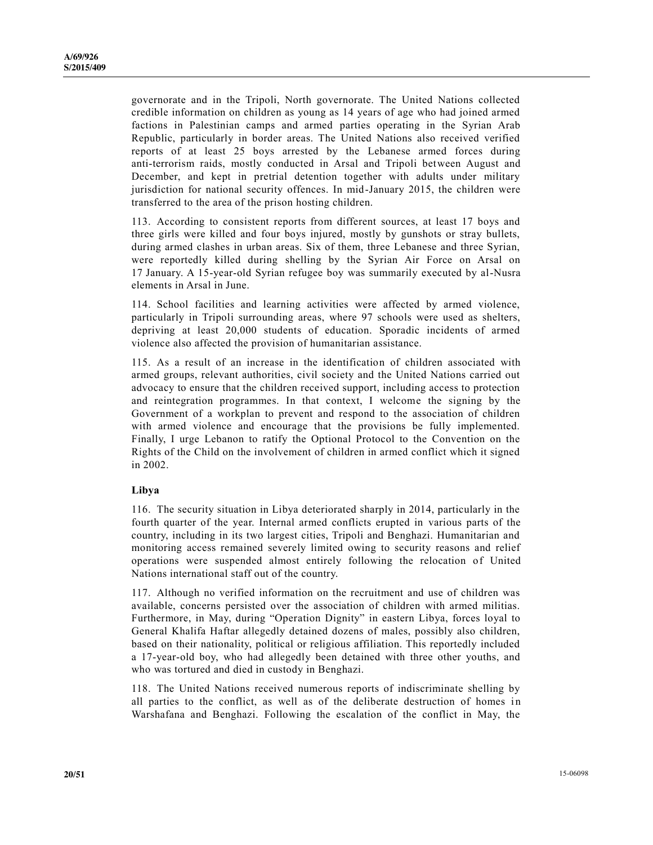governorate and in the Tripoli, North governorate. The United Nations collected credible information on children as young as 14 years of age who had joined armed factions in Palestinian camps and armed parties operating in the Syrian Arab Republic, particularly in border areas. The United Nations also received verified reports of at least 25 boys arrested by the Lebanese armed forces during anti-terrorism raids, mostly conducted in Arsal and Tripoli between August and December, and kept in pretrial detention together with adults under military jurisdiction for national security offences. In mid-January 2015, the children were transferred to the area of the prison hosting children.

113. According to consistent reports from different sources, at least 17 boys and three girls were killed and four boys injured, mostly by gunshots or stray bullets, during armed clashes in urban areas. Six of them, three Lebanese and three Syrian, were reportedly killed during shelling by the Syrian Air Force on Arsal on 17 January. A 15-year-old Syrian refugee boy was summarily executed by al-Nusra elements in Arsal in June.

114. School facilities and learning activities were affected by armed violence, particularly in Tripoli surrounding areas, where 97 schools were used as shelters, depriving at least 20,000 students of education. Sporadic incidents of armed violence also affected the provision of humanitarian assistance.

115. As a result of an increase in the identification of children associated with armed groups, relevant authorities, civil society and the United Nations carried out advocacy to ensure that the children received support, including access to protection and reintegration programmes. In that context, I welcome the signing by the Government of a workplan to prevent and respond to the association of children with armed violence and encourage that the provisions be fully implemented. Finally, I urge Lebanon to ratify the Optional Protocol to the Convention on the Rights of the Child on the involvement of children in armed conflict which it signed in 2002.

#### **Libya**

116. The security situation in Libya deteriorated sharply in 2014, particularly in the fourth quarter of the year. Internal armed conflicts erupted in various parts of the country, including in its two largest cities, Tripoli and Benghazi. Humanitarian and monitoring access remained severely limited owing to security reasons and relief operations were suspended almost entirely following the relocation of United Nations international staff out of the country.

117. Although no verified information on the recruitment and use of children was available, concerns persisted over the association of children with armed militias. Furthermore, in May, during "Operation Dignity" in eastern Libya, forces loyal to General Khalifa Haftar allegedly detained dozens of males, possibly also children, based on their nationality, political or religious affiliation. This reportedly included a 17-year-old boy, who had allegedly been detained with three other youths, and who was tortured and died in custody in Benghazi.

118. The United Nations received numerous reports of indiscriminate shelling by all parties to the conflict, as well as of the deliberate destruction of homes in Warshafana and Benghazi. Following the escalation of the conflict in May, the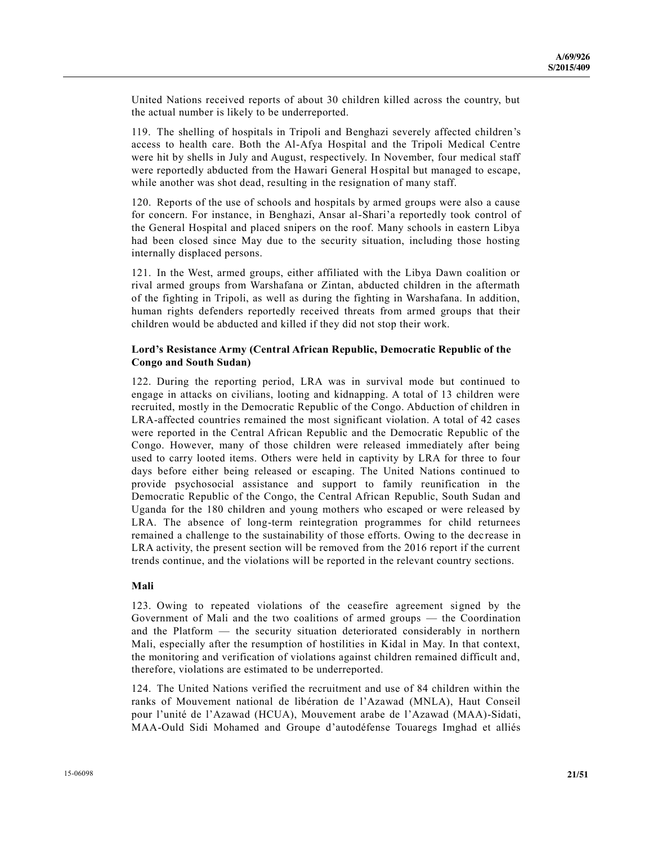United Nations received reports of about 30 children killed across the country, but the actual number is likely to be underreported.

119. The shelling of hospitals in Tripoli and Benghazi severely affected children's access to health care. Both the Al-Afya Hospital and the Tripoli Medical Centre were hit by shells in July and August, respectively. In November, four medical staff were reportedly abducted from the Hawari General Hospital but managed to escape, while another was shot dead, resulting in the resignation of many staff.

120. Reports of the use of schools and hospitals by armed groups were also a cause for concern. For instance, in Benghazi, Ansar al-Shari'a reportedly took control of the General Hospital and placed snipers on the roof. Many schools in eastern Libya had been closed since May due to the security situation, including those hosting internally displaced persons.

121. In the West, armed groups, either affiliated with the Libya Dawn coalition or rival armed groups from Warshafana or Zintan, abducted children in the aftermath of the fighting in Tripoli, as well as during the fighting in Warshafana. In addition, human rights defenders reportedly received threats from armed groups that their children would be abducted and killed if they did not stop their work.

#### **Lord's Resistance Army (Central African Republic, Democratic Republic of the Congo and South Sudan)**

122. During the reporting period, LRA was in survival mode but continued to engage in attacks on civilians, looting and kidnapping. A total of 13 children were recruited, mostly in the Democratic Republic of the Congo. Abduction of children in LRA-affected countries remained the most significant violation. A total of 42 cases were reported in the Central African Republic and the Democratic Republic of the Congo. However, many of those children were released immediately after being used to carry looted items. Others were held in captivity by LRA for three to four days before either being released or escaping. The United Nations continued to provide psychosocial assistance and support to family reunification in the Democratic Republic of the Congo, the Central African Republic, South Sudan and Uganda for the 180 children and young mothers who escaped or were released by LRA. The absence of long-term reintegration programmes for child returnees remained a challenge to the sustainability of those efforts. Owing to the dec rease in LRA activity, the present section will be removed from the 2016 report if the current trends continue, and the violations will be reported in the relevant country sections.

#### **Mali**

123. Owing to repeated violations of the ceasefire agreement signed by the Government of Mali and the two coalitions of armed groups — the Coordination and the Platform — the security situation deteriorated considerably in northern Mali, especially after the resumption of hostilities in Kidal in May. In that context, the monitoring and verification of violations against children remained difficult and, therefore, violations are estimated to be underreported.

124. The United Nations verified the recruitment and use of 84 children within the ranks of Mouvement national de libération de l'Azawad (MNLA), Haut Conseil pour l'unité de l'Azawad (HCUA), Mouvement arabe de l'Azawad (MAA)-Sidati, MAA-Ould Sidi Mohamed and Groupe d'autodéfense Touaregs Imghad et alliés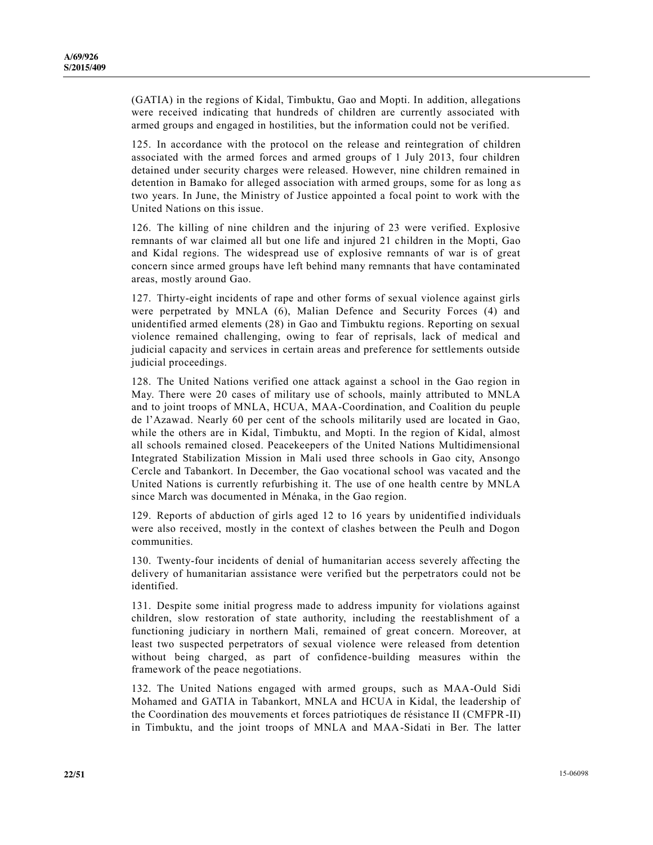(GATIA) in the regions of Kidal, Timbuktu, Gao and Mopti. In addition, allegations were received indicating that hundreds of children are currently associated with armed groups and engaged in hostilities, but the information could not be verified.

125. In accordance with the protocol on the release and reintegration of children associated with the armed forces and armed groups of 1 July 2013, four children detained under security charges were released. However, nine children remained in detention in Bamako for alleged association with armed groups, some for as long a s two years. In June, the Ministry of Justice appointed a focal point to work with the United Nations on this issue.

126. The killing of nine children and the injuring of 23 were verified. Explosive remnants of war claimed all but one life and injured 21 children in the Mopti, Gao and Kidal regions. The widespread use of explosive remnants of war is of great concern since armed groups have left behind many remnants that have contaminated areas, mostly around Gao.

127. Thirty-eight incidents of rape and other forms of sexual violence against girls were perpetrated by MNLA (6), Malian Defence and Security Forces (4) and unidentified armed elements (28) in Gao and Timbuktu regions. Reporting on sexual violence remained challenging, owing to fear of reprisals, lack of medical and judicial capacity and services in certain areas and preference for settlements outside judicial proceedings.

128. The United Nations verified one attack against a school in the Gao region in May. There were 20 cases of military use of schools, mainly attributed to MNLA and to joint troops of MNLA, HCUA, MAA-Coordination, and Coalition du peuple de l'Azawad. Nearly 60 per cent of the schools militarily used are located in Gao, while the others are in Kidal, Timbuktu, and Mopti. In the region of Kidal, almost all schools remained closed. Peacekeepers of the United Nations Multidimensional Integrated Stabilization Mission in Mali used three schools in Gao city, Ansongo Cercle and Tabankort. In December, the Gao vocational school was vacated and the United Nations is currently refurbishing it. The use of one health centre by MNLA since March was documented in Ménaka, in the Gao region.

129. Reports of abduction of girls aged 12 to 16 years by unidentified individuals were also received, mostly in the context of clashes between the Peulh and Dogon communities.

130. Twenty-four incidents of denial of humanitarian access severely affecting the delivery of humanitarian assistance were verified but the perpetrators could not be identified.

131. Despite some initial progress made to address impunity for violations against children, slow restoration of state authority, including the reestablishment of a functioning judiciary in northern Mali, remained of great concern. Moreover, at least two suspected perpetrators of sexual violence were released from detention without being charged, as part of confidence-building measures within the framework of the peace negotiations.

132. The United Nations engaged with armed groups, such as MAA-Ould Sidi Mohamed and GATIA in Tabankort, MNLA and HCUA in Kidal, the leadership of the Coordination des mouvements et forces patriotiques de résistance II (CMFPR-II) in Timbuktu, and the joint troops of MNLA and MAA-Sidati in Ber. The latter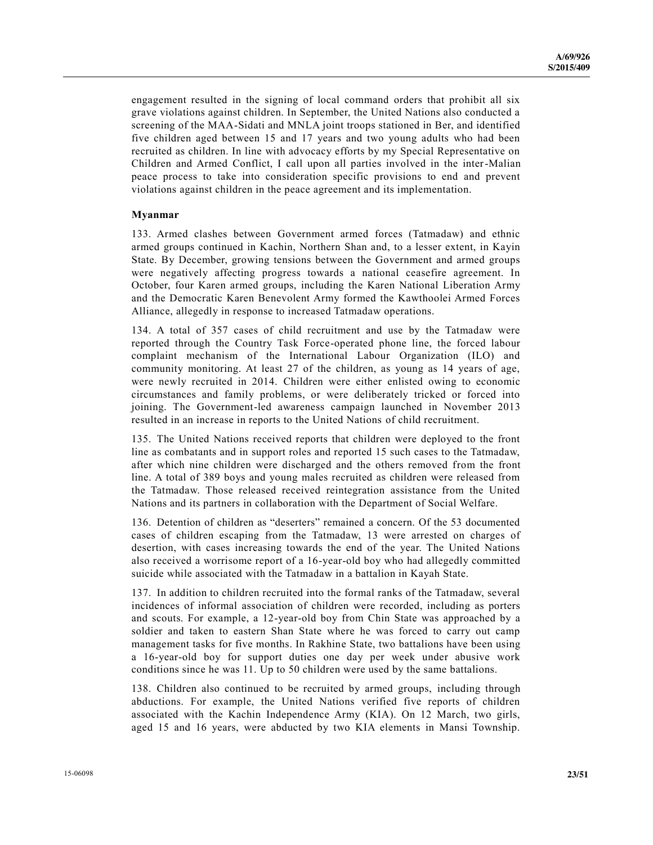engagement resulted in the signing of local command orders that prohibit all six grave violations against children. In September, the United Nations also conducted a screening of the MAA-Sidati and MNLA joint troops stationed in Ber, and identified five children aged between 15 and 17 years and two young adults who had been recruited as children. In line with advocacy efforts by my Special Representative on Children and Armed Conflict, I call upon all parties involved in the inter-Malian peace process to take into consideration specific provisions to end and prevent violations against children in the peace agreement and its implementation.

#### **Myanmar**

133. Armed clashes between Government armed forces (Tatmadaw) and ethnic armed groups continued in Kachin, Northern Shan and, to a lesser extent, in Kayin State. By December, growing tensions between the Government and armed groups were negatively affecting progress towards a national ceasefire agreement. In October, four Karen armed groups, including the Karen National Liberation Army and the Democratic Karen Benevolent Army formed the Kawthoolei Armed Forces Alliance, allegedly in response to increased Tatmadaw operations.

134. A total of 357 cases of child recruitment and use by the Tatmadaw were reported through the Country Task Force-operated phone line, the forced labour complaint mechanism of the International Labour Organization (ILO) and community monitoring. At least 27 of the children, as young as 14 years of age, were newly recruited in 2014. Children were either enlisted owing to economic circumstances and family problems, or were deliberately tricked or forced into joining. The Government-led awareness campaign launched in November 2013 resulted in an increase in reports to the United Nations of child recruitment.

135. The United Nations received reports that children were deployed to the front line as combatants and in support roles and reported 15 such cases to the Tatmadaw, after which nine children were discharged and the others removed from the front line. A total of 389 boys and young males recruited as children were released from the Tatmadaw. Those released received reintegration assistance from the United Nations and its partners in collaboration with the Department of Social Welfare.

136. Detention of children as "deserters" remained a concern. Of the 53 documented cases of children escaping from the Tatmadaw, 13 were arrested on charges of desertion, with cases increasing towards the end of the year. The United Nations also received a worrisome report of a 16-year-old boy who had allegedly committed suicide while associated with the Tatmadaw in a battalion in Kayah State.

137. In addition to children recruited into the formal ranks of the Tatmadaw, several incidences of informal association of children were recorded, including as porters and scouts. For example, a 12-year-old boy from Chin State was approached by a soldier and taken to eastern Shan State where he was forced to carry out camp management tasks for five months. In Rakhine State, two battalions have been using a 16-year-old boy for support duties one day per week under abusive work conditions since he was 11. Up to 50 children were used by the same battalions.

138. Children also continued to be recruited by armed groups, including through abductions. For example, the United Nations verified five reports of children associated with the Kachin Independence Army (KIA). On 12 March, two girls, aged 15 and 16 years, were abducted by two KIA elements in Mansi Township.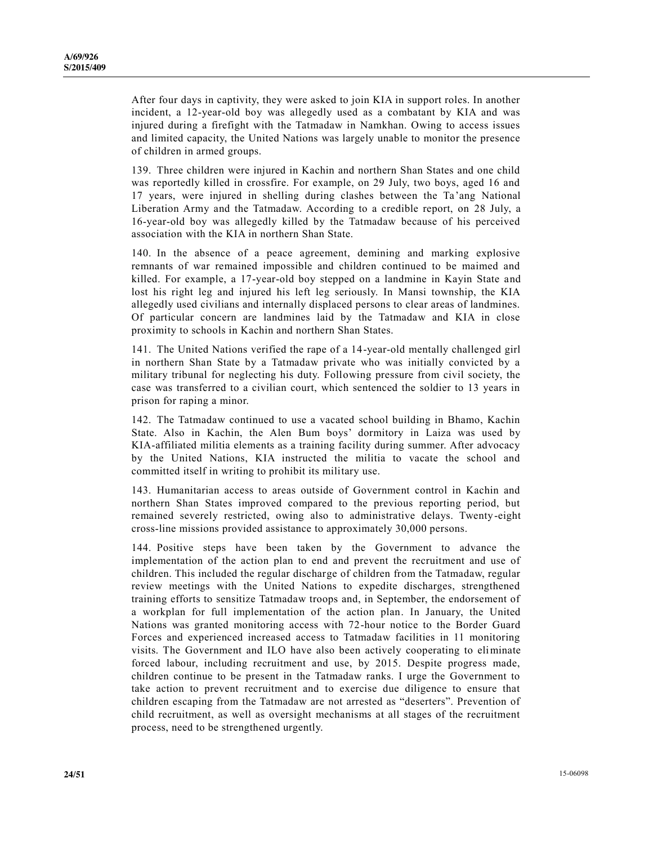After four days in captivity, they were asked to join KIA in support roles. In another incident, a 12-year-old boy was allegedly used as a combatant by KIA and was injured during a firefight with the Tatmadaw in Namkhan. Owing to access issues and limited capacity, the United Nations was largely unable to monitor the presence of children in armed groups.

139. Three children were injured in Kachin and northern Shan States and one child was reportedly killed in crossfire. For example, on 29 July, two boys, aged 16 and 17 years, were injured in shelling during clashes between the Ta 'ang National Liberation Army and the Tatmadaw. According to a credible report, on 28 July, a 16-year-old boy was allegedly killed by the Tatmadaw because of his perceived association with the KIA in northern Shan State.

140. In the absence of a peace agreement, demining and marking explosive remnants of war remained impossible and children continued to be maimed and killed. For example, a 17-year-old boy stepped on a landmine in Kayin State and lost his right leg and injured his left leg seriously. In Mansi township, the KIA allegedly used civilians and internally displaced persons to clear areas of landmines. Of particular concern are landmines laid by the Tatmadaw and KIA in close proximity to schools in Kachin and northern Shan States.

141. The United Nations verified the rape of a 14-year-old mentally challenged girl in northern Shan State by a Tatmadaw private who was initially convicted by a military tribunal for neglecting his duty. Following pressure from civil society, the case was transferred to a civilian court, which sentenced the soldier to 13 years in prison for raping a minor.

142. The Tatmadaw continued to use a vacated school building in Bhamo, Kachin State. Also in Kachin, the Alen Bum boys' dormitory in Laiza was used by KIA-affiliated militia elements as a training facility during summer. After advocacy by the United Nations, KIA instructed the militia to vacate the school and committed itself in writing to prohibit its military use.

143. Humanitarian access to areas outside of Government control in Kachin and northern Shan States improved compared to the previous reporting period, but remained severely restricted, owing also to administrative delays. Twenty-eight cross-line missions provided assistance to approximately 30,000 persons.

144. Positive steps have been taken by the Government to advance the implementation of the action plan to end and prevent the recruitment and use of children. This included the regular discharge of children from the Tatmadaw, regular review meetings with the United Nations to expedite discharges, strengthened training efforts to sensitize Tatmadaw troops and, in September, the endorsement of a workplan for full implementation of the action plan. In January, the United Nations was granted monitoring access with 72-hour notice to the Border Guard Forces and experienced increased access to Tatmadaw facilities in 11 monitoring visits. The Government and ILO have also been actively cooperating to eliminate forced labour, including recruitment and use, by 2015. Despite progress made, children continue to be present in the Tatmadaw ranks. I urge the Government to take action to prevent recruitment and to exercise due diligence to ensure that children escaping from the Tatmadaw are not arrested as "deserters". Prevention of child recruitment, as well as oversight mechanisms at all stages of the recruitment process, need to be strengthened urgently.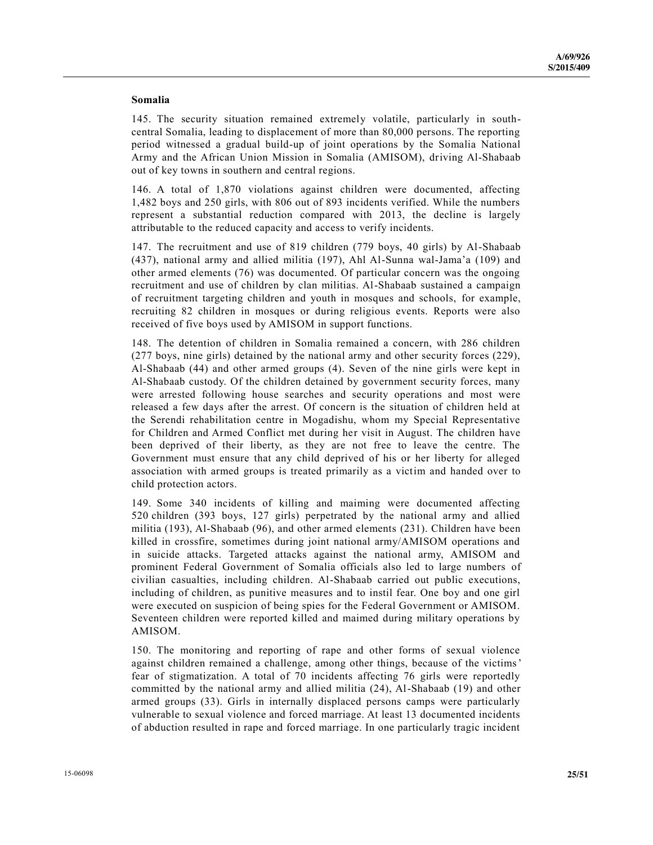#### **Somalia**

145. The security situation remained extremely volatile, particularly in southcentral Somalia, leading to displacement of more than 80,000 persons. The reporting period witnessed a gradual build-up of joint operations by the Somalia National Army and the African Union Mission in Somalia (AMISOM), driving Al-Shabaab out of key towns in southern and central regions.

146. A total of 1,870 violations against children were documented, affecting 1,482 boys and 250 girls, with 806 out of 893 incidents verified. While the numbers represent a substantial reduction compared with 2013, the decline is largely attributable to the reduced capacity and access to verify incidents.

147. The recruitment and use of 819 children (779 boys, 40 girls) by Al-Shabaab (437), national army and allied militia (197), Ahl Al-Sunna wal-Jama'a (109) and other armed elements (76) was documented. Of particular concern was the ongoing recruitment and use of children by clan militias. Al-Shabaab sustained a campaign of recruitment targeting children and youth in mosques and schools, for example, recruiting 82 children in mosques or during religious events. Reports were also received of five boys used by AMISOM in support functions.

148. The detention of children in Somalia remained a concern, with 286 children (277 boys, nine girls) detained by the national army and other security forces (229), Al-Shabaab (44) and other armed groups (4). Seven of the nine girls were kept in Al-Shabaab custody. Of the children detained by government security forces, many were arrested following house searches and security operations and most were released a few days after the arrest. Of concern is the situation of children held at the Serendi rehabilitation centre in Mogadishu, whom my Special Representative for Children and Armed Conflict met during her visit in August. The children have been deprived of their liberty, as they are not free to leave the centre. The Government must ensure that any child deprived of his or her liberty for alleged association with armed groups is treated primarily as a victim and handed over to child protection actors.

149. Some 340 incidents of killing and maiming were documented affecting 520 children (393 boys, 127 girls) perpetrated by the national army and allied militia (193), Al-Shabaab (96), and other armed elements (231). Children have been killed in crossfire, sometimes during joint national army/AMISOM operations and in suicide attacks. Targeted attacks against the national army, AMISOM and prominent Federal Government of Somalia officials also led to large numbers of civilian casualties, including children. Al-Shabaab carried out public executions, including of children, as punitive measures and to instil fear. One boy and one girl were executed on suspicion of being spies for the Federal Government or AMISOM. Seventeen children were reported killed and maimed during military operations by AMISOM.

150. The monitoring and reporting of rape and other forms of sexual violence against children remained a challenge, among other things, because of the victims' fear of stigmatization. A total of 70 incidents affecting 76 girls were reportedly committed by the national army and allied militia (24), Al-Shabaab (19) and other armed groups (33). Girls in internally displaced persons camps were particularly vulnerable to sexual violence and forced marriage. At least 13 documented incidents of abduction resulted in rape and forced marriage. In one particularly tragic incident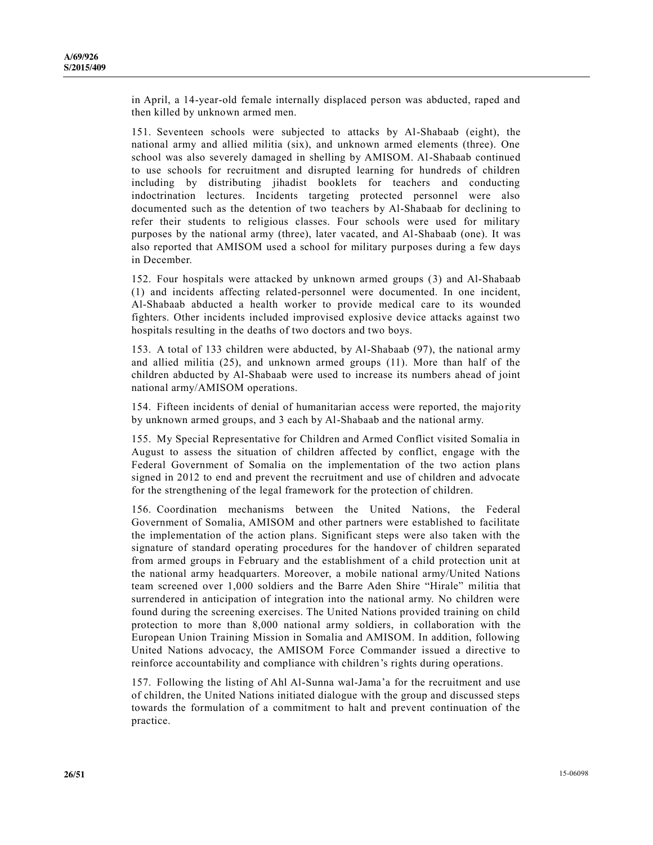in April, a 14-year-old female internally displaced person was abducted, raped and then killed by unknown armed men.

151. Seventeen schools were subjected to attacks by Al-Shabaab (eight), the national army and allied militia (six), and unknown armed elements (three). One school was also severely damaged in shelling by AMISOM. Al-Shabaab continued to use schools for recruitment and disrupted learning for hundreds of children including by distributing jihadist booklets for teachers and conducting indoctrination lectures. Incidents targeting protected personnel were also documented such as the detention of two teachers by Al-Shabaab for declining to refer their students to religious classes. Four schools were used for military purposes by the national army (three), later vacated, and Al-Shabaab (one). It was also reported that AMISOM used a school for military purposes during a few days in December.

152. Four hospitals were attacked by unknown armed groups (3) and Al-Shabaab (1) and incidents affecting related-personnel were documented. In one incident, Al-Shabaab abducted a health worker to provide medical care to its wounded fighters. Other incidents included improvised explosive device attacks against two hospitals resulting in the deaths of two doctors and two boys.

153. A total of 133 children were abducted, by Al-Shabaab (97), the national army and allied militia (25), and unknown armed groups (11). More than half of the children abducted by Al-Shabaab were used to increase its numbers ahead of joint national army/AMISOM operations.

154. Fifteen incidents of denial of humanitarian access were reported, the majority by unknown armed groups, and 3 each by Al-Shabaab and the national army.

155. My Special Representative for Children and Armed Conflict visited Somalia in August to assess the situation of children affected by conflict, engage with the Federal Government of Somalia on the implementation of the two action plans signed in 2012 to end and prevent the recruitment and use of children and advocate for the strengthening of the legal framework for the protection of children.

156. Coordination mechanisms between the United Nations, the Federal Government of Somalia, AMISOM and other partners were established to facilitate the implementation of the action plans. Significant steps were also taken with the signature of standard operating procedures for the handover of children separated from armed groups in February and the establishment of a child protection unit at the national army headquarters. Moreover, a mobile national army/United Nations team screened over 1,000 soldiers and the Barre Aden Shire "Hirale" militia that surrendered in anticipation of integration into the national army. No children were found during the screening exercises. The United Nations provided training on child protection to more than 8,000 national army soldiers, in collaboration with the European Union Training Mission in Somalia and AMISOM. In addition, following United Nations advocacy, the AMISOM Force Commander issued a directive to reinforce accountability and compliance with children's rights during operations.

157. Following the listing of Ahl Al-Sunna wal-Jama'a for the recruitment and use of children, the United Nations initiated dialogue with the group and discussed steps towards the formulation of a commitment to halt and prevent continuation of the practice.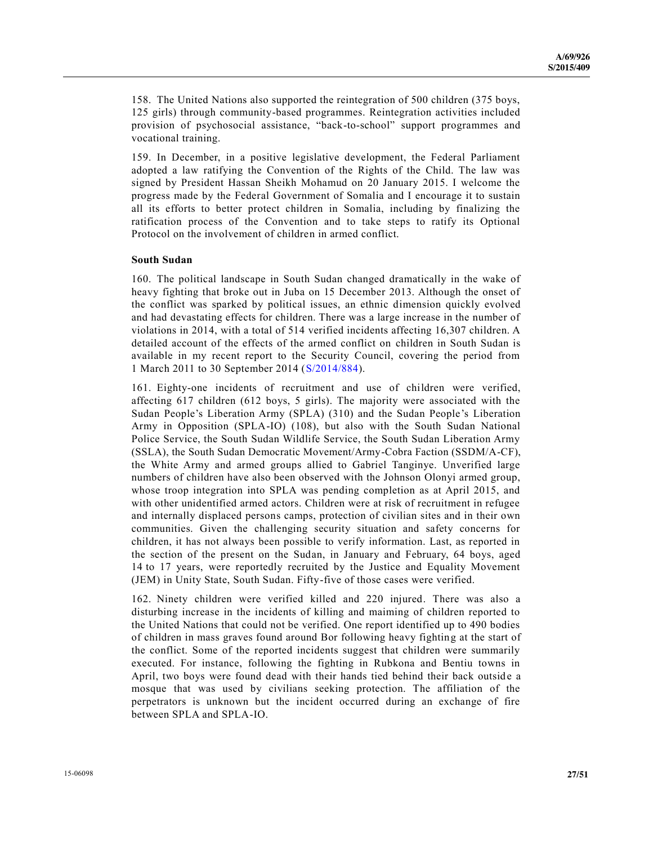158. The United Nations also supported the reintegration of 500 children (375 boys, 125 girls) through community-based programmes. Reintegration activities included provision of psychosocial assistance, "back-to-school" support programmes and vocational training.

159. In December, in a positive legislative development, the Federal Parliament adopted a law ratifying the Convention of the Rights of the Child. The law was signed by President Hassan Sheikh Mohamud on 20 January 2015. I welcome the progress made by the Federal Government of Somalia and I encourage it to sustain all its efforts to better protect children in Somalia, including by finalizing the ratification process of the Convention and to take steps to ratify its Optional Protocol on the involvement of children in armed conflict.

#### **South Sudan**

160. The political landscape in South Sudan changed dramatically in the wake of heavy fighting that broke out in Juba on 15 December 2013. Although the onset of the conflict was sparked by political issues, an ethnic dimension quickly evolved and had devastating effects for children. There was a large increase in the number of violations in 2014, with a total of 514 verified incidents affecting 16,307 children. A detailed account of the effects of the armed conflict on children in South Sudan is available in my recent report to the Security Council, covering the period from 1 March 2011 to 30 September 2014 [\(S/2014/884\)](http://undocs.org/S/2014/884).

161. Eighty-one incidents of recruitment and use of children were verified, affecting 617 children (612 boys, 5 girls). The majority were associated with the Sudan People's Liberation Army (SPLA) (310) and the Sudan People's Liberation Army in Opposition (SPLA-IO) (108), but also with the South Sudan National Police Service, the South Sudan Wildlife Service, the South Sudan Liberation Army (SSLA), the South Sudan Democratic Movement/Army-Cobra Faction (SSDM/A-CF), the White Army and armed groups allied to Gabriel Tanginye. Unverified large numbers of children have also been observed with the Johnson Olonyi armed group, whose troop integration into SPLA was pending completion as at April 2015, and with other unidentified armed actors. Children were at risk of recruitment in refugee and internally displaced persons camps, protection of civilian sites and in their own communities. Given the challenging security situation and safety concerns for children, it has not always been possible to verify information. Last, as reported in the section of the present on the Sudan, in January and February, 64 boys, aged 14 to 17 years, were reportedly recruited by the Justice and Equality Movement (JEM) in Unity State, South Sudan. Fifty-five of those cases were verified.

162. Ninety children were verified killed and 220 injured. There was also a disturbing increase in the incidents of killing and maiming of children reported to the United Nations that could not be verified. One report identified up to 490 bodies of children in mass graves found around Bor following heavy fighting at the start of the conflict. Some of the reported incidents suggest that children were summarily executed. For instance, following the fighting in Rubkona and Bentiu towns in April, two boys were found dead with their hands tied behind their back outside a mosque that was used by civilians seeking protection. The affiliation of the perpetrators is unknown but the incident occurred during an exchange of fire between SPLA and SPLA-IO.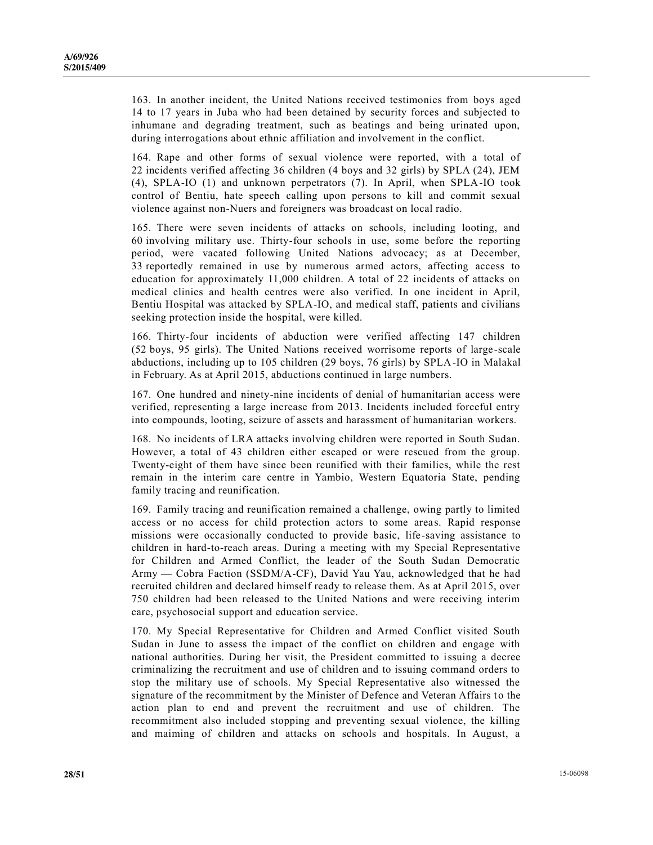163. In another incident, the United Nations received testimonies from boys aged 14 to 17 years in Juba who had been detained by security forces and subjected to inhumane and degrading treatment, such as beatings and being urinated upon, during interrogations about ethnic affiliation and involvement in the conflict.

164. Rape and other forms of sexual violence were reported, with a total of 22 incidents verified affecting 36 children (4 boys and 32 girls) by SPLA (24), JEM (4), SPLA-IO (1) and unknown perpetrators (7). In April, when SPLA-IO took control of Bentiu, hate speech calling upon persons to kill and commit sexual violence against non-Nuers and foreigners was broadcast on local radio.

165. There were seven incidents of attacks on schools, including looting, and 60 involving military use. Thirty-four schools in use, some before the reporting period, were vacated following United Nations advocacy; as at December, 33 reportedly remained in use by numerous armed actors, affecting access to education for approximately 11,000 children. A total of 22 incidents of attacks on medical clinics and health centres were also verified. In one incident in April, Bentiu Hospital was attacked by SPLA-IO, and medical staff, patients and civilians seeking protection inside the hospital, were killed.

166. Thirty-four incidents of abduction were verified affecting 147 children (52 boys, 95 girls). The United Nations received worrisome reports of large -scale abductions, including up to 105 children (29 boys, 76 girls) by SPLA-IO in Malakal in February. As at April 2015, abductions continued in large numbers.

167. One hundred and ninety-nine incidents of denial of humanitarian access were verified, representing a large increase from 2013. Incidents included forceful entry into compounds, looting, seizure of assets and harassment of humanitarian workers.

168. No incidents of LRA attacks involving children were reported in South Sudan. However, a total of 43 children either escaped or were rescued from the group. Twenty-eight of them have since been reunified with their families, while the rest remain in the interim care centre in Yambio, Western Equatoria State, pending family tracing and reunification.

169. Family tracing and reunification remained a challenge, owing partly to limited access or no access for child protection actors to some areas. Rapid response missions were occasionally conducted to provide basic, life-saving assistance to children in hard-to-reach areas. During a meeting with my Special Representative for Children and Armed Conflict, the leader of the South Sudan Democratic Army — Cobra Faction (SSDM/A-CF), David Yau Yau, acknowledged that he had recruited children and declared himself ready to release them. As at April 2015, over 750 children had been released to the United Nations and were receiving interim care, psychosocial support and education service.

170. My Special Representative for Children and Armed Conflict visited South Sudan in June to assess the impact of the conflict on children and engage with national authorities. During her visit, the President committed to issuing a decree criminalizing the recruitment and use of children and to issuing command orders to stop the military use of schools. My Special Representative also witnessed the signature of the recommitment by the Minister of Defence and Veteran Affairs to the action plan to end and prevent the recruitment and use of children. The recommitment also included stopping and preventing sexual violence, the killing and maiming of children and attacks on schools and hospitals. In August, a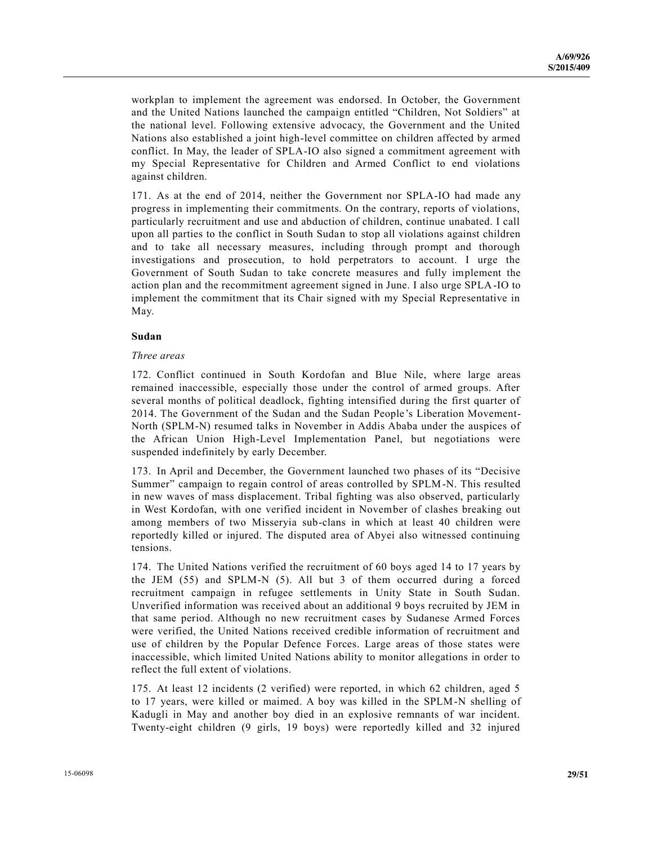workplan to implement the agreement was endorsed. In October, the Government and the United Nations launched the campaign entitled "Children, Not Soldiers" at the national level. Following extensive advocacy, the Government and the United Nations also established a joint high-level committee on children affected by armed conflict. In May, the leader of SPLA-IO also signed a commitment agreement with my Special Representative for Children and Armed Conflict to end violations against children.

171. As at the end of 2014, neither the Government nor SPLA-IO had made any progress in implementing their commitments. On the contrary, reports of violations, particularly recruitment and use and abduction of children, continue unabated. I call upon all parties to the conflict in South Sudan to stop all violations against children and to take all necessary measures, including through prompt and thorough investigations and prosecution, to hold perpetrators to account. I urge the Government of South Sudan to take concrete measures and fully implement the action plan and the recommitment agreement signed in June. I also urge SPLA-IO to implement the commitment that its Chair signed with my Special Representative in May.

#### **Sudan**

#### *Three areas*

172. Conflict continued in South Kordofan and Blue Nile, where large areas remained inaccessible, especially those under the control of armed groups. After several months of political deadlock, fighting intensified during the first quarter of 2014. The Government of the Sudan and the Sudan People's Liberation Movement-North (SPLM-N) resumed talks in November in Addis Ababa under the auspices of the African Union High-Level Implementation Panel, but negotiations were suspended indefinitely by early December.

173. In April and December, the Government launched two phases of its "Decisive Summer" campaign to regain control of areas controlled by SPLM-N. This resulted in new waves of mass displacement. Tribal fighting was also observed, particularly in West Kordofan, with one verified incident in November of clashes breaking out among members of two Misseryia sub-clans in which at least 40 children were reportedly killed or injured. The disputed area of Abyei also witnessed continuing tensions.

174. The United Nations verified the recruitment of 60 boys aged 14 to 17 years by the JEM (55) and SPLM-N (5). All but 3 of them occurred during a forced recruitment campaign in refugee settlements in Unity State in South Sudan. Unverified information was received about an additional 9 boys recruited by JEM in that same period. Although no new recruitment cases by Sudanese Armed Forces were verified, the United Nations received credible information of recruitment and use of children by the Popular Defence Forces. Large areas of those states were inaccessible, which limited United Nations ability to monitor allegations in order to reflect the full extent of violations.

175. At least 12 incidents (2 verified) were reported, in which 62 children, aged 5 to 17 years, were killed or maimed. A boy was killed in the SPLM-N shelling of Kadugli in May and another boy died in an explosive remnants of war incident. Twenty-eight children (9 girls, 19 boys) were reportedly killed and 32 injured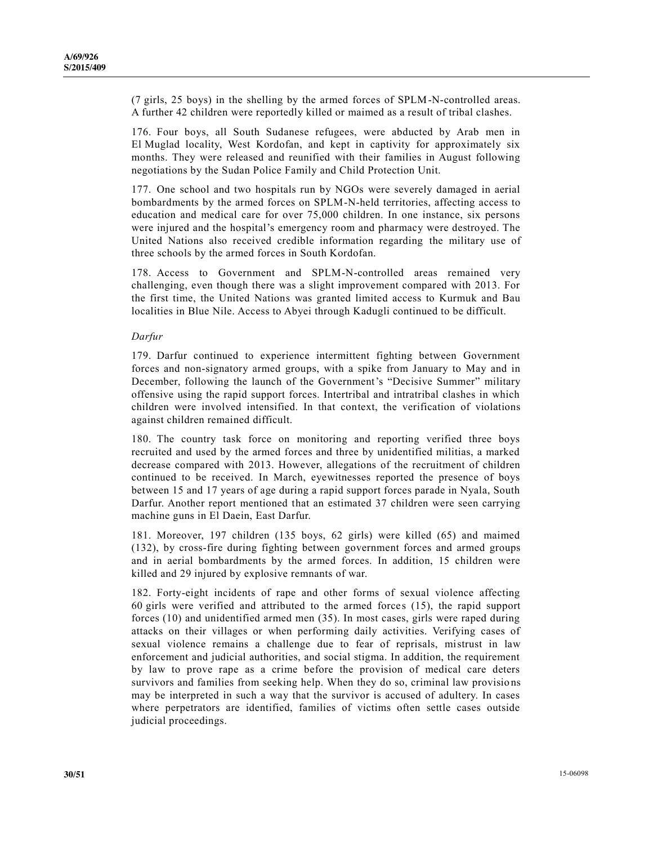(7 girls, 25 boys) in the shelling by the armed forces of SPLM-N-controlled areas. A further 42 children were reportedly killed or maimed as a result of tribal clashes.

176. Four boys, all South Sudanese refugees, were abducted by Arab men in El Muglad locality, West Kordofan, and kept in captivity for approximately six months. They were released and reunified with their families in August following negotiations by the Sudan Police Family and Child Protection Unit.

177. One school and two hospitals run by NGOs were severely damaged in aerial bombardments by the armed forces on SPLM-N-held territories, affecting access to education and medical care for over 75,000 children. In one instance, six persons were injured and the hospital's emergency room and pharmacy were destroyed. The United Nations also received credible information regarding the military use of three schools by the armed forces in South Kordofan.

178. Access to Government and SPLM-N-controlled areas remained very challenging, even though there was a slight improvement compared with 2013. For the first time, the United Nations was granted limited access to Kurmuk and Bau localities in Blue Nile. Access to Abyei through Kadugli continued to be difficult.

#### *Darfur*

179. Darfur continued to experience intermittent fighting between Government forces and non-signatory armed groups, with a spike from January to May and in December, following the launch of the Government's "Decisive Summer" military offensive using the rapid support forces. Intertribal and intratribal clashes in which children were involved intensified. In that context, the verification of violations against children remained difficult.

180. The country task force on monitoring and reporting verified three boys recruited and used by the armed forces and three by unidentified militias, a marked decrease compared with 2013. However, allegations of the recruitment of children continued to be received. In March, eyewitnesses reported the presence of boys between 15 and 17 years of age during a rapid support forces parade in Nyala, South Darfur. Another report mentioned that an estimated 37 children were seen carrying machine guns in El Daein, East Darfur.

181. Moreover, 197 children (135 boys, 62 girls) were killed (65) and maimed (132), by cross-fire during fighting between government forces and armed groups and in aerial bombardments by the armed forces. In addition, 15 children were killed and 29 injured by explosive remnants of war.

182. Forty-eight incidents of rape and other forms of sexual violence affecting 60 girls were verified and attributed to the armed forces (15), the rapid support forces (10) and unidentified armed men (35). In most cases, girls were raped during attacks on their villages or when performing daily activities. Verifying cases of sexual violence remains a challenge due to fear of reprisals, mistrust in law enforcement and judicial authorities, and social stigma. In addition, the requirement by law to prove rape as a crime before the provision of medical care deters survivors and families from seeking help. When they do so, criminal law provisio ns may be interpreted in such a way that the survivor is accused of adultery. In cases where perpetrators are identified, families of victims often settle cases outside judicial proceedings.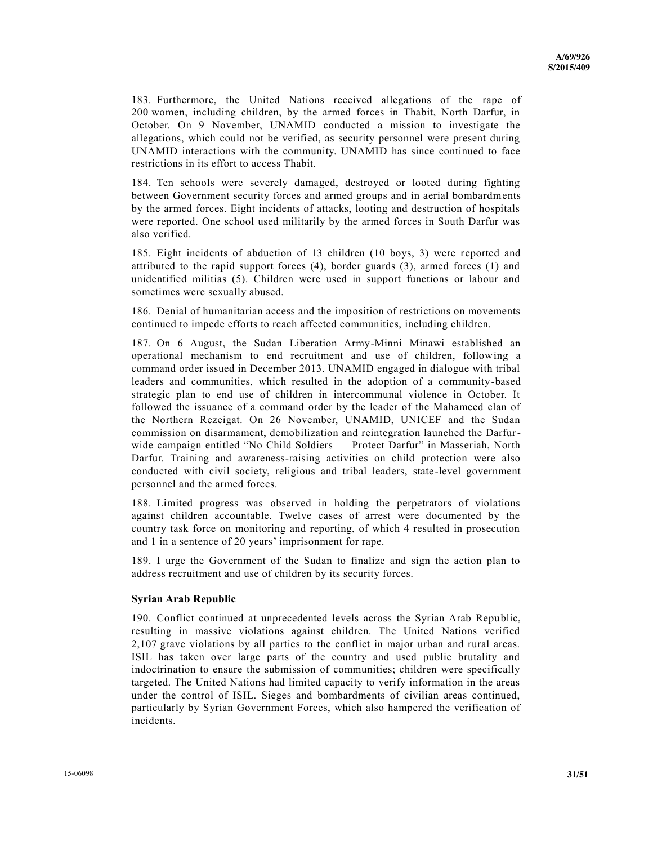183. Furthermore, the United Nations received allegations of the rape of 200 women, including children, by the armed forces in Thabit, North Darfur, in October. On 9 November, UNAMID conducted a mission to investigate the allegations, which could not be verified, as security personnel were present during UNAMID interactions with the community. UNAMID has since continued to face restrictions in its effort to access Thabit.

184. Ten schools were severely damaged, destroyed or looted during fighting between Government security forces and armed groups and in aerial bombardments by the armed forces. Eight incidents of attacks, looting and destruction of hospitals were reported. One school used militarily by the armed forces in South Darfur was also verified.

185. Eight incidents of abduction of 13 children (10 boys, 3) were r eported and attributed to the rapid support forces (4), border guards (3), armed forces (1) and unidentified militias (5). Children were used in support functions or labour and sometimes were sexually abused.

186. Denial of humanitarian access and the imposition of restrictions on movements continued to impede efforts to reach affected communities, including children.

187. On 6 August, the Sudan Liberation Army-Minni Minawi established an operational mechanism to end recruitment and use of children, following a command order issued in December 2013. UNAMID engaged in dialogue with tribal leaders and communities, which resulted in the adoption of a community-based strategic plan to end use of children in intercommunal violence in October. It followed the issuance of a command order by the leader of the Mahameed clan of the Northern Rezeigat. On 26 November, UNAMID, UNICEF and the Sudan commission on disarmament, demobilization and reintegration launched the Darfurwide campaign entitled "No Child Soldiers — Protect Darfur" in Masseriah, North Darfur. Training and awareness-raising activities on child protection were also conducted with civil society, religious and tribal leaders, state -level government personnel and the armed forces.

188. Limited progress was observed in holding the perpetrators of violations against children accountable. Twelve cases of arrest were documented by the country task force on monitoring and reporting, of which 4 resulted in prosecution and 1 in a sentence of 20 years' imprisonment for rape.

189. I urge the Government of the Sudan to finalize and sign the action plan to address recruitment and use of children by its security forces.

#### **Syrian Arab Republic**

190. Conflict continued at unprecedented levels across the Syrian Arab Republic, resulting in massive violations against children. The United Nations verified 2,107 grave violations by all parties to the conflict in major urban and rural areas. ISIL has taken over large parts of the country and used public brutality and indoctrination to ensure the submission of communities; children were specifically targeted. The United Nations had limited capacity to verify information in the areas under the control of ISIL. Sieges and bombardments of civilian areas continued, particularly by Syrian Government Forces, which also hampered the verification of incidents.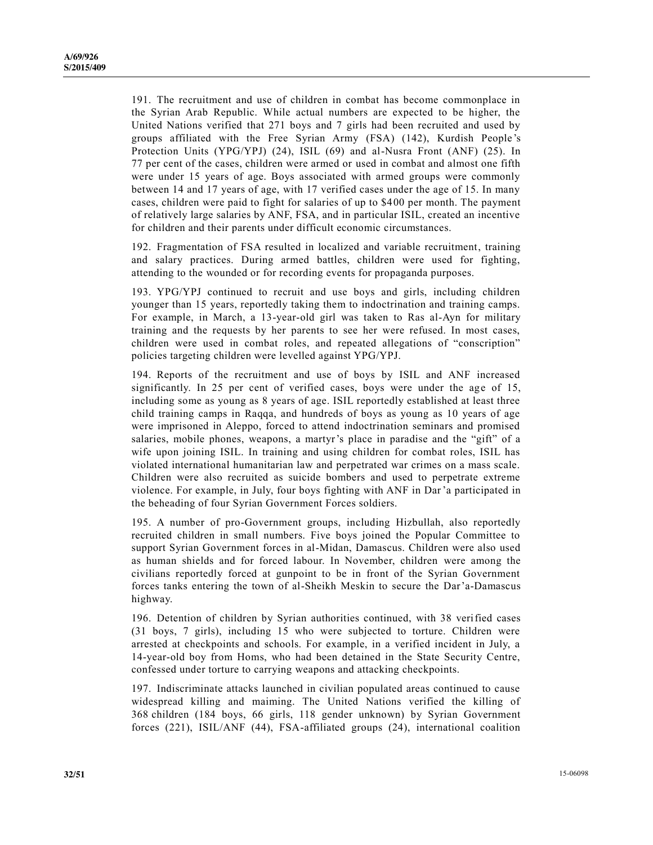191. The recruitment and use of children in combat has become commonplace in the Syrian Arab Republic. While actual numbers are expected to be higher, the United Nations verified that 271 boys and 7 girls had been recruited and used by groups affiliated with the Free Syrian Army (FSA) (142), Kurdish People 's Protection Units (YPG/YPJ) (24), ISIL (69) and al-Nusra Front (ANF) (25). In 77 per cent of the cases, children were armed or used in combat and almost one fifth were under 15 years of age. Boys associated with armed groups were commonly between 14 and 17 years of age, with 17 verified cases under the age of 15. In many cases, children were paid to fight for salaries of up to \$400 per month. The payment of relatively large salaries by ANF, FSA, and in particular ISIL, created an incentive for children and their parents under difficult economic circumstances.

192. Fragmentation of FSA resulted in localized and variable recruitment, training and salary practices. During armed battles, children were used for fighting, attending to the wounded or for recording events for propaganda purposes.

193. YPG/YPJ continued to recruit and use boys and girls, including children younger than 15 years, reportedly taking them to indoctrination and training camps. For example, in March, a 13-year-old girl was taken to Ras al-Ayn for military training and the requests by her parents to see her were refused. In most cases, children were used in combat roles, and repeated allegations of "conscription" policies targeting children were levelled against YPG/YPJ.

194. Reports of the recruitment and use of boys by ISIL and ANF increased significantly. In 25 per cent of verified cases, boys were under the age of 15, including some as young as 8 years of age. ISIL reportedly established at least three child training camps in Raqqa, and hundreds of boys as young as 10 years of age were imprisoned in Aleppo, forced to attend indoctrination seminars and promised salaries, mobile phones, weapons, a martyr's place in paradise and the "gift" of a wife upon joining ISIL. In training and using children for combat roles, ISIL has violated international humanitarian law and perpetrated war crimes on a mass scale. Children were also recruited as suicide bombers and used to perpetrate extreme violence. For example, in July, four boys fighting with ANF in Dar'a participated in the beheading of four Syrian Government Forces soldiers.

195. A number of pro-Government groups, including Hizbullah, also reportedly recruited children in small numbers. Five boys joined the Popular Committee to support Syrian Government forces in al-Midan, Damascus. Children were also used as human shields and for forced labour. In November, children were among the civilians reportedly forced at gunpoint to be in front of the Syrian Government forces tanks entering the town of al-Sheikh Meskin to secure the Dar'a-Damascus highway.

196. Detention of children by Syrian authorities continued, with 38 verified cases (31 boys, 7 girls), including 15 who were subjected to torture. Children were arrested at checkpoints and schools. For example, in a verified incident in July, a 14-year-old boy from Homs, who had been detained in the State Security Centre, confessed under torture to carrying weapons and attacking checkpoints.

197. Indiscriminate attacks launched in civilian populated areas continued to cause widespread killing and maiming. The United Nations verified the killing of 368 children (184 boys, 66 girls, 118 gender unknown) by Syrian Government forces (221), ISIL/ANF (44), FSA-affiliated groups (24), international coalition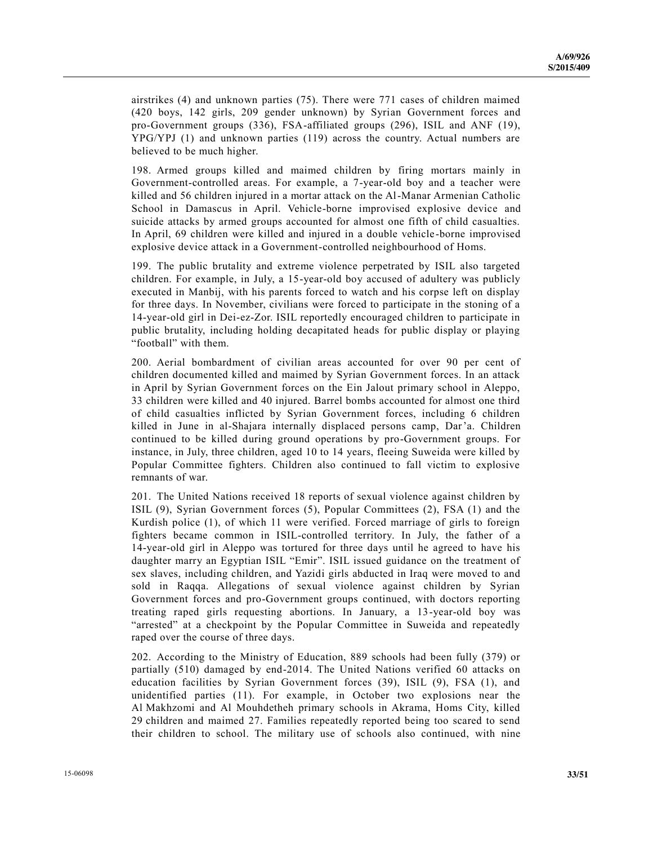airstrikes (4) and unknown parties (75). There were 771 cases of children maimed (420 boys, 142 girls, 209 gender unknown) by Syrian Government forces and pro-Government groups (336), FSA-affiliated groups (296), ISIL and ANF (19), YPG/YPJ (1) and unknown parties (119) across the country. Actual numbers are believed to be much higher.

198. Armed groups killed and maimed children by firing mortars mainly in Government-controlled areas. For example, a 7-year-old boy and a teacher were killed and 56 children injured in a mortar attack on the Al-Manar Armenian Catholic School in Damascus in April. Vehicle-borne improvised explosive device and suicide attacks by armed groups accounted for almost one fifth of child casualties. In April, 69 children were killed and injured in a double vehicle -borne improvised explosive device attack in a Government-controlled neighbourhood of Homs.

199. The public brutality and extreme violence perpetrated by ISIL also targeted children. For example, in July, a 15-year-old boy accused of adultery was publicly executed in Manbij, with his parents forced to watch and his corpse left on display for three days. In November, civilians were forced to participate in the stoning of a 14-year-old girl in Dei-ez-Zor. ISIL reportedly encouraged children to participate in public brutality, including holding decapitated heads for public display or playing "football" with them.

200. Aerial bombardment of civilian areas accounted for over 90 per cent of children documented killed and maimed by Syrian Government forces. In an attack in April by Syrian Government forces on the Ein Jalout primary school in Aleppo, 33 children were killed and 40 injured. Barrel bombs accounted for almost one third of child casualties inflicted by Syrian Government forces, including 6 children killed in June in al-Shajara internally displaced persons camp, Dar'a. Children continued to be killed during ground operations by pro-Government groups. For instance, in July, three children, aged 10 to 14 years, fleeing Suweida were killed by Popular Committee fighters. Children also continued to fall victim to explosive remnants of war.

201. The United Nations received 18 reports of sexual violence against children by ISIL (9), Syrian Government forces (5), Popular Committees (2), FSA (1) and the Kurdish police (1), of which 11 were verified. Forced marriage of girls to foreign fighters became common in ISIL-controlled territory. In July, the father of a 14-year-old girl in Aleppo was tortured for three days until he agreed to have his daughter marry an Egyptian ISIL "Emir". ISIL issued guidance on the treatment of sex slaves, including children, and Yazidi girls abducted in Iraq were moved to and sold in Raqqa. Allegations of sexual violence against children by Syrian Government forces and pro-Government groups continued, with doctors reporting treating raped girls requesting abortions. In January, a 13-year-old boy was "arrested" at a checkpoint by the Popular Committee in Suweida and repeatedly raped over the course of three days.

202. According to the Ministry of Education, 889 schools had been fully (379) or partially (510) damaged by end-2014. The United Nations verified 60 attacks on education facilities by Syrian Government forces (39), ISIL (9), FSA (1), and unidentified parties (11). For example, in October two explosions near the Al Makhzomi and Al Mouhdetheh primary schools in Akrama, Homs City, killed 29 children and maimed 27. Families repeatedly reported being too scared to send their children to school. The military use of schools also continued, with nine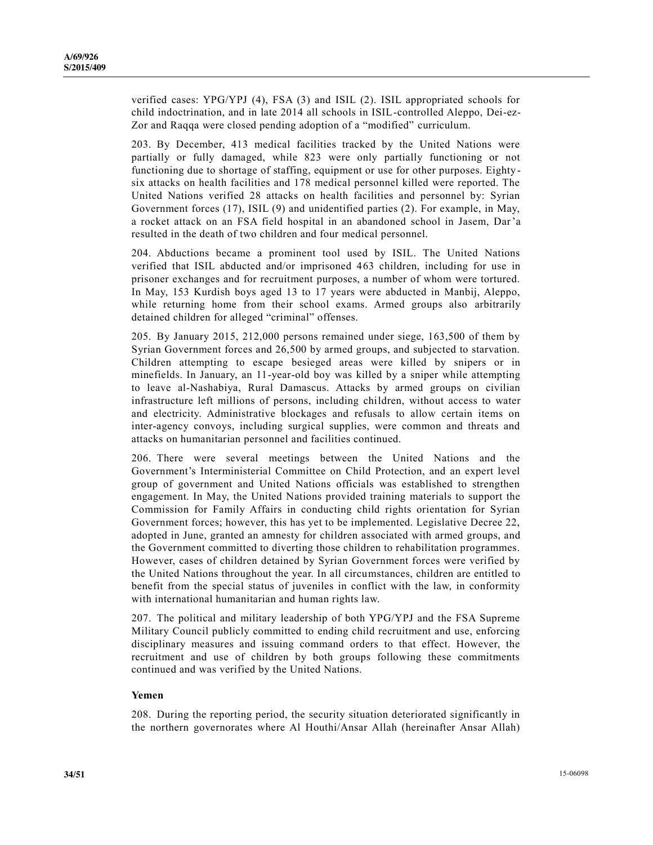verified cases: YPG/YPJ (4), FSA (3) and ISIL (2). ISIL appropriated schools for child indoctrination, and in late 2014 all schools in ISIL-controlled Aleppo, Dei-ez-Zor and Raqqa were closed pending adoption of a "modified" curriculum.

203. By December, 413 medical facilities tracked by the United Nations were partially or fully damaged, while 823 were only partially functioning or not functioning due to shortage of staffing, equipment or use for other purposes. Eighty six attacks on health facilities and 178 medical personnel killed were reported. The United Nations verified 28 attacks on health facilities and personnel by: Syrian Government forces (17), ISIL (9) and unidentified parties (2). For example, in May, a rocket attack on an FSA field hospital in an abandoned school in Jasem, Dar'a resulted in the death of two children and four medical personnel.

204. Abductions became a prominent tool used by ISIL. The United Nations verified that ISIL abducted and/or imprisoned 463 children, including for use in prisoner exchanges and for recruitment purposes, a number of whom were tortured. In May, 153 Kurdish boys aged 13 to 17 years were abducted in Manbij, Aleppo, while returning home from their school exams. Armed groups also arbitrarily detained children for alleged "criminal" offenses.

205. By January 2015, 212,000 persons remained under siege, 163,500 of them by Syrian Government forces and 26,500 by armed groups, and subjected to starvation. Children attempting to escape besieged areas were killed by snipers or in minefields. In January, an 11-year-old boy was killed by a sniper while attempting to leave al-Nashabiya, Rural Damascus. Attacks by armed groups on civilian infrastructure left millions of persons, including children, without access to water and electricity. Administrative blockages and refusals to allow certain items on inter-agency convoys, including surgical supplies, were common and threats and attacks on humanitarian personnel and facilities continued.

206. There were several meetings between the United Nations and the Government's Interministerial Committee on Child Protection, and an expert level group of government and United Nations officials was established to strengthen engagement. In May, the United Nations provided training materials to support the Commission for Family Affairs in conducting child rights orientation for Syrian Government forces; however, this has yet to be implemented. Legislative Decree 22, adopted in June, granted an amnesty for children associated with armed groups, and the Government committed to diverting those children to rehabilitation programmes. However, cases of children detained by Syrian Government forces were verified by the United Nations throughout the year. In all circumstances, children are entitled to benefit from the special status of juveniles in conflict with the law, in conformity with international humanitarian and human rights law.

207. The political and military leadership of both YPG/YPJ and the FSA Supreme Military Council publicly committed to ending child recruitment and use, enforcing disciplinary measures and issuing command orders to that effect. However, the recruitment and use of children by both groups following these commitments continued and was verified by the United Nations.

#### **Yemen**

208. During the reporting period, the security situation deteriorated significantly in the northern governorates where Al Houthi/Ansar Allah (hereinafter Ansar Allah)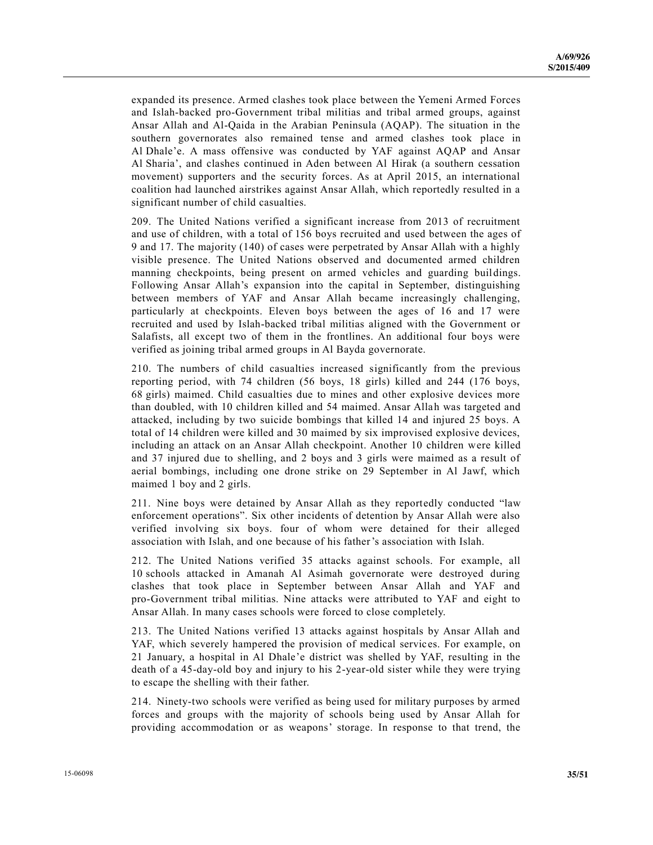expanded its presence. Armed clashes took place between the Yemeni Armed Forces and Islah-backed pro-Government tribal militias and tribal armed groups, against Ansar Allah and Al-Qaida in the Arabian Peninsula (AQAP). The situation in the southern governorates also remained tense and armed clashes took place in Al Dhale'e. A mass offensive was conducted by YAF against AQAP and Ansar Al Sharia', and clashes continued in Aden between Al Hirak (a southern cessation movement) supporters and the security forces. As at April 2015, an international coalition had launched airstrikes against Ansar Allah, which reportedly resulted in a significant number of child casualties.

209. The United Nations verified a significant increase from 2013 of recruitment and use of children, with a total of 156 boys recruited and used between the ages of 9 and 17. The majority (140) of cases were perpetrated by Ansar Allah with a highly visible presence. The United Nations observed and documented armed children manning checkpoints, being present on armed vehicles and guarding buildings. Following Ansar Allah's expansion into the capital in September, distinguishing between members of YAF and Ansar Allah became increasingly challenging, particularly at checkpoints. Eleven boys between the ages of 16 and 17 were recruited and used by Islah-backed tribal militias aligned with the Government or Salafists, all except two of them in the frontlines. An additional four boys were verified as joining tribal armed groups in Al Bayda governorate.

210. The numbers of child casualties increased significantly from the previous reporting period, with 74 children (56 boys, 18 girls) killed and 244 (176 boys, 68 girls) maimed. Child casualties due to mines and other explosive devices more than doubled, with 10 children killed and 54 maimed. Ansar Allah was targeted and attacked, including by two suicide bombings that killed 14 and injured 25 boys. A total of 14 children were killed and 30 maimed by six improvised explosive devices, including an attack on an Ansar Allah checkpoint. Another 10 children were killed and 37 injured due to shelling, and 2 boys and 3 girls were maimed as a result of aerial bombings, including one drone strike on 29 September in Al Jawf, which maimed 1 boy and 2 girls.

211. Nine boys were detained by Ansar Allah as they reportedly conducted "law enforcement operations". Six other incidents of detention by Ansar Allah were also verified involving six boys. four of whom were detained for their alleged association with Islah, and one because of his father's association with Islah.

212. The United Nations verified 35 attacks against schools. For example, all 10 schools attacked in Amanah Al Asimah governorate were destroyed during clashes that took place in September between Ansar Allah and YAF and pro-Government tribal militias. Nine attacks were attributed to YAF and eight to Ansar Allah. In many cases schools were forced to close completely.

213. The United Nations verified 13 attacks against hospitals by Ansar Allah and YAF, which severely hampered the provision of medical services. For example, on 21 January, a hospital in Al Dhale'e district was shelled by YAF, resulting in the death of a 45-day-old boy and injury to his 2-year-old sister while they were trying to escape the shelling with their father.

214. Ninety-two schools were verified as being used for military purposes by armed forces and groups with the majority of schools being used by Ansar Allah for providing accommodation or as weapons' storage. In response to that trend, the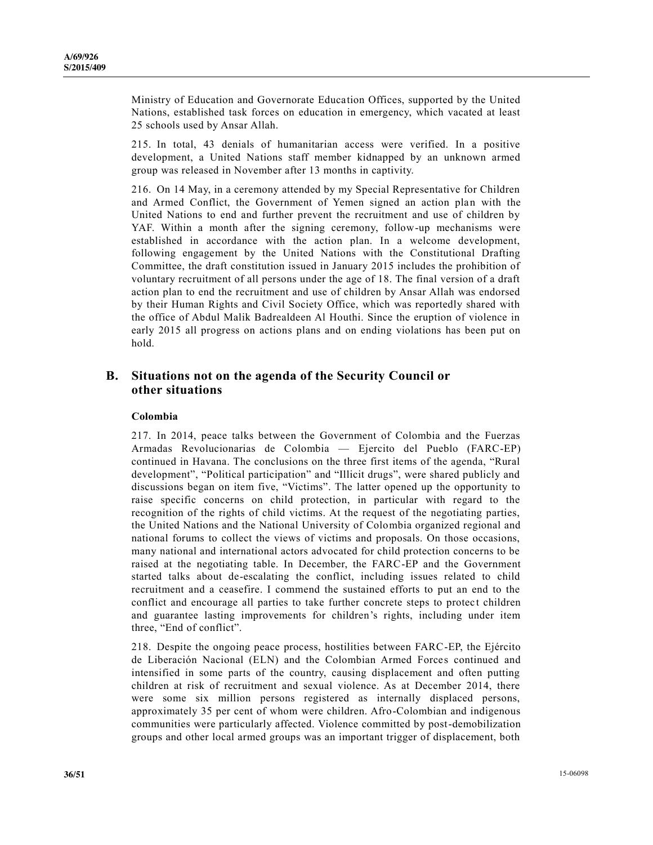Ministry of Education and Governorate Education Offices, supported by the United Nations, established task forces on education in emergency, which vacated at least 25 schools used by Ansar Allah.

215. In total, 43 denials of humanitarian access were verified. In a positive development, a United Nations staff member kidnapped by an unknown armed group was released in November after 13 months in captivity.

216. On 14 May, in a ceremony attended by my Special Representative for Children and Armed Conflict, the Government of Yemen signed an action plan with the United Nations to end and further prevent the recruitment and use of children by YAF. Within a month after the signing ceremony, follow-up mechanisms were established in accordance with the action plan. In a welcome development, following engagement by the United Nations with the Constitutional Drafting Committee, the draft constitution issued in January 2015 includes the prohibition of voluntary recruitment of all persons under the age of 18. The final version of a draft action plan to end the recruitment and use of children by Ansar Allah was endorsed by their Human Rights and Civil Society Office, which was reportedly shared with the office of Abdul Malik Badrealdeen Al Houthi. Since the eruption of violence in early 2015 all progress on actions plans and on ending violations has been put on hold.

### **B. Situations not on the agenda of the Security Council or other situations**

#### **Colombia**

217. In 2014, peace talks between the Government of Colombia and the Fuerzas Armadas Revolucionarias de Colombia — Ejercito del Pueblo (FARC-EP) continued in Havana. The conclusions on the three first items of the agenda, "Rural development", "Political participation" and "Illicit drugs", were shared publicly and discussions began on item five, "Victims". The latter opened up the opportunity to raise specific concerns on child protection, in particular with regard to the recognition of the rights of child victims. At the request of the negotiating parties, the United Nations and the National University of Colombia organized regional and national forums to collect the views of victims and proposals. On those occasions, many national and international actors advocated for child protection concerns to be raised at the negotiating table. In December, the FARC-EP and the Government started talks about de-escalating the conflict, including issues related to child recruitment and a ceasefire. I commend the sustained efforts to put an end to the conflict and encourage all parties to take further concrete steps to protec t children and guarantee lasting improvements for children's rights, including under item three, "End of conflict".

218. Despite the ongoing peace process, hostilities between FARC-EP, the Ejército de Liberación Nacional (ELN) and the Colombian Armed Forces continued and intensified in some parts of the country, causing displacement and often putting children at risk of recruitment and sexual violence. As at December 2014, there were some six million persons registered as internally displaced persons, approximately 35 per cent of whom were children. Afro-Colombian and indigenous communities were particularly affected. Violence committed by post-demobilization groups and other local armed groups was an important trigger of displacement, both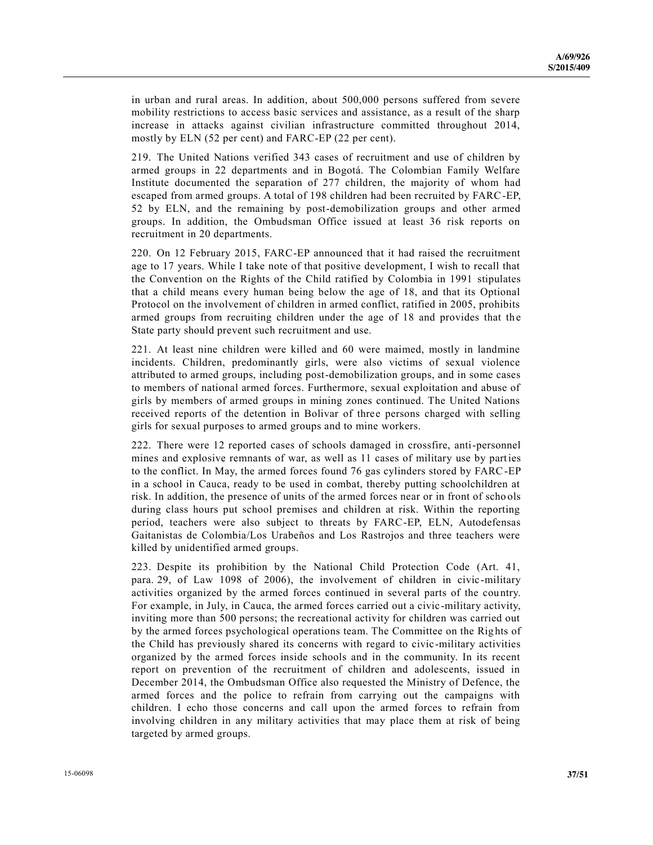in urban and rural areas. In addition, about 500,000 persons suffered from severe mobility restrictions to access basic services and assistance, as a result of the sharp increase in attacks against civilian infrastructure committed throughout 2014, mostly by ELN (52 per cent) and FARC-EP (22 per cent).

219. The United Nations verified 343 cases of recruitment and use of children by armed groups in 22 departments and in Bogotá. The Colombian Family Welfare Institute documented the separation of 277 children, the majority of whom had escaped from armed groups. A total of 198 children had been recruited by FARC-EP, 52 by ELN, and the remaining by post-demobilization groups and other armed groups. In addition, the Ombudsman Office issued at least 36 risk reports on recruitment in 20 departments.

220. On 12 February 2015, FARC-EP announced that it had raised the recruitment age to 17 years. While I take note of that positive development, I wish to recall that the Convention on the Rights of the Child ratified by Colombia in 1991 stipulates that a child means every human being below the age of 18, and that its Optional Protocol on the involvement of children in armed conflict, ratified in 2005, prohibits armed groups from recruiting children under the age of 18 and provides that the State party should prevent such recruitment and use.

221. At least nine children were killed and 60 were maimed, mostly in landmine incidents. Children, predominantly girls, were also victims of sexual violence attributed to armed groups, including post-demobilization groups, and in some cases to members of national armed forces. Furthermore, sexual exploitation and abuse of girls by members of armed groups in mining zones continued. The United Nations received reports of the detention in Bolivar of three persons charged with selling girls for sexual purposes to armed groups and to mine workers.

222. There were 12 reported cases of schools damaged in crossfire, anti-personnel mines and explosive remnants of war, as well as 11 cases of military use by parties to the conflict. In May, the armed forces found 76 gas cylinders stored by FARC-EP in a school in Cauca, ready to be used in combat, thereby putting schoolchildren at risk. In addition, the presence of units of the armed forces near or in front of scho ols during class hours put school premises and children at risk. Within the reporting period, teachers were also subject to threats by FARC-EP, ELN, Autodefensas Gaitanistas de Colombia/Los Urabeños and Los Rastrojos and three teachers were killed by unidentified armed groups.

223. Despite its prohibition by the National Child Protection Code (Art. 41, para. 29, of Law 1098 of 2006), the involvement of children in civic-military activities organized by the armed forces continued in several parts of the country. For example, in July, in Cauca, the armed forces carried out a civic -military activity, inviting more than 500 persons; the recreational activity for children was carried out by the armed forces psychological operations team. The Committee on the Rig hts of the Child has previously shared its concerns with regard to civic -military activities organized by the armed forces inside schools and in the community. In its recent report on prevention of the recruitment of children and adolescents, issued in December 2014, the Ombudsman Office also requested the Ministry of Defence, the armed forces and the police to refrain from carrying out the campaigns with children. I echo those concerns and call upon the armed forces to refrain from involving children in any military activities that may place them at risk of being targeted by armed groups.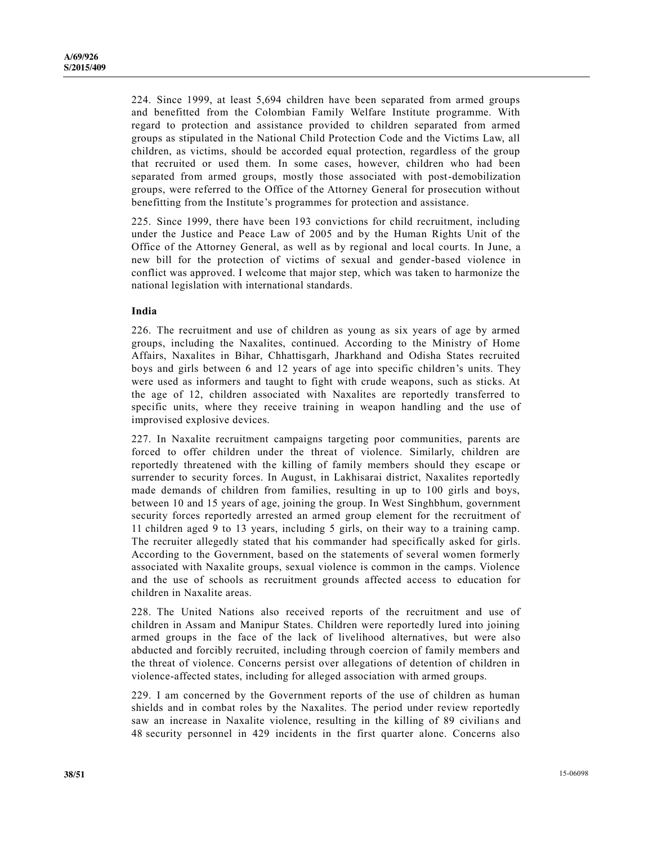224. Since 1999, at least 5,694 children have been separated from armed groups and benefitted from the Colombian Family Welfare Institute programme. With regard to protection and assistance provided to children separated from armed groups as stipulated in the National Child Protection Code and the Victims Law, all children, as victims, should be accorded equal protection, regardless of the group that recruited or used them. In some cases, however, children who had been separated from armed groups, mostly those associated with post-demobilization groups, were referred to the Office of the Attorney General for prosecution without benefitting from the Institute's programmes for protection and assistance.

225. Since 1999, there have been 193 convictions for child recruitment, including under the Justice and Peace Law of 2005 and by the Human Rights Unit of the Office of the Attorney General, as well as by regional and local courts. In June, a new bill for the protection of victims of sexual and gender-based violence in conflict was approved. I welcome that major step, which was taken to harmonize the national legislation with international standards.

#### **India**

226. The recruitment and use of children as young as six years of age by armed groups, including the Naxalites, continued. According to the Ministry of Home Affairs, Naxalites in Bihar, Chhattisgarh, Jharkhand and Odisha States recruited boys and girls between 6 and 12 years of age into specific children's units. They were used as informers and taught to fight with crude weapons, such as sticks. At the age of 12, children associated with Naxalites are reportedly transferred to specific units, where they receive training in weapon handling and the use of improvised explosive devices.

227. In Naxalite recruitment campaigns targeting poor communities, parents are forced to offer children under the threat of violence. Similarly, children are reportedly threatened with the killing of family members should they escape or surrender to security forces. In August, in Lakhisarai district, Naxalites reportedly made demands of children from families, resulting in up to 100 girls and boys, between 10 and 15 years of age, joining the group. In West Singhbhum, government security forces reportedly arrested an armed group element for the recruitment of 11 children aged 9 to 13 years, including 5 girls, on their way to a training camp. The recruiter allegedly stated that his commander had specifically asked for girls. According to the Government, based on the statements of several women formerly associated with Naxalite groups, sexual violence is common in the camps. Violence and the use of schools as recruitment grounds affected access to education for children in Naxalite areas.

228. The United Nations also received reports of the recruitment and use of children in Assam and Manipur States. Children were reportedly lured into joining armed groups in the face of the lack of livelihood alternatives, but were also abducted and forcibly recruited, including through coercion of family members and the threat of violence. Concerns persist over allegations of detention of children in violence-affected states, including for alleged association with armed groups.

229. I am concerned by the Government reports of the use of children as human shields and in combat roles by the Naxalites. The period under review reportedly saw an increase in Naxalite violence, resulting in the killing of 89 civilians and 48 security personnel in 429 incidents in the first quarter alone. Concerns also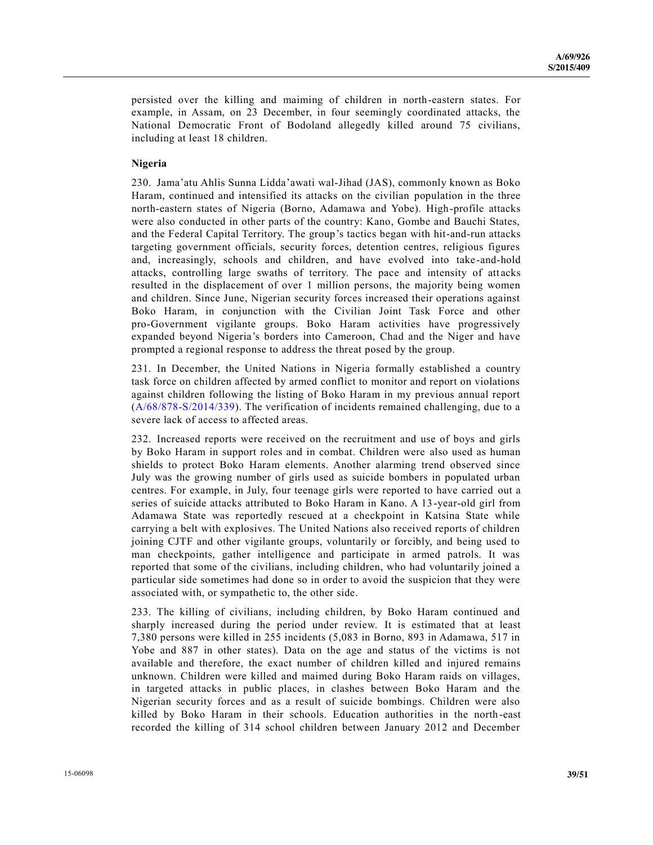persisted over the killing and maiming of children in north-eastern states. For example, in Assam, on 23 December, in four seemingly coordinated attacks, the National Democratic Front of Bodoland allegedly killed around 75 civilians, including at least 18 children.

#### **Nigeria**

230. Jama'atu Ahlis Sunna Lidda'awati wal-Jihad (JAS), commonly known as Boko Haram, continued and intensified its attacks on the civilian population in the three north-eastern states of Nigeria (Borno, Adamawa and Yobe). High-profile attacks were also conducted in other parts of the country: Kano, Gombe and Bauchi States, and the Federal Capital Territory. The group's tactics began with hit-and-run attacks targeting government officials, security forces, detention centres, religious figures and, increasingly, schools and children, and have evolved into take-and-hold attacks, controlling large swaths of territory. The pace and intensity of attacks resulted in the displacement of over 1 million persons, the majority being women and children. Since June, Nigerian security forces increased their operations against Boko Haram, in conjunction with the Civilian Joint Task Force and other pro-Government vigilante groups. Boko Haram activities have progressively expanded beyond Nigeria's borders into Cameroon, Chad and the Niger and have prompted a regional response to address the threat posed by the group.

231. In December, the United Nations in Nigeria formally established a country task force on children affected by armed conflict to monitor and report on violations against children following the listing of Boko Haram in my previous annual report (A/68/878-[S/2014/339\)](http://undocs.org/A/68/878). The verification of incidents remained challenging, due to a severe lack of access to affected areas.

232. Increased reports were received on the recruitment and use of boys and girls by Boko Haram in support roles and in combat. Children were also used as human shields to protect Boko Haram elements. Another alarming trend observed since July was the growing number of girls used as suicide bombers in populated urban centres. For example, in July, four teenage girls were reported to have carried out a series of suicide attacks attributed to Boko Haram in Kano. A 13-year-old girl from Adamawa State was reportedly rescued at a checkpoint in Katsina State while carrying a belt with explosives. The United Nations also received reports of children joining CJTF and other vigilante groups, voluntarily or forcibly, and being used to man checkpoints, gather intelligence and participate in armed patrols. It was reported that some of the civilians, including children, who had voluntarily joined a particular side sometimes had done so in order to avoid the suspicion that they were associated with, or sympathetic to, the other side.

233. The killing of civilians, including children, by Boko Haram continued and sharply increased during the period under review. It is estimated that at least 7,380 persons were killed in 255 incidents (5,083 in Borno, 893 in Adamawa, 517 in Yobe and 887 in other states). Data on the age and status of the victims is not available and therefore, the exact number of children killed and injured remains unknown. Children were killed and maimed during Boko Haram raids on villages, in targeted attacks in public places, in clashes between Boko Haram and the Nigerian security forces and as a result of suicide bombings. Children were also killed by Boko Haram in their schools. Education authorities in the north -east recorded the killing of 314 school children between January 2012 and December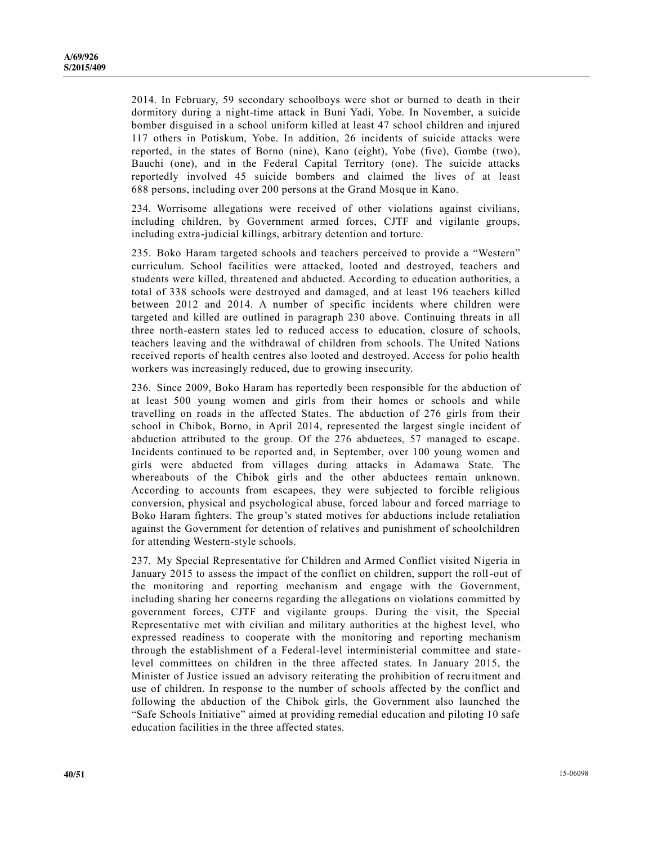2014. In February, 59 secondary schoolboys were shot or burned to death in their dormitory during a night-time attack in Buni Yadi, Yobe. In November, a suicide bomber disguised in a school uniform killed at least 47 school children and injured 117 others in Potiskum, Yobe. In addition, 26 incidents of suicide attacks were reported, in the states of Borno (nine), Kano (eight), Yobe (five), Gombe (two), Bauchi (one), and in the Federal Capital Territory (one). The suicide attacks reportedly involved 45 suicide bombers and claimed the lives of at least 688 persons, including over 200 persons at the Grand Mosque in Kano.

234. Worrisome allegations were received of other violations against civilians, including children, by Government armed forces, CJTF and vigilante groups, including extra-judicial killings, arbitrary detention and torture.

235. Boko Haram targeted schools and teachers perceived to provide a "Western" curriculum. School facilities were attacked, looted and destroyed, teachers and students were killed, threatened and abducted. According to education authorities, a total of 338 schools were destroyed and damaged, and at least 196 teachers killed between 2012 and 2014. A number of specific incidents where children were targeted and killed are outlined in paragraph 230 above. Continuing threats in all three north-eastern states led to reduced access to education, closure of schools, teachers leaving and the withdrawal of children from schools. The United Nations received reports of health centres also looted and destroyed. Access for polio health workers was increasingly reduced, due to growing insecurity.

236. Since 2009, Boko Haram has reportedly been responsible for the abduction of at least 500 young women and girls from their homes or schools and while travelling on roads in the affected States. The abduction of 276 girls from their school in Chibok, Borno, in April 2014, represented the largest single incident of abduction attributed to the group. Of the 276 abductees, 57 managed to escape. Incidents continued to be reported and, in September, over 100 young women and girls were abducted from villages during attacks in Adamawa State. The whereabouts of the Chibok girls and the other abductees remain unknown. According to accounts from escapees, they were subjected to forcible religious conversion, physical and psychological abuse, forced labour and forced marriage to Boko Haram fighters. The group's stated motives for abductions include retaliation against the Government for detention of relatives and punishment of schoolchildren for attending Western-style schools.

237. My Special Representative for Children and Armed Conflict visited Nigeria in January 2015 to assess the impact of the conflict on children, support the roll-out of the monitoring and reporting mechanism and engage with the Government, including sharing her concerns regarding the allegations on violations committed by government forces, CJTF and vigilante groups. During the visit, the Special Representative met with civilian and military authorities at the highest level, who expressed readiness to cooperate with the monitoring and reporting mechanism through the establishment of a Federal-level interministerial committee and statelevel committees on children in the three affected states. In January 2015, the Minister of Justice issued an advisory reiterating the prohibition of recruitment and use of children. In response to the number of schools affected by the conflict and following the abduction of the Chibok girls, the Government also launched the "Safe Schools Initiative" aimed at providing remedial education and piloting 10 safe education facilities in the three affected states.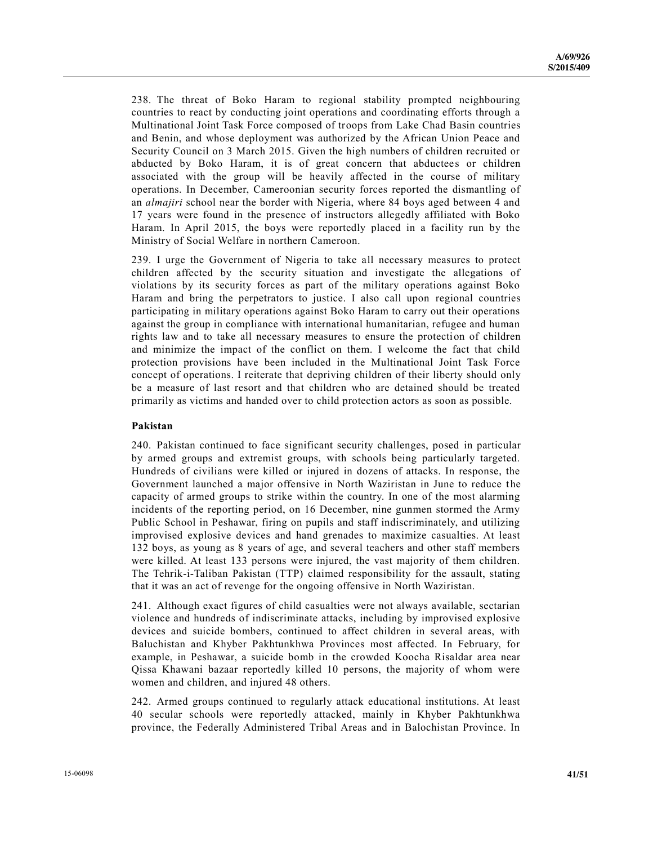238. The threat of Boko Haram to regional stability prompted neighbouring countries to react by conducting joint operations and coordinating efforts through a Multinational Joint Task Force composed of troops from Lake Chad Basin countries and Benin, and whose deployment was authorized by the African Union Peace and Security Council on 3 March 2015. Given the high numbers of children recruited or abducted by Boko Haram, it is of great concern that abductees or children associated with the group will be heavily affected in the course of military operations. In December, Cameroonian security forces reported the dismantling of an *almajiri* school near the border with Nigeria, where 84 boys aged between 4 and 17 years were found in the presence of instructors allegedly affiliated with Boko Haram. In April 2015, the boys were reportedly placed in a facility run by the Ministry of Social Welfare in northern Cameroon.

239. I urge the Government of Nigeria to take all necessary measures to protect children affected by the security situation and investigate the allegations of violations by its security forces as part of the military operations against Boko Haram and bring the perpetrators to justice. I also call upon regional countries participating in military operations against Boko Haram to carry out their operations against the group in compliance with international humanitarian, refugee and human rights law and to take all necessary measures to ensure the protection of children and minimize the impact of the conflict on them. I welcome the fact that child protection provisions have been included in the Multinational Joint Task Force concept of operations. I reiterate that depriving children of their liberty should only be a measure of last resort and that children who are detained should be treated primarily as victims and handed over to child protection actors as soon as possible.

#### **Pakistan**

240. Pakistan continued to face significant security challenges, posed in particular by armed groups and extremist groups, with schools being particularly targeted. Hundreds of civilians were killed or injured in dozens of attacks. In response, the Government launched a major offensive in North Waziristan in June to reduce the capacity of armed groups to strike within the country. In one of the most alarming incidents of the reporting period, on 16 December, nine gunmen stormed the Army Public School in Peshawar, firing on pupils and staff indiscriminately, and utilizing improvised explosive devices and hand grenades to maximize casualties. At least 132 boys, as young as 8 years of age, and several teachers and other staff members were killed. At least 133 persons were injured, the vast majority of them children. The Tehrik-i-Taliban Pakistan (TTP) claimed responsibility for the assault, stating that it was an act of revenge for the ongoing offensive in North Waziristan.

241. Although exact figures of child casualties were not always available, sectarian violence and hundreds of indiscriminate attacks, including by improvised explosive devices and suicide bombers, continued to affect children in several areas, with Baluchistan and Khyber Pakhtunkhwa Provinces most affected. In February, for example, in Peshawar, a suicide bomb in the crowded Koocha Risaldar area near Qissa Khawani bazaar reportedly killed 10 persons, the majority of whom were women and children, and injured 48 others.

242. Armed groups continued to regularly attack educational institutions. At least 40 secular schools were reportedly attacked, mainly in Khyber Pakhtunkhwa province, the Federally Administered Tribal Areas and in Balochistan Province. In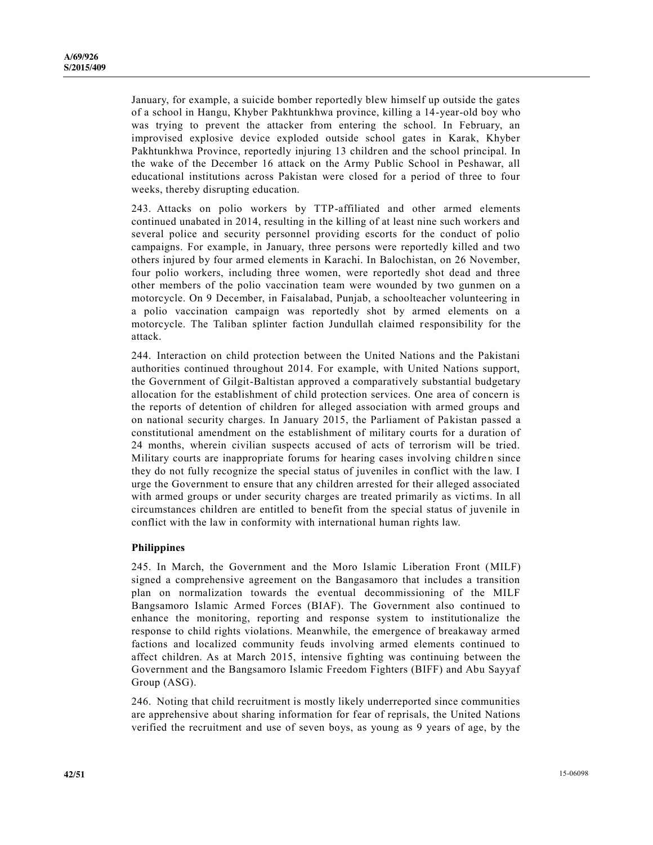January, for example, a suicide bomber reportedly blew himself up outside the gates of a school in Hangu, Khyber Pakhtunkhwa province, killing a 14-year-old boy who was trying to prevent the attacker from entering the school. In February, an improvised explosive device exploded outside school gates in Karak, Khyber Pakhtunkhwa Province, reportedly injuring 13 children and the school principal. In the wake of the December 16 attack on the Army Public School in Peshawar, all educational institutions across Pakistan were closed for a period of three to four weeks, thereby disrupting education.

243. Attacks on polio workers by TTP-affiliated and other armed elements continued unabated in 2014, resulting in the killing of at least nine such workers and several police and security personnel providing escorts for the conduct of polio campaigns. For example, in January, three persons were reportedly killed and two others injured by four armed elements in Karachi. In Balochistan, on 26 November, four polio workers, including three women, were reportedly shot dead and three other members of the polio vaccination team were wounded by two gunmen on a motorcycle. On 9 December, in Faisalabad, Punjab, a schoolteacher volunteering in a polio vaccination campaign was reportedly shot by armed elements on a motorcycle. The Taliban splinter faction Jundullah claimed responsibility for the attack.

244. Interaction on child protection between the United Nations and the Pakistani authorities continued throughout 2014. For example, with United Nations support, the Government of Gilgit-Baltistan approved a comparatively substantial budgetary allocation for the establishment of child protection services. One area of concern is the reports of detention of children for alleged association with armed groups and on national security charges. In January 2015, the Parliament of Pakistan passed a constitutional amendment on the establishment of military courts for a duration of 24 months, wherein civilian suspects accused of acts of terrorism will be tried. Military courts are inappropriate forums for hearing cases involving children since they do not fully recognize the special status of juveniles in conflict with the law. I urge the Government to ensure that any children arrested for their alleged associated with armed groups or under security charges are treated primarily as victims. In all circumstances children are entitled to benefit from the special status of juvenile in conflict with the law in conformity with international human rights law.

#### **Philippines**

245. In March, the Government and the Moro Islamic Liberation Front (MILF) signed a comprehensive agreement on the Bangasamoro that includes a transition plan on normalization towards the eventual decommissioning of the MILF Bangsamoro Islamic Armed Forces (BIAF). The Government also continued to enhance the monitoring, reporting and response system to institutionalize the response to child rights violations. Meanwhile, the emergence of breakaway armed factions and localized community feuds involving armed elements continued to affect children. As at March 2015, intensive fighting was continuing between the Government and the Bangsamoro Islamic Freedom Fighters (BIFF) and Abu Sayyaf Group (ASG).

246. Noting that child recruitment is mostly likely underreported since communities are apprehensive about sharing information for fear of reprisals, the United Nations verified the recruitment and use of seven boys, as young as 9 years of age, by the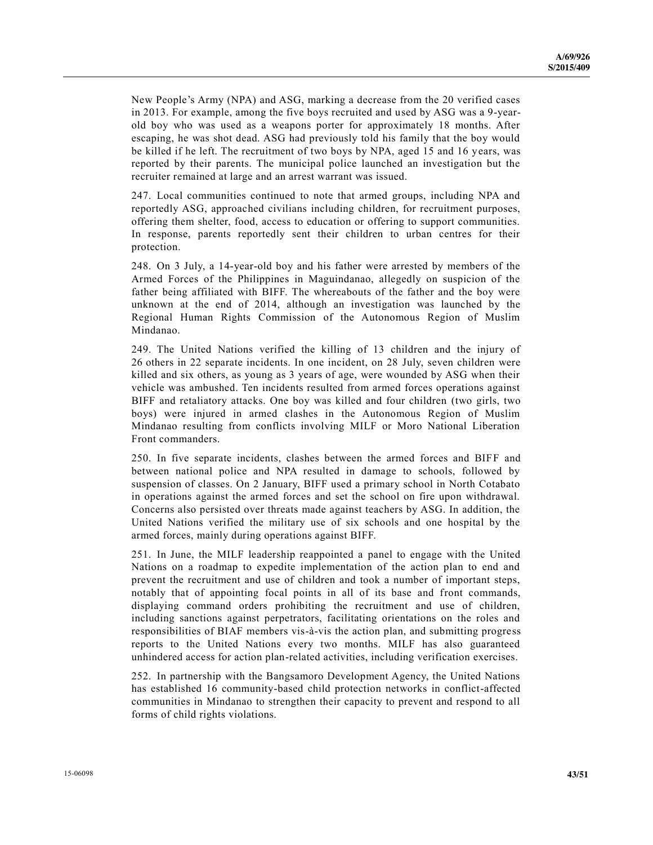New People's Army (NPA) and ASG, marking a decrease from the 20 verified cases in 2013. For example, among the five boys recruited and used by ASG was a 9-yearold boy who was used as a weapons porter for approximately 18 months. After escaping, he was shot dead. ASG had previously told his family that the boy would be killed if he left. The recruitment of two boys by NPA, aged 15 and 16 years, was reported by their parents. The municipal police launched an investigation but the recruiter remained at large and an arrest warrant was issued.

247. Local communities continued to note that armed groups, including NPA and reportedly ASG, approached civilians including children, for recruitment purposes, offering them shelter, food, access to education or offering to support communities. In response, parents reportedly sent their children to urban centres for their protection.

248. On 3 July, a 14-year-old boy and his father were arrested by members of the Armed Forces of the Philippines in Maguindanao, allegedly on suspicion of the father being affiliated with BIFF. The whereabouts of the father and the boy were unknown at the end of 2014, although an investigation was launched by the Regional Human Rights Commission of the Autonomous Region of Muslim Mindanao.

249. The United Nations verified the killing of 13 children and the injury of 26 others in 22 separate incidents. In one incident, on 28 July, seven children were killed and six others, as young as 3 years of age, were wounded by ASG when their vehicle was ambushed. Ten incidents resulted from armed forces operations against BIFF and retaliatory attacks. One boy was killed and four children (two girls, two boys) were injured in armed clashes in the Autonomous Region of Muslim Mindanao resulting from conflicts involving MILF or Moro National Liberation Front commanders.

250. In five separate incidents, clashes between the armed forces and BIFF and between national police and NPA resulted in damage to schools, followed by suspension of classes. On 2 January, BIFF used a primary school in North Cotabato in operations against the armed forces and set the school on fire upon withdrawal. Concerns also persisted over threats made against teachers by ASG. In addition, the United Nations verified the military use of six schools and one hospital by the armed forces, mainly during operations against BIFF.

251. In June, the MILF leadership reappointed a panel to engage with the United Nations on a roadmap to expedite implementation of the action plan to end and prevent the recruitment and use of children and took a number of important steps, notably that of appointing focal points in all of its base and front commands, displaying command orders prohibiting the recruitment and use of children, including sanctions against perpetrators, facilitating orientations on the roles and responsibilities of BIAF members vis-à-vis the action plan, and submitting progress reports to the United Nations every two months. MILF has also guaranteed unhindered access for action plan-related activities, including verification exercises.

252. In partnership with the Bangsamoro Development Agency, the United Nations has established 16 community-based child protection networks in conflict-affected communities in Mindanao to strengthen their capacity to prevent and respond to all forms of child rights violations.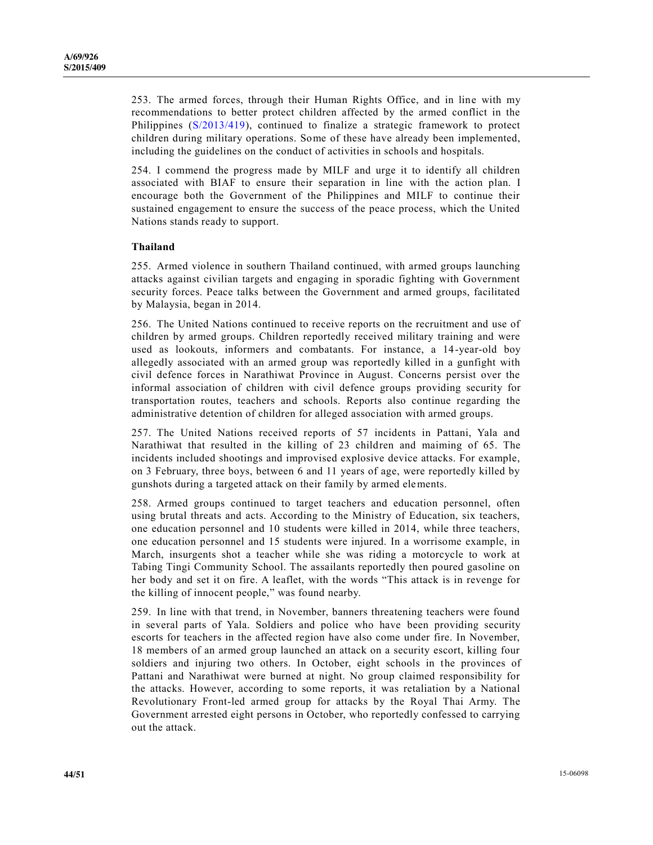253. The armed forces, through their Human Rights Office, and in line with my recommendations to better protect children affected by the armed conflict in the Philippines [\(S/2013/419\)](http://undocs.org/S/2013/419), continued to finalize a strategic framework to protect children during military operations. Some of these have already been implemented, including the guidelines on the conduct of activities in schools and hospitals.

254. I commend the progress made by MILF and urge it to identify all children associated with BIAF to ensure their separation in line with the action plan. I encourage both the Government of the Philippines and MILF to continue their sustained engagement to ensure the success of the peace process, which the United Nations stands ready to support.

#### **Thailand**

255. Armed violence in southern Thailand continued, with armed groups launching attacks against civilian targets and engaging in sporadic fighting with Government security forces. Peace talks between the Government and armed groups, facilitated by Malaysia, began in 2014.

256. The United Nations continued to receive reports on the recruitment and use of children by armed groups. Children reportedly received military training and were used as lookouts, informers and combatants. For instance, a 14-year-old boy allegedly associated with an armed group was reportedly killed in a gunfight with civil defence forces in Narathiwat Province in August. Concerns persist over the informal association of children with civil defence groups providing security for transportation routes, teachers and schools. Reports also continue regarding the administrative detention of children for alleged association with armed groups.

257. The United Nations received reports of 57 incidents in Pattani, Yala and Narathiwat that resulted in the killing of 23 children and maiming of 65. The incidents included shootings and improvised explosive device attacks. For example, on 3 February, three boys, between 6 and 11 years of age, were reportedly killed by gunshots during a targeted attack on their family by armed elements.

258. Armed groups continued to target teachers and education personnel, often using brutal threats and acts. According to the Ministry of Education, six teachers, one education personnel and 10 students were killed in 2014, while three teachers, one education personnel and 15 students were injured. In a worrisome example, in March, insurgents shot a teacher while she was riding a motorcycle to work at Tabing Tingi Community School. The assailants reportedly then poured gasoline on her body and set it on fire. A leaflet, with the words "This attack is in revenge for the killing of innocent people," was found nearby.

259. In line with that trend, in November, banners threatening teachers were found in several parts of Yala. Soldiers and police who have been providing security escorts for teachers in the affected region have also come under fire. In November, 18 members of an armed group launched an attack on a security escort, killing four soldiers and injuring two others. In October, eight schools in the provinces of Pattani and Narathiwat were burned at night. No group claimed responsibility for the attacks. However, according to some reports, it was retaliation by a National Revolutionary Front-led armed group for attacks by the Royal Thai Army. The Government arrested eight persons in October, who reportedly confessed to carrying out the attack.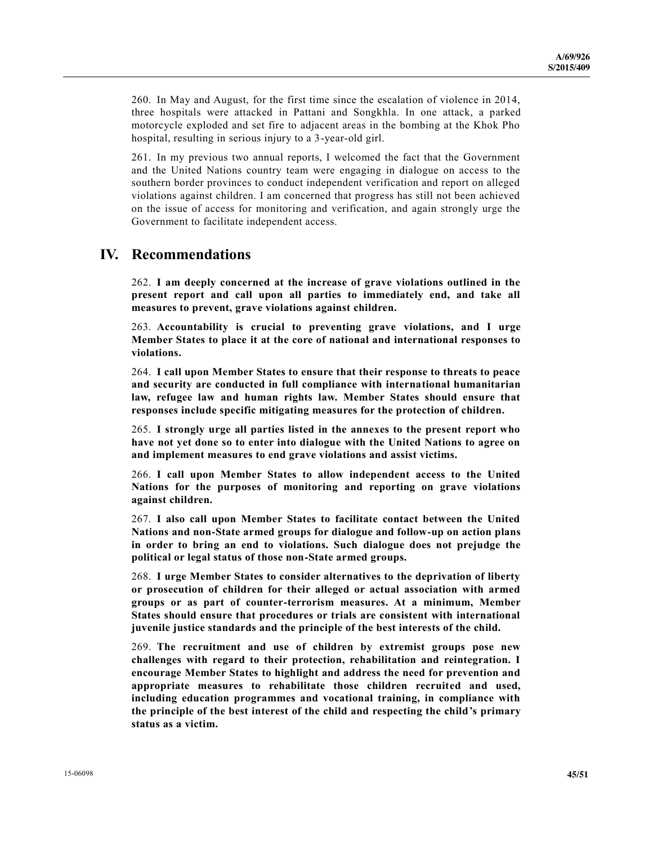260. In May and August, for the first time since the escalation of violence in 2014, three hospitals were attacked in Pattani and Songkhla. In one attack, a parked motorcycle exploded and set fire to adjacent areas in the bombing at the Khok Pho hospital, resulting in serious injury to a 3-year-old girl.

261. In my previous two annual reports, I welcomed the fact that the Government and the United Nations country team were engaging in dialogue on access to the southern border provinces to conduct independent verification and report on alleged violations against children. I am concerned that progress has still not been achieved on the issue of access for monitoring and verification, and again strongly urge the Government to facilitate independent access.

## **IV. Recommendations**

262. **I am deeply concerned at the increase of grave violations outlined in the present report and call upon all parties to immediately end, and take all measures to prevent, grave violations against children.** 

263. **Accountability is crucial to preventing grave violations, and I urge Member States to place it at the core of national and international responses to violations.**

264. **I call upon Member States to ensure that their response to threats to peace and security are conducted in full compliance with international humanitarian law, refugee law and human rights law. Member States should ensure that responses include specific mitigating measures for the protection of children.**

265. **I strongly urge all parties listed in the annexes to the present report who have not yet done so to enter into dialogue with the United Nations to agree on and implement measures to end grave violations and assist victims.**

266. **I call upon Member States to allow independent access to the United Nations for the purposes of monitoring and reporting on grave violations against children.**

267. **I also call upon Member States to facilitate contact between the United Nations and non-State armed groups for dialogue and follow-up on action plans in order to bring an end to violations. Such dialogue does not prejudge the political or legal status of those non-State armed groups.**

268. **I urge Member States to consider alternatives to the deprivation of liberty or prosecution of children for their alleged or actual association with armed groups or as part of counter-terrorism measures. At a minimum, Member States should ensure that procedures or trials are consistent with international juvenile justice standards and the principle of the best interests of the child.**

269. **The recruitment and use of children by extremist groups pose new challenges with regard to their protection, rehabilitation and reintegration. I encourage Member States to highlight and address the need for prevention and appropriate measures to rehabilitate those children recruited and used, including education programmes and vocational training, in compliance with the principle of the best interest of the child and respecting the child's primary status as a victim.**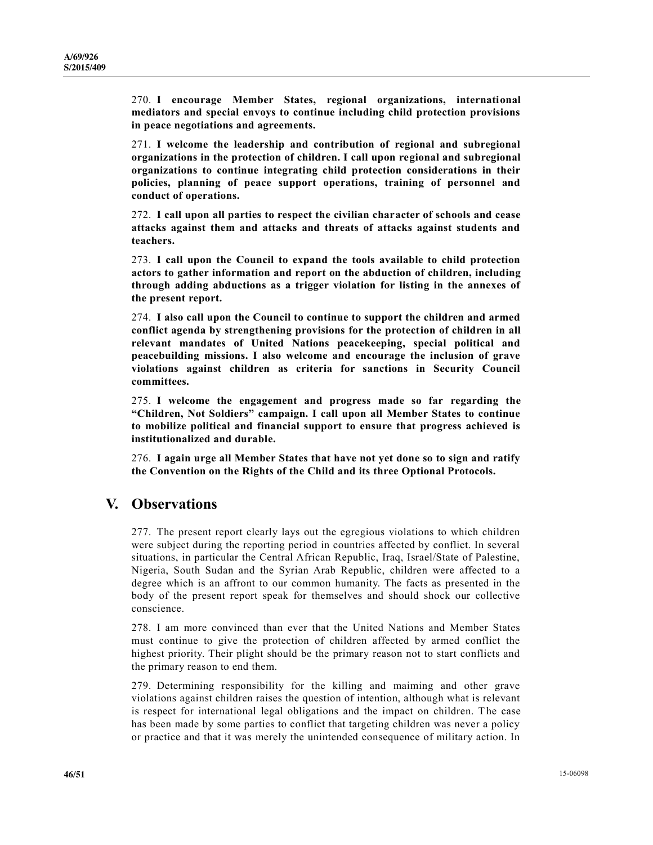270. **I encourage Member States, regional organizations, international mediators and special envoys to continue including child protection provisions in peace negotiations and agreements.**

271. **I welcome the leadership and contribution of regional and subregional organizations in the protection of children. I call upon regional and subregional organizations to continue integrating child protection considerations in their policies, planning of peace support operations, training of personnel and conduct of operations.**

272. **I call upon all parties to respect the civilian character of schools and cease attacks against them and attacks and threats of attacks against students and teachers.** 

273. **I call upon the Council to expand the tools available to child protection actors to gather information and report on the abduction of children, including through adding abductions as a trigger violation for listing in the annexes of the present report.**

274. **I also call upon the Council to continue to support the children and armed conflict agenda by strengthening provisions for the protection of children in all relevant mandates of United Nations peacekeeping, special political and peacebuilding missions. I also welcome and encourage the inclusion of grave violations against children as criteria for sanctions in Security Council committees.**

275. **I welcome the engagement and progress made so far regarding the "Children, Not Soldiers" campaign. I call upon all Member States to continue to mobilize political and financial support to ensure that progress achieved is institutionalized and durable.**

276. **I again urge all Member States that have not yet done so to sign and ratify the Convention on the Rights of the Child and its three Optional Protocols.**

## **V. Observations**

277. The present report clearly lays out the egregious violations to which children were subject during the reporting period in countries affected by conflict. In several situations, in particular the Central African Republic, Iraq, Israel/State of Palestine, Nigeria, South Sudan and the Syrian Arab Republic, children were affected to a degree which is an affront to our common humanity. The facts as presented in the body of the present report speak for themselves and should shock our collective conscience.

278. I am more convinced than ever that the United Nations and Member States must continue to give the protection of children affected by armed conflict the highest priority. Their plight should be the primary reason not to start conflicts and the primary reason to end them.

279. Determining responsibility for the killing and maiming and other grave violations against children raises the question of intention, although what is relevant is respect for international legal obligations and the impact on children. The case has been made by some parties to conflict that targeting children was never a policy or practice and that it was merely the unintended consequence of military action. In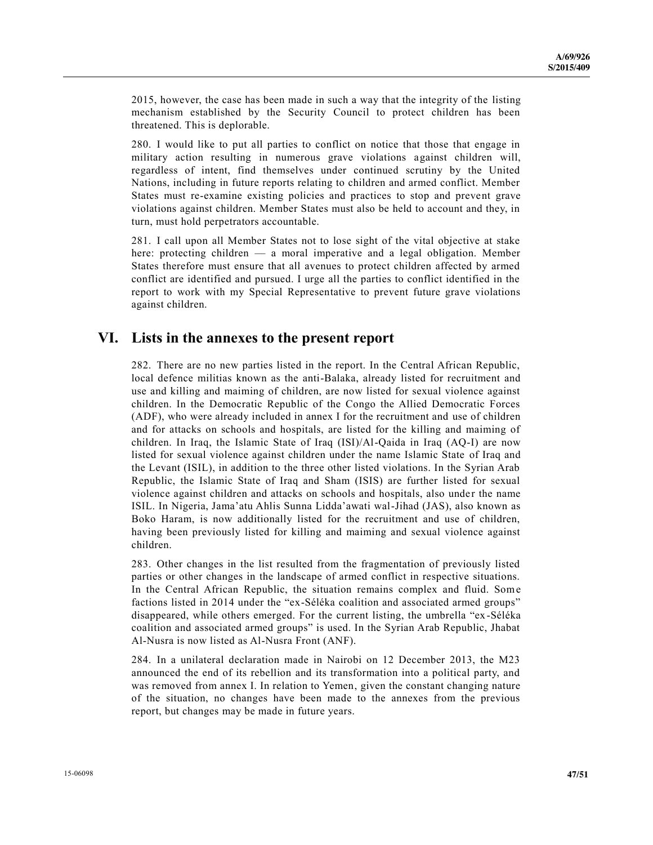2015, however, the case has been made in such a way that the integrity of the listing mechanism established by the Security Council to protect children has been threatened. This is deplorable.

280. I would like to put all parties to conflict on notice that those that engage in military action resulting in numerous grave violations against children will, regardless of intent, find themselves under continued scrutiny by the United Nations, including in future reports relating to children and armed conflict. Member States must re-examine existing policies and practices to stop and prevent grave violations against children. Member States must also be held to account and they, in turn, must hold perpetrators accountable.

281. I call upon all Member States not to lose sight of the vital objective at stake here: protecting children — a moral imperative and a legal obligation. Member States therefore must ensure that all avenues to protect children affected by armed conflict are identified and pursued. I urge all the parties to conflict identified in the report to work with my Special Representative to prevent future grave violations against children.

## **VI. Lists in the annexes to the present report**

282. There are no new parties listed in the report. In the Central African Republic, local defence militias known as the anti-Balaka, already listed for recruitment and use and killing and maiming of children, are now listed for sexual violence against children. In the Democratic Republic of the Congo the Allied Democratic Forces (ADF), who were already included in annex I for the recruitment and use of children and for attacks on schools and hospitals, are listed for the killing and maiming of children. In Iraq, the Islamic State of Iraq (ISI)/Al-Qaida in Iraq (AQ-I) are now listed for sexual violence against children under the name Islamic State of Iraq and the Levant (ISIL), in addition to the three other listed violations. In the Syrian Arab Republic, the Islamic State of Iraq and Sham (ISIS) are further listed for sexual violence against children and attacks on schools and hospitals, also under the name ISIL. In Nigeria, Jama'atu Ahlis Sunna Lidda'awati wal-Jihad (JAS), also known as Boko Haram, is now additionally listed for the recruitment and use of children, having been previously listed for killing and maiming and sexual violence against children.

283. Other changes in the list resulted from the fragmentation of previously listed parties or other changes in the landscape of armed conflict in respective situations. In the Central African Republic, the situation remains complex and fluid. Some factions listed in 2014 under the "ex-Séléka coalition and associated armed groups" disappeared, while others emerged. For the current listing, the umbrella "ex -Séléka coalition and associated armed groups" is used. In the Syrian Arab Republic, Jhabat Al-Nusra is now listed as Al-Nusra Front (ANF).

284. In a unilateral declaration made in Nairobi on 12 December 2013, the M23 announced the end of its rebellion and its transformation into a political party, and was removed from annex I. In relation to Yemen, given the constant changing nature of the situation, no changes have been made to the annexes from the previous report, but changes may be made in future years.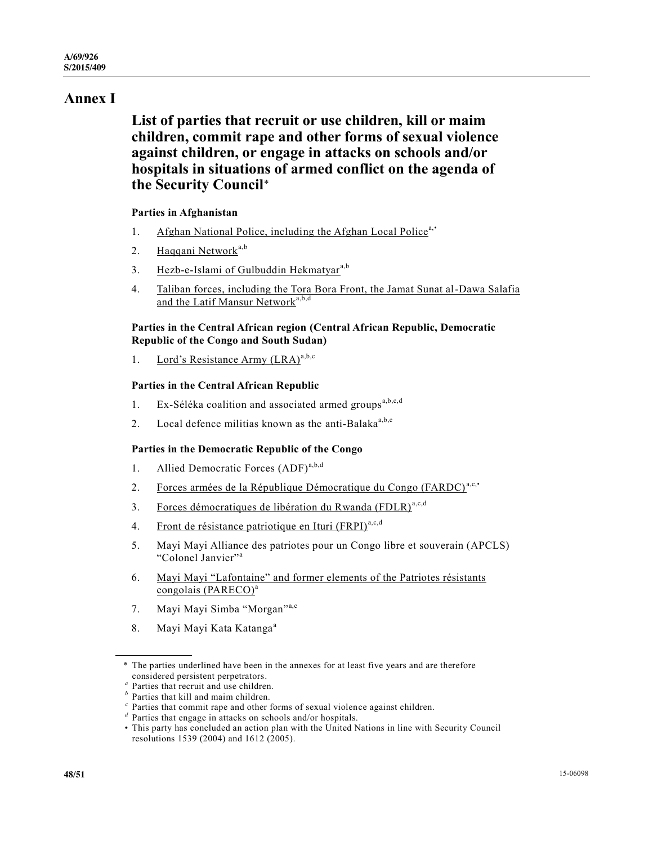# **Annex I**

# **List of parties that recruit or use children, kill or maim children, commit rape and other forms of sexual violence against children, or engage in attacks on schools and/or hospitals in situations of armed conflict on the agenda of the Security Council**\*

#### **Parties in Afghanistan**

- 1. Afghan National Police, including the Afghan Local Police<sup>a,•</sup>
- 2. Haqqani Network<sup>a,b</sup>
- 3. Hezb-e-Islami of Gulbuddin Hekmatyar<sup>a,b</sup>
- 4. Taliban forces, including the Tora Bora Front, the Jamat Sunat al-Dawa Salafia and the Latif Mansur Network<sup>a,b,d</sup>

#### **Parties in the Central African region (Central African Republic, Democratic Republic of the Congo and South Sudan)**

1. Lord's Resistance Army  $(LRA)^{a,b,c}$ 

#### **Parties in the Central African Republic**

- 1. Ex-Séléka coalition and associated armed groups<sup>a,b,c,d</sup>
- 2. Local defence militias known as the anti-Balaka<sup>a,b,c</sup>

#### **Parties in the Democratic Republic of the Congo**

- 1. Allied Democratic Forces (ADF)<sup>a,b,d</sup>
- 2. Forces armées de la République Démocratique du Congo (FARDC)<sup>a,c,•</sup>
- 3. Forces démocratiques de libération du Rwanda (FDLR)<sup>a,c,d</sup>
- 4. Front de résistance patriotique en Ituri (FRPI)<sup>a,c,d</sup>
- 5. Mayi Mayi Alliance des patriotes pour un Congo libre et souverain (APCLS) "Colonel Janvier"<sup>a</sup>
- 6. Mayi Mayi "Lafontaine" and former elements of the Patriotes résistants congolais (PARECO)<sup>a</sup>
- 7. Mayi Mayi Simba "Morgan"a,c
- 8. Mayi Mayi Kata Katanga<sup>a</sup>

<sup>\*</sup> The parties underlined have been in the annexes for at least five years and are therefore

considered persistent perpetrators.<br>
" Parties that recruit and use children.<br>
" Parties that kill and maim children.<br>
" Parties that commit rape and other forms of sexual violence against children.<br>
" Parties that engage

<sup>•</sup> This party has concluded an action plan with the United Nations in line with Security Council resolutions 1539 (2004) and 1612 (2005).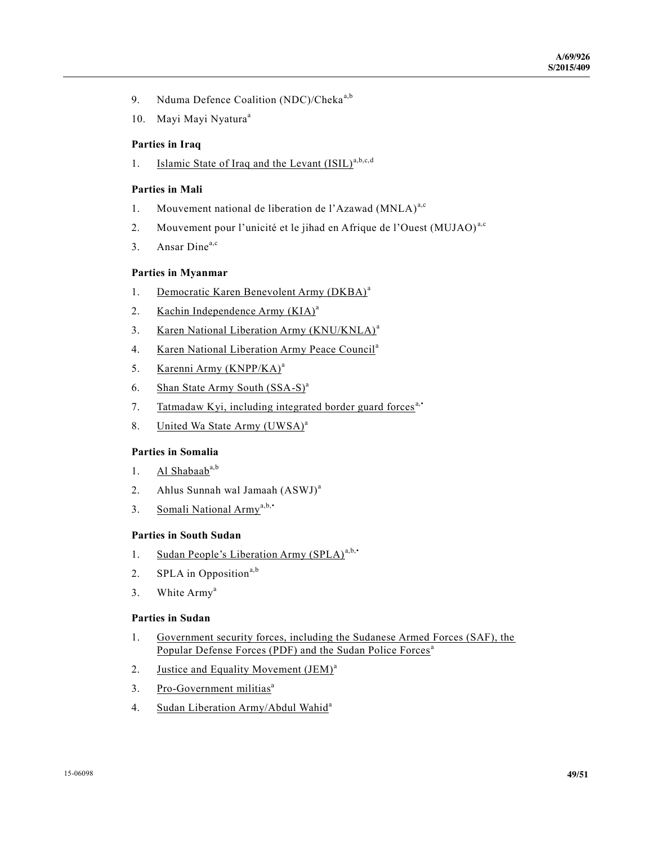- 9. Nduma Defence Coalition (NDC)/Cheka<sup>a,b</sup>
- 10. Mayi Mayi Nyatura<sup>a</sup>

#### **Parties in Iraq**

1. Islamic State of Iraq and the Levant  $(ISIL)^{a,b,c,d}$ 

#### **Parties in Mali**

- 1. Mouvement national de liberation de l'Azawad (MNLA)<sup>a,c</sup>
- 2. Mouvement pour l'unicité et le jihad en Afrique de l'Ouest (MUJAO)<sup>a,c</sup>
- 3. Ansar Dine<sup>a,c</sup>

#### **Parties in Myanmar**

- 1. Democratic Karen Benevolent Army (DKBA)<sup>a</sup>
- 2. Kachin Independence Army  $(KIA)^a$
- 3. Karen National Liberation Army (KNU/KNLA)<sup>a</sup>
- 4. Karen National Liberation Army Peace Council<sup>a</sup>
- 5. Karenni Army (KNPP/KA)<sup>a</sup>
- 6. Shan State Army South  $(SSA-S)^a$
- 7. Tatmadaw Kyi, including integrated border guard forces<sup>a,•</sup>
- 8. United Wa State Army (UWSA)<sup>a</sup>

### **Parties in Somalia**

- 1. Al Shabaab $a,b$
- 2. Ahlus Sunnah wal Jamaah (ASWJ)<sup>a</sup>
- 3. Somali National Army<sup>a,b,•</sup>

#### **Parties in South Sudan**

- 1. Sudan People's Liberation Army  $(SPLA)^{a,b,*}$
- 2. SPLA in Opposition<sup>a,b</sup>
- 3. White Army<sup>a</sup>

#### **Parties in Sudan**

- 1. Government security forces, including the Sudanese Armed Forces (SAF), the Popular Defense Forces (PDF) and the Sudan Police Forces<sup>a</sup>
- 2. Justice and Equality Movement (JEM)<sup>a</sup>
- 3. Pro-Government militias<sup>a</sup>
- 4. Sudan Liberation Army/Abdul Wahid<sup>a</sup>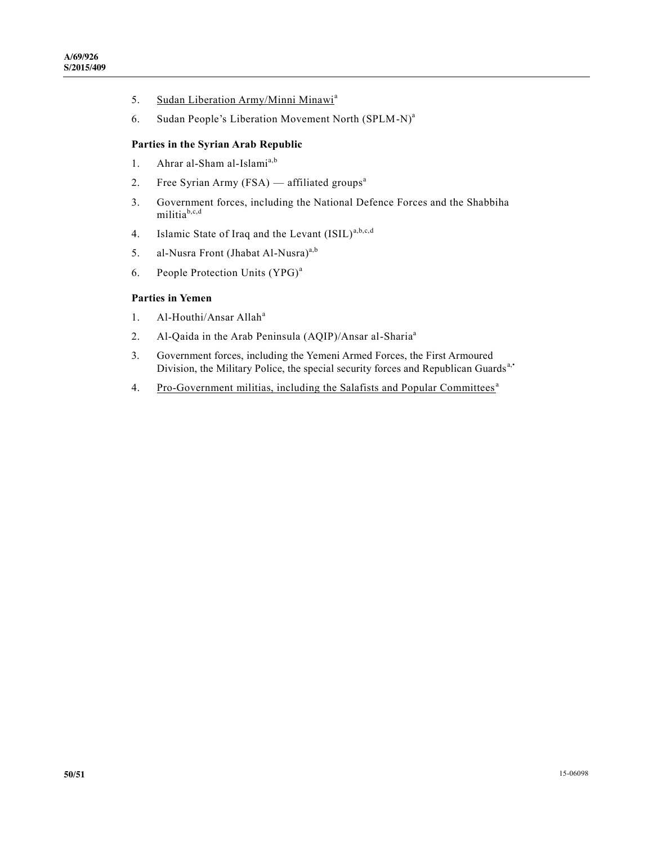- 5. Sudan Liberation Army/Minni Minawi<sup>a</sup>
- 6. Sudan People's Liberation Movement North (SPLM-N)<sup>a</sup>

#### **Parties in the Syrian Arab Republic**

- 1. Ahrar al-Sham al-Islami<sup>a,b</sup>
- 2. Free Syrian Army (FSA) affiliated groups<sup>a</sup>
- 3. Government forces, including the National Defence Forces and the Shabbiha militiab,c,d
- 4. Islamic State of Iraq and the Levant  $(ISIL)^{a,b,c,d}$
- 5. al-Nusra Front (Jhabat Al-Nusra)<sup>a,b</sup>
- 6. People Protection Units (YPG)<sup>a</sup>

#### **Parties in Yemen**

- 1. Al-Houthi/Ansar Allah<sup>a</sup>
- 2. Al-Qaida in the Arab Peninsula (AQIP)/Ansar al-Sharia<sup>a</sup>
- 3. Government forces, including the Yemeni Armed Forces, the First Armoured Division, the Military Police, the special security forces and Republican Guards<sup>a,•</sup>
- 4. Pro-Government militias, including the Salafists and Popular Committees<sup>a</sup>